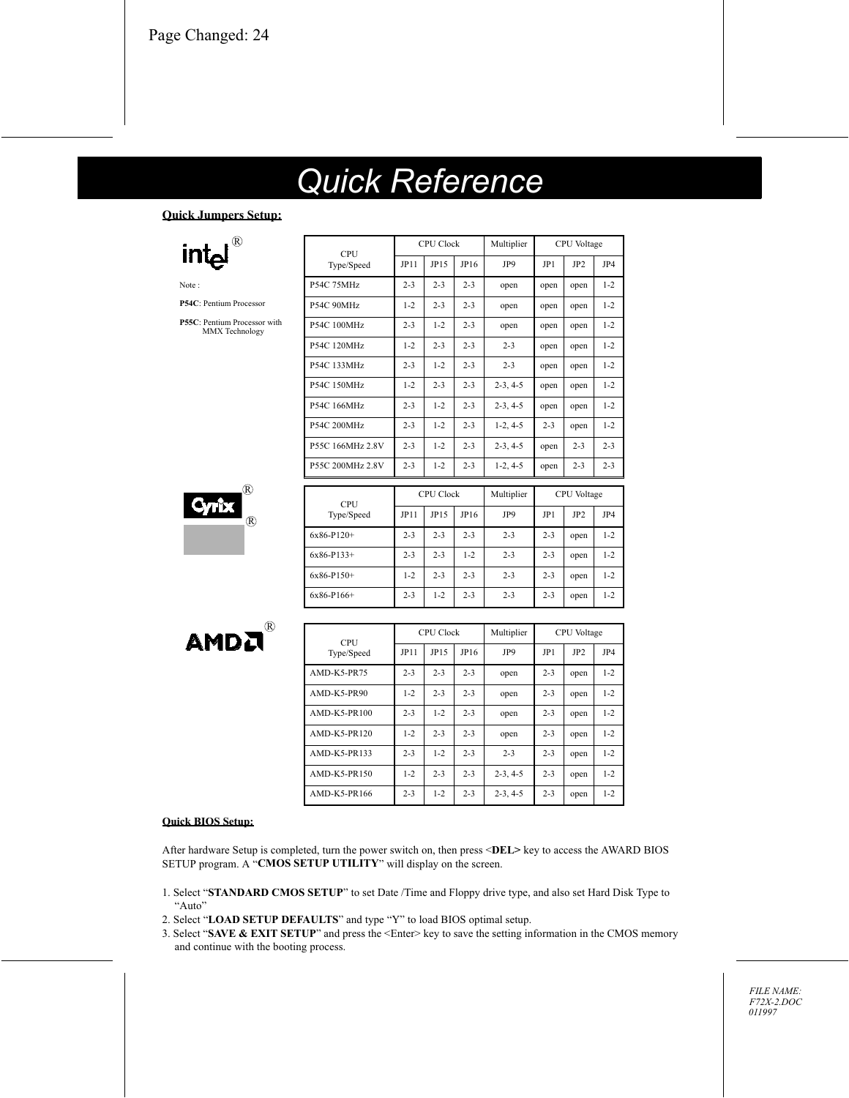# **Quick Reference**

 $JPI1$ 

 $2 - 3$ 

 $1 - 2$ 

 $2 - 3$ 

CPU

Type/Speed

P54C 75MHz

**P54C 90MHz** 

**P54C 100MHz** 

**CPU Clock** 

 $JP15$ 

 $2 - 3$ 

 $2 - 3$ 

 $1 - 2$ 

 $JP16$ 

 $2 - 3$ 

 $2 - 3$ 

 $2 - 3$ 

Multiplier

JP9

open

open

open

 $2 - 3$ 

 $2 - 3$ 

open

CPU Voltage

JP<sub>2</sub>

open

open

open

JP4

 $1 - 2$ 

 $1 - 2$ 

 $1 - 2$ 

JP1

open

open

open

#### **Ouick Jumpers Setup:**



Note:

P54C: Pentium Processor

P55C: Pentium Processor with MMX Technology



**AMDA** 

®



| CPU                |         | <b>CPU Clock</b> |         | Multiplier |         | <b>CPU</b> Voltage |         |
|--------------------|---------|------------------|---------|------------|---------|--------------------|---------|
| Type/Speed         | JP11    | JP15             | JP16    | JP9        | JP1     | JP <sub>2</sub>    | JP4     |
| <b>AMD-K5-PR75</b> | $2 - 3$ | $2 - 3$          | $2 - 3$ | open       | $2 - 3$ | open               | $1 - 2$ |
| AMD-K5-PR90        | $1 - 2$ | $2 - 3$          | $2 - 3$ | open       | $2 - 3$ | open               | $1 - 2$ |
| AMD-K5-PR100       | $2 - 3$ | $1 - 2$          | $2 - 3$ | open       | $2 - 3$ | open               | $1 - 2$ |
| AMD-K5-PR120       | $1 - 2$ | $2 - 3$          | $2 - 3$ | open       | $2 - 3$ | open               | $1 - 2$ |
| AMD-K5-PR133       | $2 - 3$ | $1 - 2$          | $2 - 3$ | $2 - 3$    | $2 - 3$ | open               | $1 - 2$ |
| AMD-K5-PR150       | $1 - 2$ | $2 - 3$          | $2 - 3$ | $2-3, 4-5$ | $2 - 3$ | open               | $1 - 2$ |
| AMD-K5-PR166       | $2 - 3$ | $1 - 2$          | $2 - 3$ | $2-3, 4-5$ | $2 - 3$ | open               | $1 - 2$ |

#### **Ouick BIOS Setup:**

After hardware Setup is completed, turn the power switch on, then press <DEL> key to access the AWARD BIOS SETUP program. A "CMOS SETUP UTILITY" will display on the screen.

- 1. Select "STANDARD CMOS SETUP" to set Date /Time and Floppy drive type, and also set Hard Disk Type to "Auto"
- 2. Select "LOAD SETUP DEFAULTS" and type "Y" to load BIOS optimal setup.
- 3. Select "SAVE & EXIT SETUP" and press the <Enter> key to save the setting information in the CMOS memory and continue with the heating process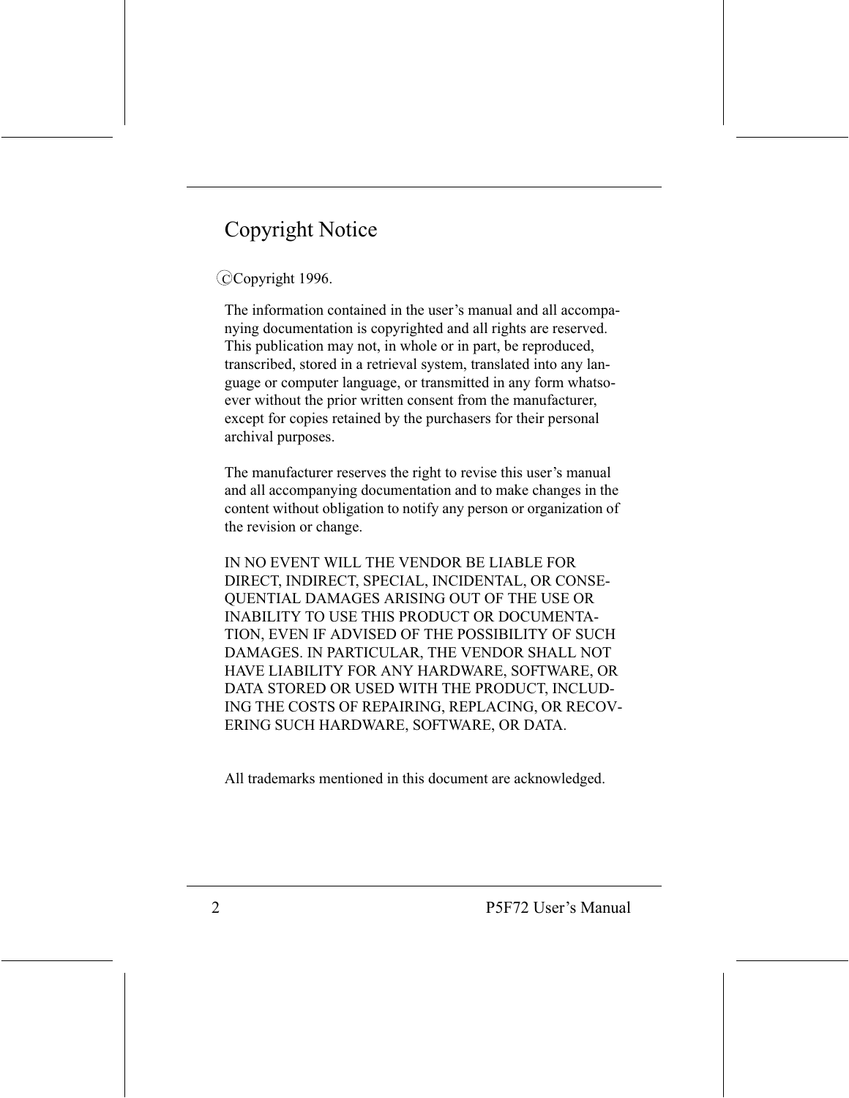# **Copyright Notice**

## CCopyright 1996.

The information contained in the user's manual and all accompanying documentation is copyrighted and all rights are reserved. This publication may not, in whole or in part, be reproduced, transcribed, stored in a retrieval system, translated into any language or computer language, or transmitted in any form whatsoever without the prior written consent from the manufacturer, except for copies retained by the purchasers for their personal archival purposes.

The manufacturer reserves the right to revise this user's manual and all accompanying documentation and to make changes in the content without obligation to notify any person or organization of the revision or change.

IN NO EVENT WILL THE VENDOR BE LIABLE FOR DIRECT, INDIRECT, SPECIAL, INCIDENTAL, OR CONSE-QUENTIAL DAMAGES ARISING OUT OF THE USE OR **INABILITY TO USE THIS PRODUCT OR DOCUMENTA-**TION, EVEN IF ADVISED OF THE POSSIBILITY OF SUCH DAMAGES. IN PARTICULAR, THE VENDOR SHALL NOT HAVE LIABILITY FOR ANY HARDWARE, SOFTWARE, OR DATA STORED OR USED WITH THE PRODUCT, INCLUD-ING THE COSTS OF REPAIRING, REPLACING, OR RECOV-ERING SUCH HARDWARE, SOFTWARE, OR DATA.

All trademarks mentioned in this document are acknowledged.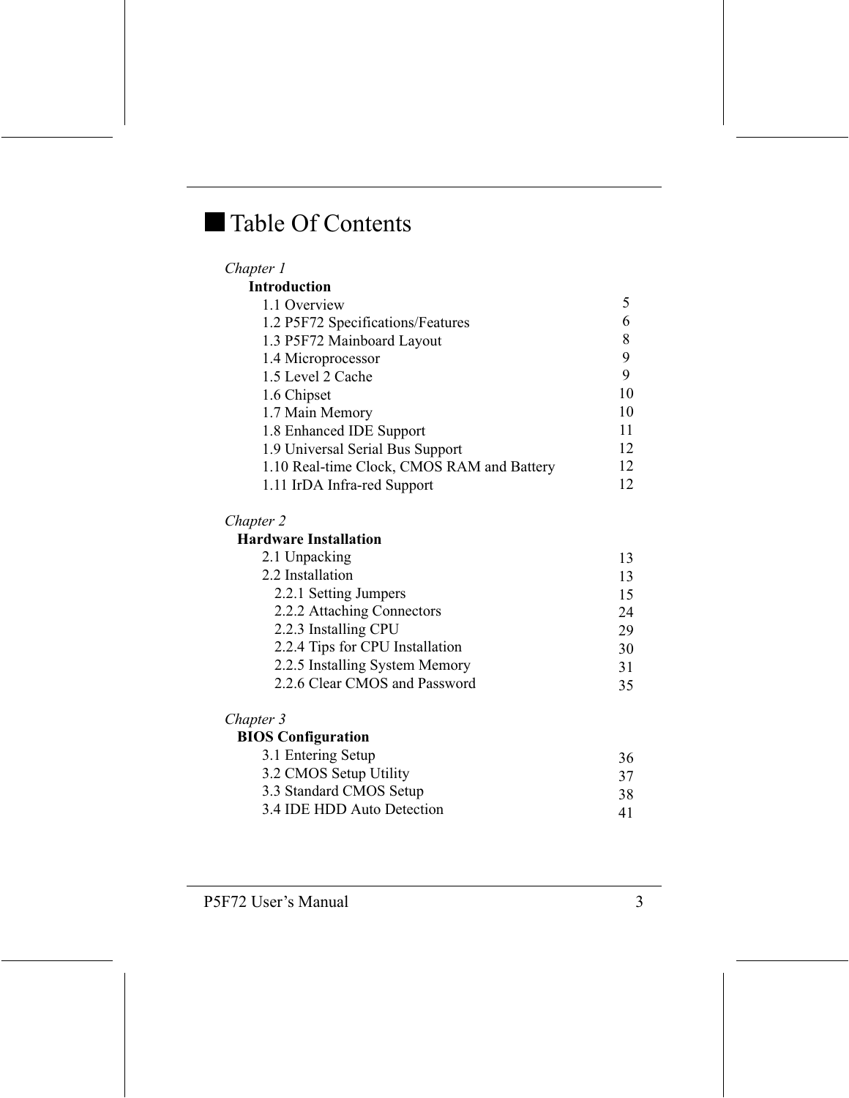# Table Of Contents

| Chapter 1                                  |    |
|--------------------------------------------|----|
| <b>Introduction</b>                        |    |
| 1.1 Overview                               | 5. |
| 1.2 P5F72 Specifications/Features          | 6  |
| 1.3 P5F72 Mainboard Layout                 | 8  |
| 1.4 Microprocessor                         | 9  |
| 1.5 Level 2 Cache                          | 9  |
| 1.6 Chipset                                | 10 |
| 1.7 Main Memory                            | 10 |
| 1.8 Enhanced IDE Support                   | 11 |
| 1.9 Universal Serial Bus Support           | 12 |
| 1.10 Real-time Clock, CMOS RAM and Battery | 12 |
| 1.11 IrDA Infra-red Support                | 12 |

#### Chapter 2

#### **Hardware Installation**

| 2.1 Unpacking                   | 13 |
|---------------------------------|----|
| 2.2 Installation                | 13 |
| 2.2.1 Setting Jumpers           | 15 |
| 2.2.2 Attaching Connectors      | 24 |
| 2.2.3 Installing CPU            | 29 |
| 2.2.4 Tips for CPU Installation | 30 |
| 2.2.5 Installing System Memory  | 31 |
| 2.2.6 Clear CMOS and Password   | 35 |

#### Chapter 3

## **BIOS** Configuration

| 3.1 Entering Setup         | 36 |
|----------------------------|----|
| 3.2 CMOS Setup Utility     | 37 |
| 3.3 Standard CMOS Setup    | 38 |
| 3.4 IDE HDD Auto Detection | 41 |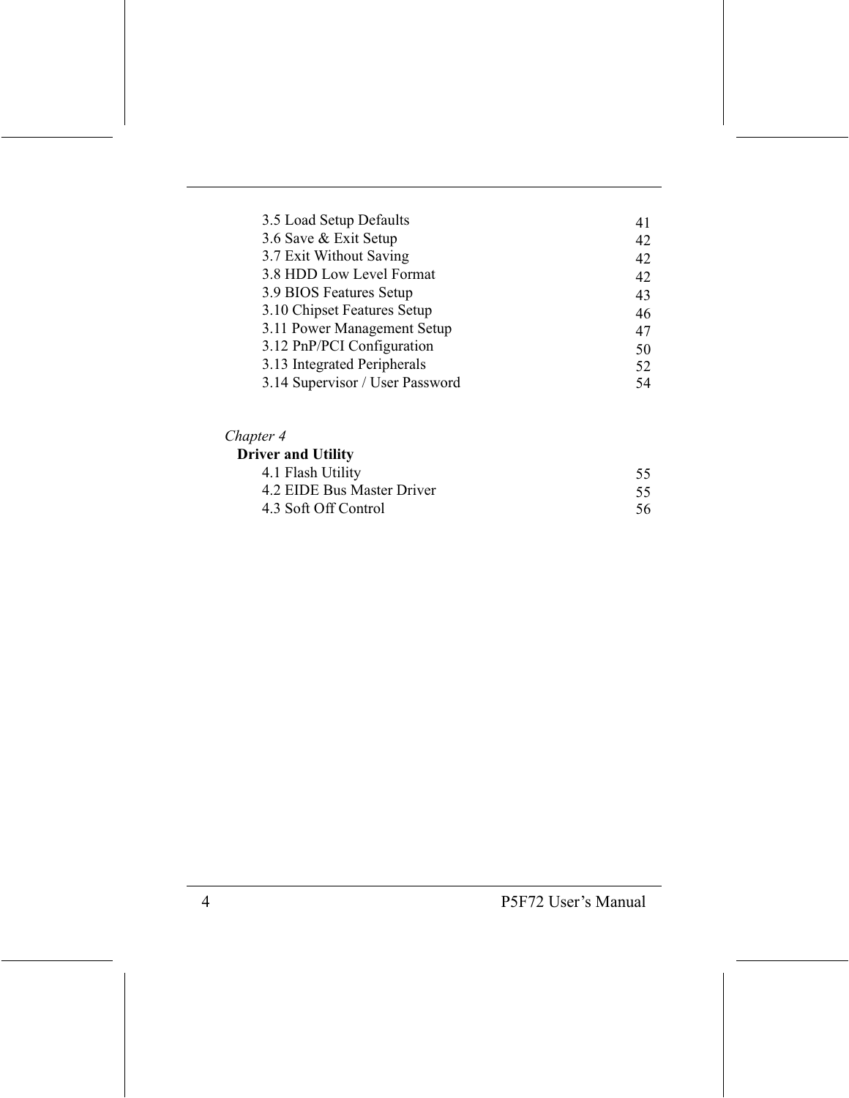| 3.5 Load Setup Defaults         | 41 |
|---------------------------------|----|
| 3.6 Save & Exit Setup           | 42 |
| 3.7 Exit Without Saving         | 42 |
| 3.8 HDD Low Level Format        | 42 |
| 3.9 BIOS Features Setup         | 43 |
| 3.10 Chipset Features Setup     | 46 |
| 3.11 Power Management Setup     | 47 |
| 3.12 PnP/PCI Configuration      | 50 |
| 3.13 Integrated Peripherals     | 52 |
| 3.14 Supervisor / User Password | 54 |

## Chapter 4

## Driver and Utility

| 4.1 Flash Utility          |    |
|----------------------------|----|
| 4.2 EIDE Bus Master Driver |    |
| 4.3 Soft Off Control       | 56 |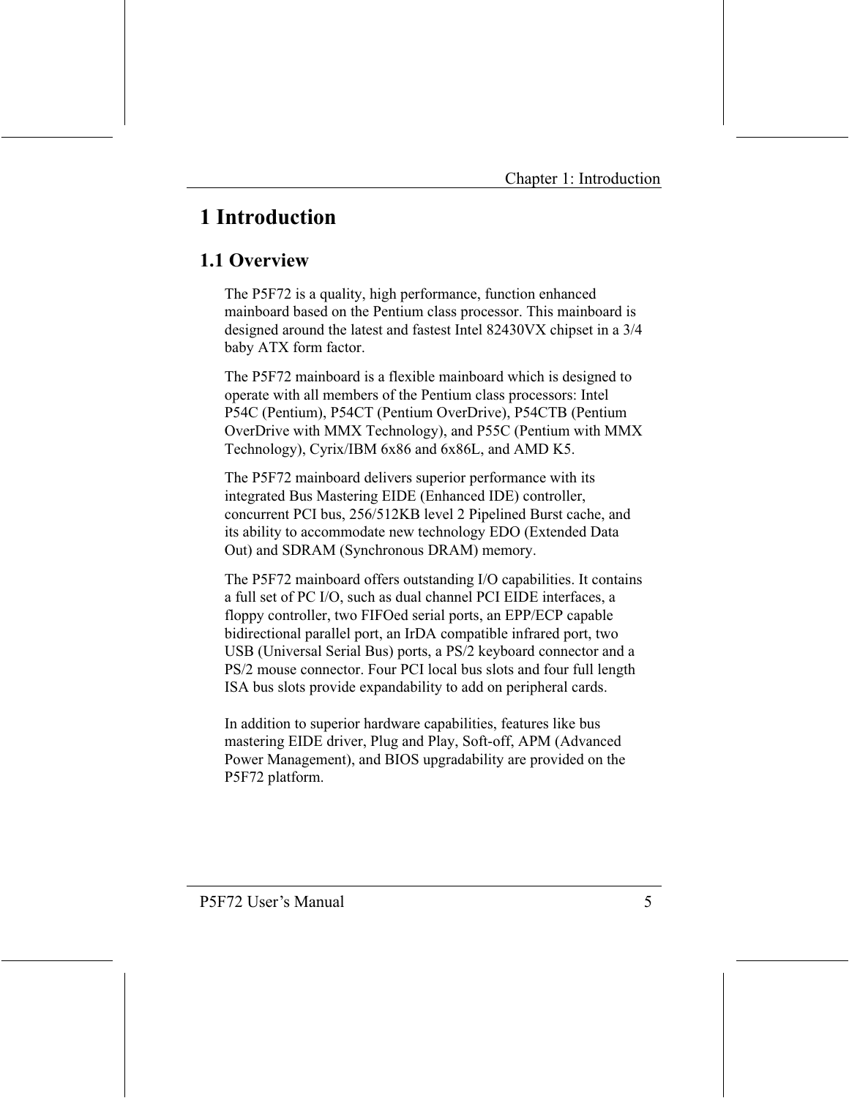# **1 Introduction**

## 1.1 Overview

The P5F72 is a quality, high performance, function enhanced mainboard based on the Pentium class processor. This mainboard is designed around the latest and fastest Intel 82430VX chipset in a 3/4 baby ATX form factor.

The P5F72 mainboard is a flexible mainboard which is designed to operate with all members of the Pentium class processors: Intel P54C (Pentium), P54CT (Pentium OverDrive), P54CTB (Pentium OverDrive with MMX Technology), and P55C (Pentium with MMX Technology), Cyrix/IBM 6x86 and 6x86L, and AMD K5.

The P5F72 mainboard delivers superior performance with its integrated Bus Mastering EIDE (Enhanced IDE) controller, concurrent PCI bus, 256/512KB level 2 Pipelined Burst cache, and its ability to accommodate new technology EDO (Extended Data Out) and SDRAM (Synchronous DRAM) memory.

The P5F72 mainboard offers outstanding I/O capabilities. It contains a full set of PC I/O, such as dual channel PCI EIDE interfaces, a floppy controller, two FIFOed serial ports, an EPP/ECP capable bidirectional parallel port, an IrDA compatible infrared port, two USB (Universal Serial Bus) ports, a PS/2 keyboard connector and a PS/2 mouse connector. Four PCI local bus slots and four full length ISA bus slots provide expandability to add on peripheral cards.

In addition to superior hardware capabilities, features like bus mastering EIDE driver, Plug and Play, Soft-off, APM (Advanced Power Management), and BIOS upgradability are provided on the P5F72 platform.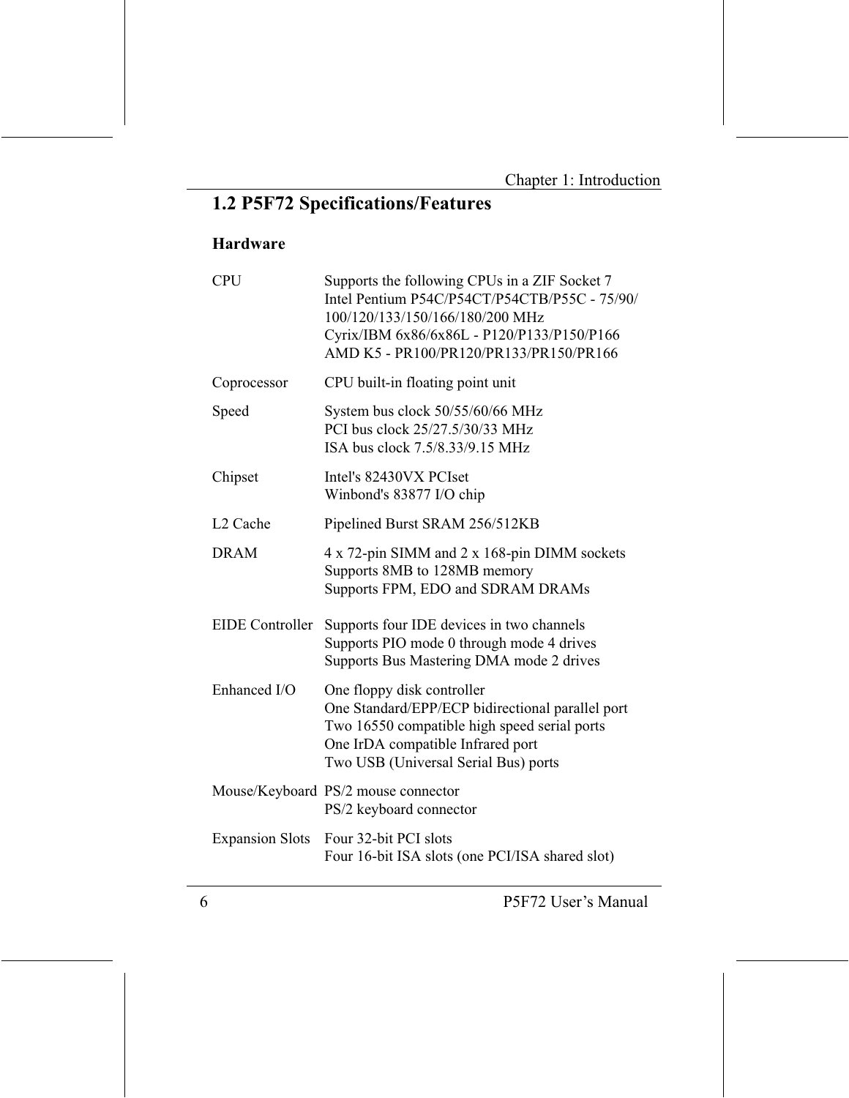# 1.2 P5F72 Specifications/Features

## Hardware

| <b>CPU</b>             | Supports the following CPUs in a ZIF Socket 7<br>Intel Pentium P54C/P54CT/P54CTB/P55C - 75/90/<br>100/120/133/150/166/180/200 MHz<br>Cyrix/IBM 6x86/6x86L - P120/P133/P150/P166<br>AMD K5 - PR100/PR120/PR133/PR150/PR166 |
|------------------------|---------------------------------------------------------------------------------------------------------------------------------------------------------------------------------------------------------------------------|
| Coprocessor            | CPU built-in floating point unit                                                                                                                                                                                          |
| Speed                  | System bus clock 50/55/60/66 MHz<br>PCI bus clock 25/27.5/30/33 MHz<br>ISA bus clock 7.5/8.33/9.15 MHz                                                                                                                    |
| Chipset                | Intel's 82430VX PCIset<br>Winbond's 83877 I/O chip                                                                                                                                                                        |
| L <sub>2</sub> Cache   | Pipelined Burst SRAM 256/512KB                                                                                                                                                                                            |
| <b>DRAM</b>            | 4 x 72-pin SIMM and 2 x 168-pin DIMM sockets<br>Supports 8MB to 128MB memory<br>Supports FPM, EDO and SDRAM DRAMs                                                                                                         |
| <b>EIDE</b> Controller | Supports four IDE devices in two channels<br>Supports PIO mode 0 through mode 4 drives<br>Supports Bus Mastering DMA mode 2 drives                                                                                        |
| Enhanced I/O           | One floppy disk controller<br>One Standard/EPP/ECP bidirectional parallel port<br>Two 16550 compatible high speed serial ports<br>One IrDA compatible Infrared port<br>Two USB (Universal Serial Bus) ports               |
|                        | Mouse/Keyboard PS/2 mouse connector<br>PS/2 keyboard connector                                                                                                                                                            |
| <b>Expansion Slots</b> | Four 32-bit PCI slots<br>Four 16-bit ISA slots (one PCI/ISA shared slot)                                                                                                                                                  |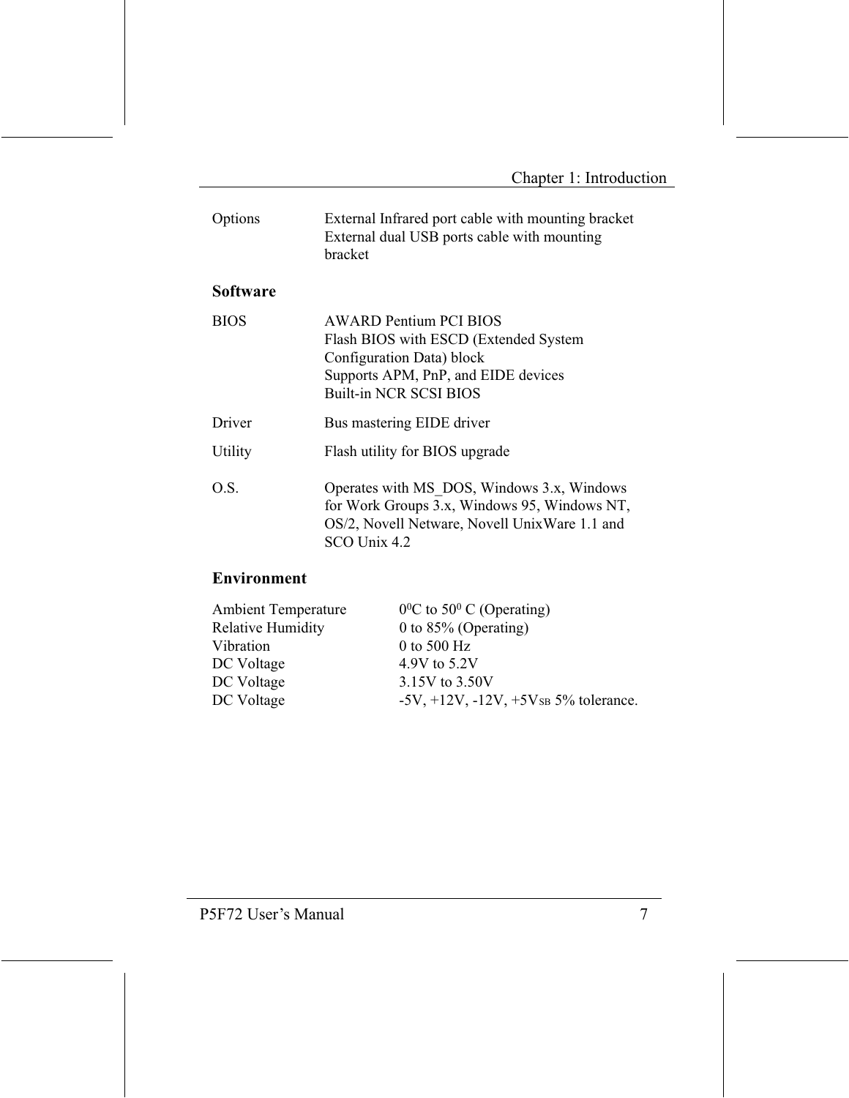| Options     | External Infrared port cable with mounting bracket<br>External dual USB ports cable with mounting<br>bracket                                                                |  |
|-------------|-----------------------------------------------------------------------------------------------------------------------------------------------------------------------------|--|
| Software    |                                                                                                                                                                             |  |
| <b>BIOS</b> | <b>AWARD Pentium PCI BIOS</b><br>Flash BIOS with ESCD (Extended System<br>Configuration Data) block<br>Supports APM, PnP, and EIDE devices<br><b>Built-in NCR SCSI BIOS</b> |  |
| Driver      | Bus mastering EIDE driver                                                                                                                                                   |  |
| Utility     | Flash utility for BIOS upgrade                                                                                                                                              |  |
| O.S.        | Operates with MS DOS, Windows 3.x, Windows<br>for Work Groups 3.x, Windows 95, Windows NT,<br>OS/2, Novell Netware, Novell UnixWare 1.1 and<br>SCO Unix 4.2                 |  |

### Environment

| $0^0$ C to 50 <sup>0</sup> C (Operating)          |
|---------------------------------------------------|
| 0 to $85\%$ (Operating)                           |
| 0 to 500 $Hz$                                     |
| 4.9V to 5.2V                                      |
| 3.15V to 3.50V                                    |
| $-5V$ , $+12V$ , $-12V$ , $+5V$ s $5%$ tolerance. |
|                                                   |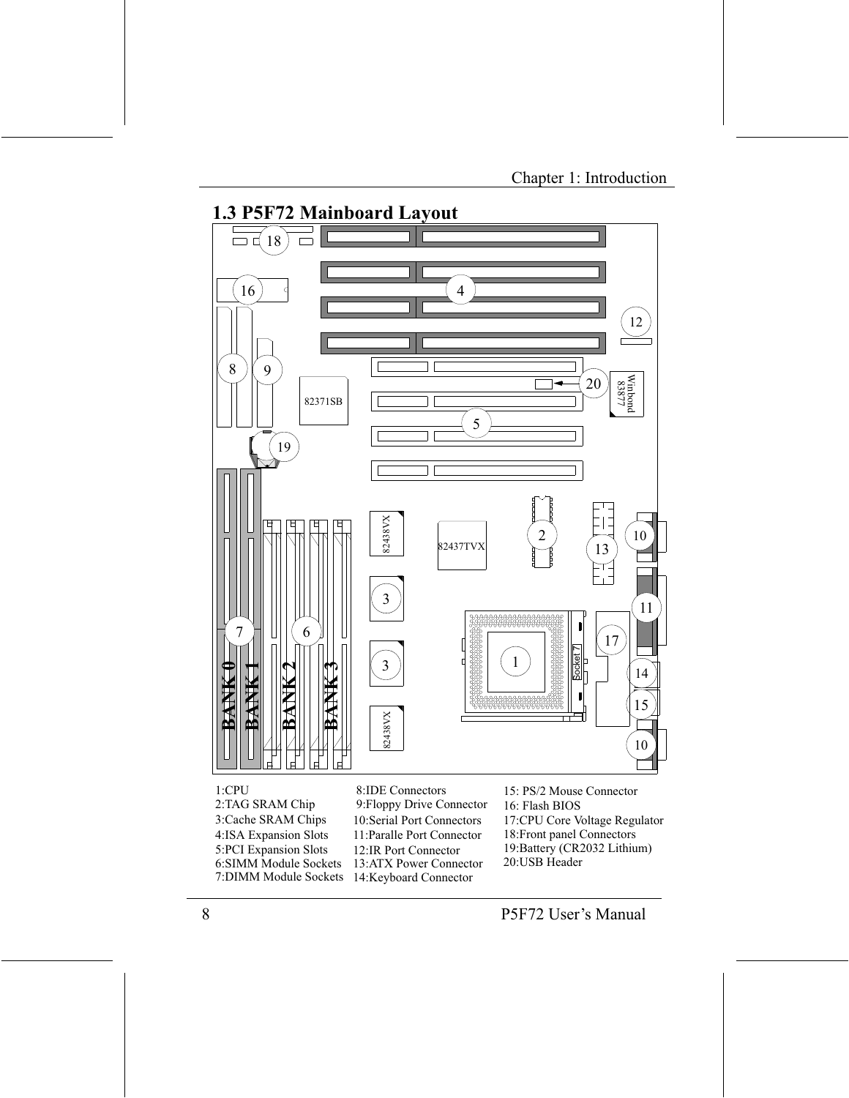

 $1:$ CPU 2:TAG SRAM Chip 3:Cache SRAM Chips 4:ISA Expansion Slots 5:PCI Expansion Slots 6:SIMM Module Sockets 7:DIMM Module Sockets

8:IDE Connectors 9: Floppy Drive Connector 10:Serial Port Connectors 11: Paralle Port Connector 12:IR Port Connector 13:ATX Power Connector 14:Keyboard Connector

15: PS/2 Mouse Connector 16: Flash BIOS 17:CPU Core Voltage Regulator 18: Front panel Connectors 19:Battery (CR2032 Lithium) 20:USB Header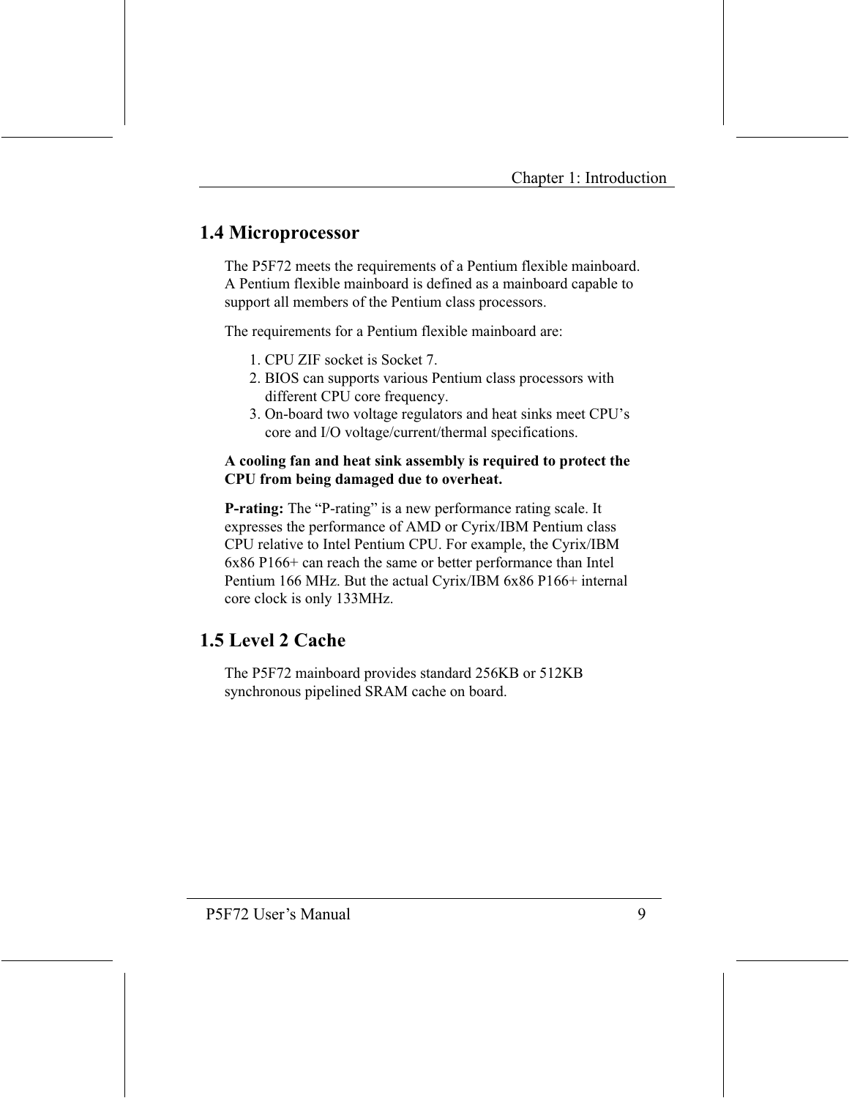## 1.4 Microprocessor

The P5F72 meets the requirements of a Pentium flexible mainboard. A Pentium flexible mainboard is defined as a mainboard capable to support all members of the Pentium class processors.

The requirements for a Pentium flexible mainboard are:

- 1 CPU ZIF socket is Socket 7
- 2. BIOS can supports various Pentium class processors with different CPU core frequency.
- 3. On-board two voltage regulators and heat sinks meet CPU's core and I/O voltage/current/thermal specifications.

#### A cooling fan and heat sink assembly is required to protect the CPU from being damaged due to overheat.

**P-rating:** The "P-rating" is a new performance rating scale. It expresses the performance of AMD or Cyrix/IBM Pentium class CPU relative to Intel Pentium CPU. For example, the Cyrix/IBM 6x86 P166+ can reach the same or better performance than Intel Pentium 166 MHz. But the actual Cyrix/IBM 6x86 P166+ internal core clock is only 133MHz.

## 1.5 Level 2 Cache

The P5F72 mainboard provides standard 256KB or 512KB synchronous pipelined SRAM cache on board.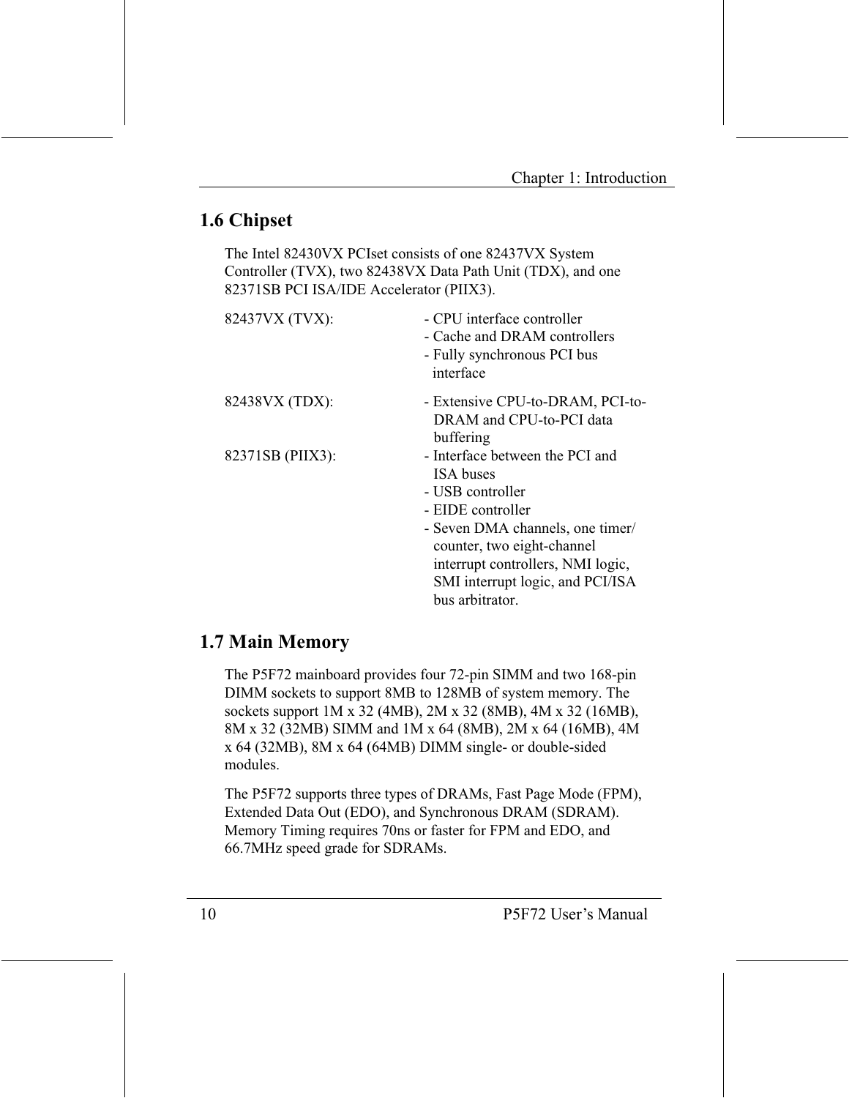## 1.6 Chipset

The Intel 82430VX PCIset consists of one 82437VX System Controller (TVX), two 82438VX Data Path Unit (TDX), and one 82371SB PCI ISA/IDE Accelerator (PIIX3).

| 82437VX (TVX):   | - CPU interface controller<br>- Cache and DRAM controllers<br>- Fully synchronous PCI bus<br>interface |
|------------------|--------------------------------------------------------------------------------------------------------|
| 82438VX (TDX):   | - Extensive CPU-to-DRAM, PCI-to-<br>DRAM and CPU-to-PCI data                                           |
|                  | buffering                                                                                              |
| 82371SB (PIIX3): | - Interface between the PCI and                                                                        |
|                  | <b>ISA</b> buses                                                                                       |
|                  | - USB controller                                                                                       |
|                  | - EIDE controller                                                                                      |
|                  | - Seven DMA channels, one timer/                                                                       |
|                  | counter, two eight-channel                                                                             |
|                  | interrupt controllers, NMI logic,                                                                      |
|                  | SMI interrupt logic, and PCI/ISA                                                                       |
|                  | bus arbitrator.                                                                                        |

## 1.7 Main Memory

The P5F72 mainboard provides four 72-pin SIMM and two 168-pin DIMM sockets to support 8MB to 128MB of system memory. The sockets support 1M x 32 (4MB), 2M x 32 (8MB), 4M x 32 (16MB), 8M x 32 (32MB) SIMM and 1M x 64 (8MB), 2M x 64 (16MB), 4M x 64 (32MB), 8M x 64 (64MB) DIMM single- or double-sided modules.

The P5F72 supports three types of DRAMs, Fast Page Mode (FPM), Extended Data Out (EDO), and Synchronous DRAM (SDRAM). Memory Timing requires 70ns or faster for FPM and EDO, and 66.7MHz speed grade for SDRAMs.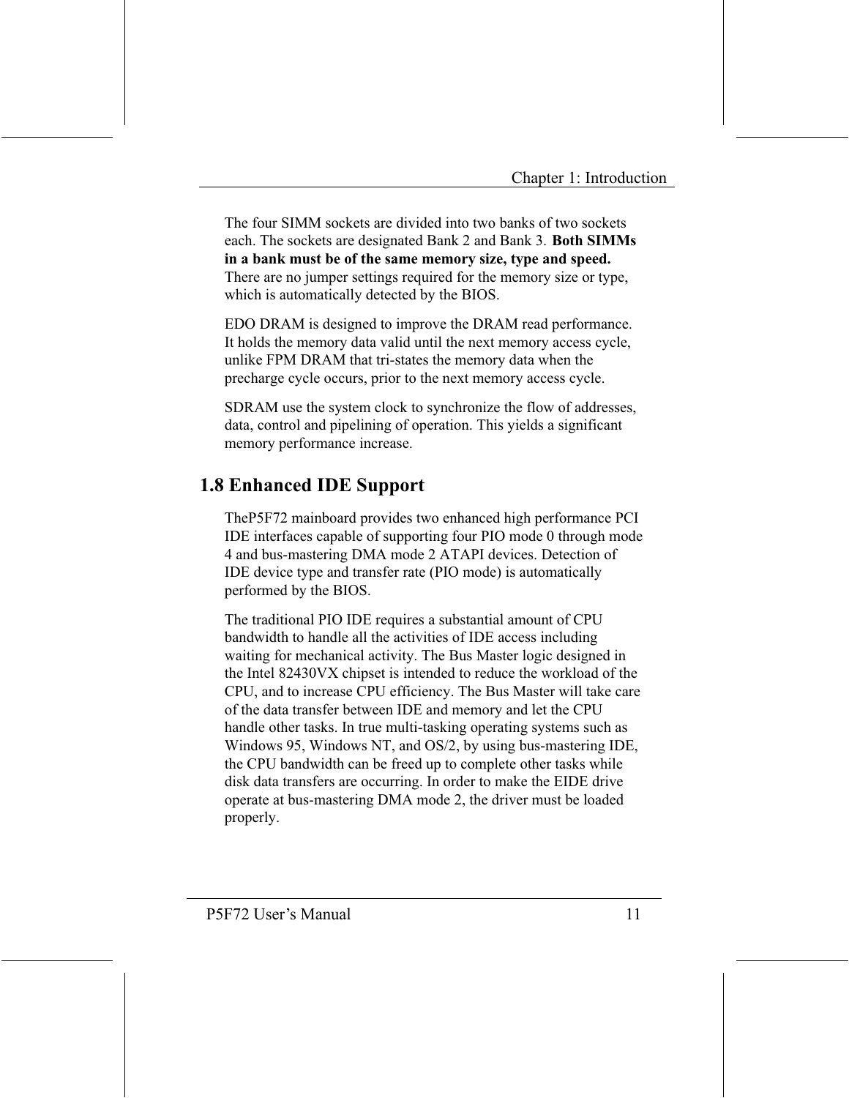The four SIMM sockets are divided into two banks of two sockets each. The sockets are designated Bank 2 and Bank 3. Both SIMMs in a bank must be of the same memory size, type and speed. There are no jumper settings required for the memory size or type. which is automatically detected by the BIOS.

EDO DRAM is designed to improve the DRAM read performance. It holds the memory data valid until the next memory access cycle, unlike FPM DRAM that tri-states the memory data when the precharge cycle occurs, prior to the next memory access cycle.

SDRAM use the system clock to synchronize the flow of addresses, data, control and pipelining of operation. This yields a significant memory performance increase.

## **1.8 Enhanced IDE Support**

The P5F72 mainboard provides two enhanced high performance PCI IDE interfaces capable of supporting four PIO mode 0 through mode 4 and bus-mastering DMA mode 2 ATAPI devices. Detection of IDE device type and transfer rate (PIO mode) is automatically performed by the BIOS.

The traditional PIO IDE requires a substantial amount of CPU bandwidth to handle all the activities of IDE access including waiting for mechanical activity. The Bus Master logic designed in the Intel 82430VX chipset is intended to reduce the workload of the CPU, and to increase CPU efficiency. The Bus Master will take care of the data transfer between IDE and memory and let the CPU handle other tasks. In true multi-tasking operating systems such as Windows 95, Windows NT, and OS/2, by using bus-mastering IDE, the CPU bandwidth can be freed up to complete other tasks while disk data transfers are occurring. In order to make the EIDE drive operate at bus-mastering DMA mode 2, the driver must be loaded properly.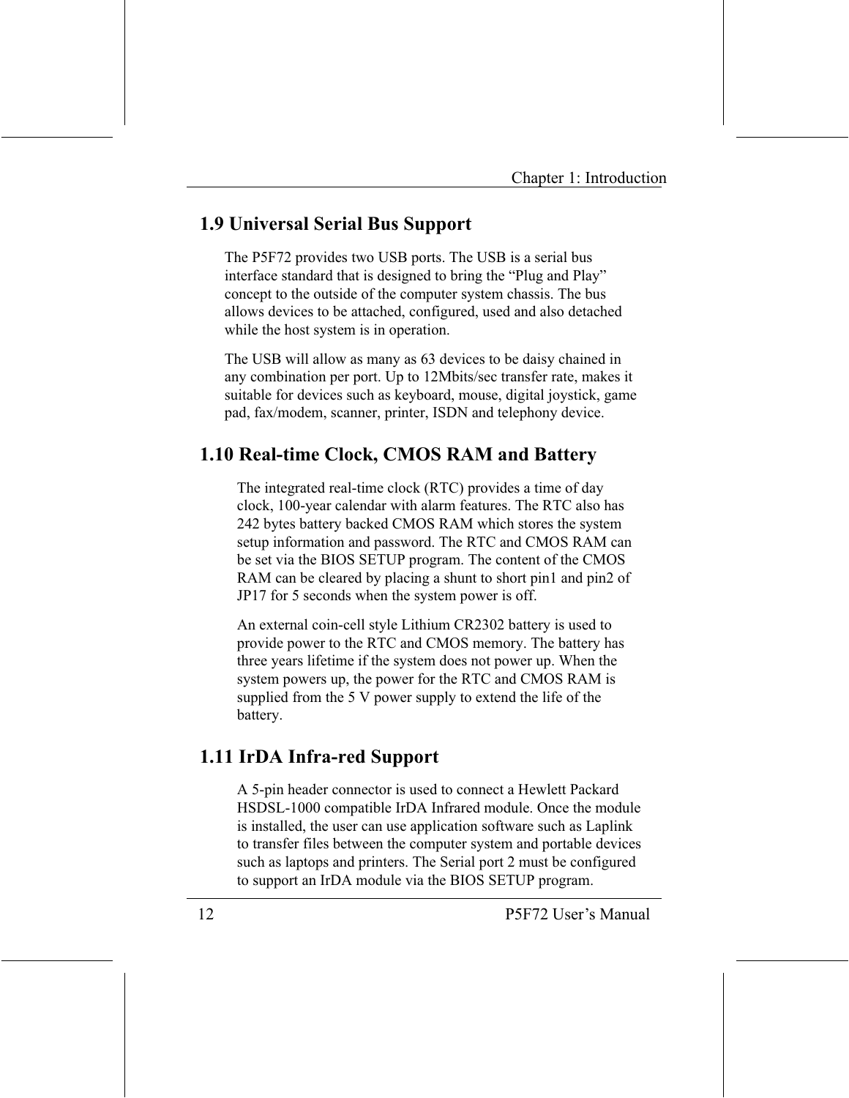## **1.9 Universal Serial Bus Support**

The P5F72 provides two USB ports. The USB is a serial bus interface standard that is designed to bring the "Plug and Play" concept to the outside of the computer system chassis. The bus allows devices to be attached, configured, used and also detached while the host system is in operation.

The USB will allow as many as 63 devices to be daisy chained in any combination per port. Up to 12Mbits/sec transfer rate, makes it suitable for devices such as keyboard, mouse, digital joystick, game pad, fax/modem, scanner, printer, ISDN and telephony device.

## 1.10 Real-time Clock, CMOS RAM and Battery

The integrated real-time clock (RTC) provides a time of day clock, 100-year calendar with alarm features. The RTC also has 242 bytes battery backed CMOS RAM which stores the system setup information and password. The RTC and CMOS RAM can be set via the BIOS SETUP program. The content of the CMOS RAM can be cleared by placing a shunt to short pin1 and pin2 of JP17 for 5 seconds when the system power is off.

An external coin-cell style Lithium CR2302 battery is used to provide power to the RTC and CMOS memory. The battery has three years lifetime if the system does not power up. When the system powers up, the power for the RTC and CMOS RAM is supplied from the 5 V power supply to extend the life of the battery.

## 1.11 IrDA Infra-red Support

A 5-pin header connector is used to connect a Hewlett Packard HSDSL-1000 compatible IrDA Infrared module. Once the module is installed, the user can use application software such as Laplink to transfer files between the computer system and portable devices such as laptops and printers. The Serial port 2 must be configured to support an IrDA module via the BIOS SETUP program.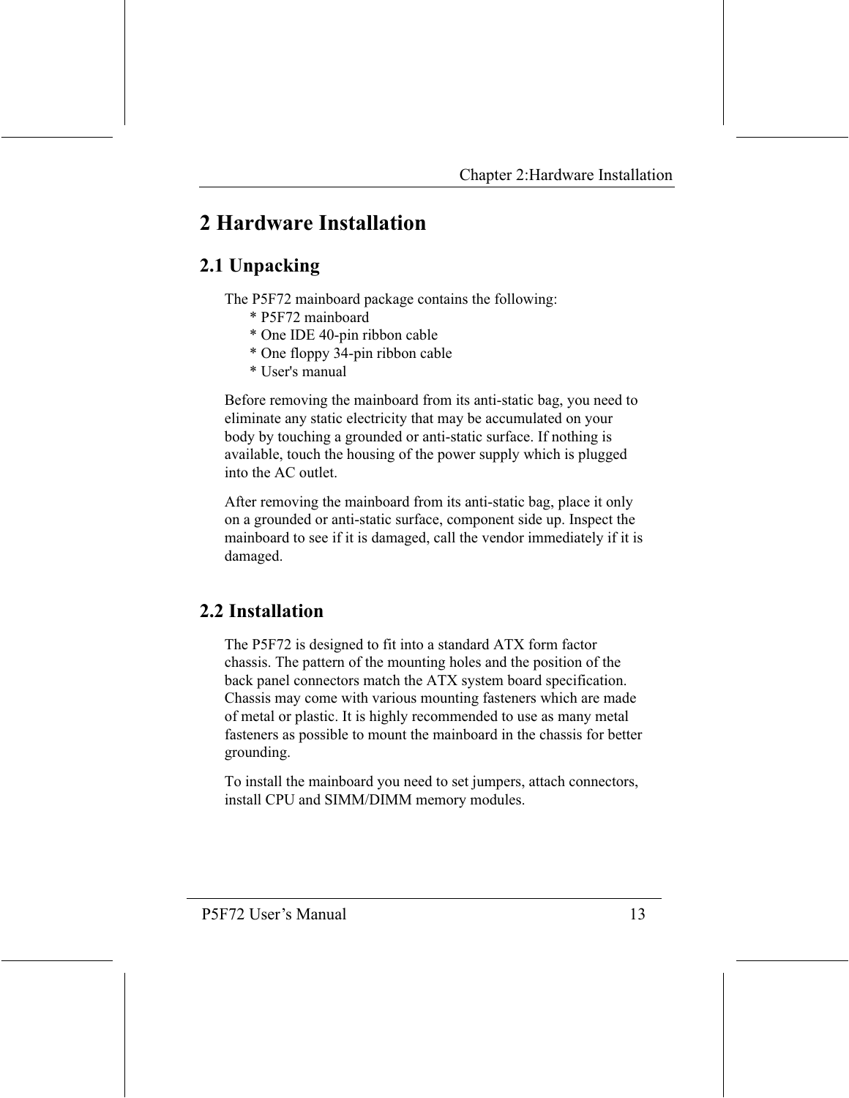## 2 Hardware Installation

## 2.1 Unpacking

The P5F72 mainboard package contains the following:

- \* P5F72 mainboard
- \* One IDE 40-pin ribbon cable
- \* One floppy 34-pin ribbon cable
- \* User's manual

Before removing the mainboard from its anti-static bag, you need to eliminate any static electricity that may be accumulated on your body by touching a grounded or anti-static surface. If nothing is available, touch the housing of the power supply which is plugged into the AC outlet

After removing the mainboard from its anti-static bag, place it only on a grounded or anti-static surface, component side up. Inspect the mainboard to see if it is damaged, call the vendor immediately if it is damaged.

## 2.2 Installation

The P5F72 is designed to fit into a standard ATX form factor chassis. The pattern of the mounting holes and the position of the back panel connectors match the ATX system board specification. Chassis may come with various mounting fasteners which are made of metal or plastic. It is highly recommended to use as many metal fasteners as possible to mount the mainboard in the chassis for better grounding.

To install the mainboard you need to set jumpers, attach connectors, install CPU and SIMM/DIMM memory modules.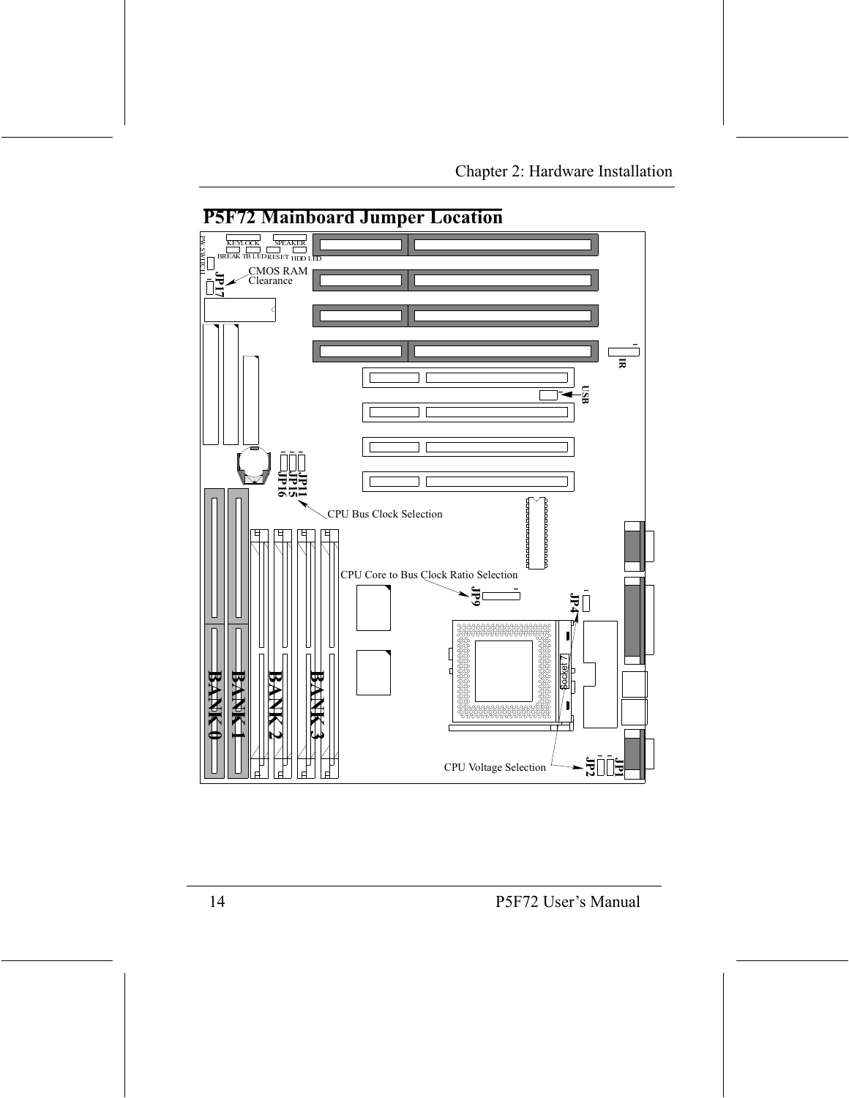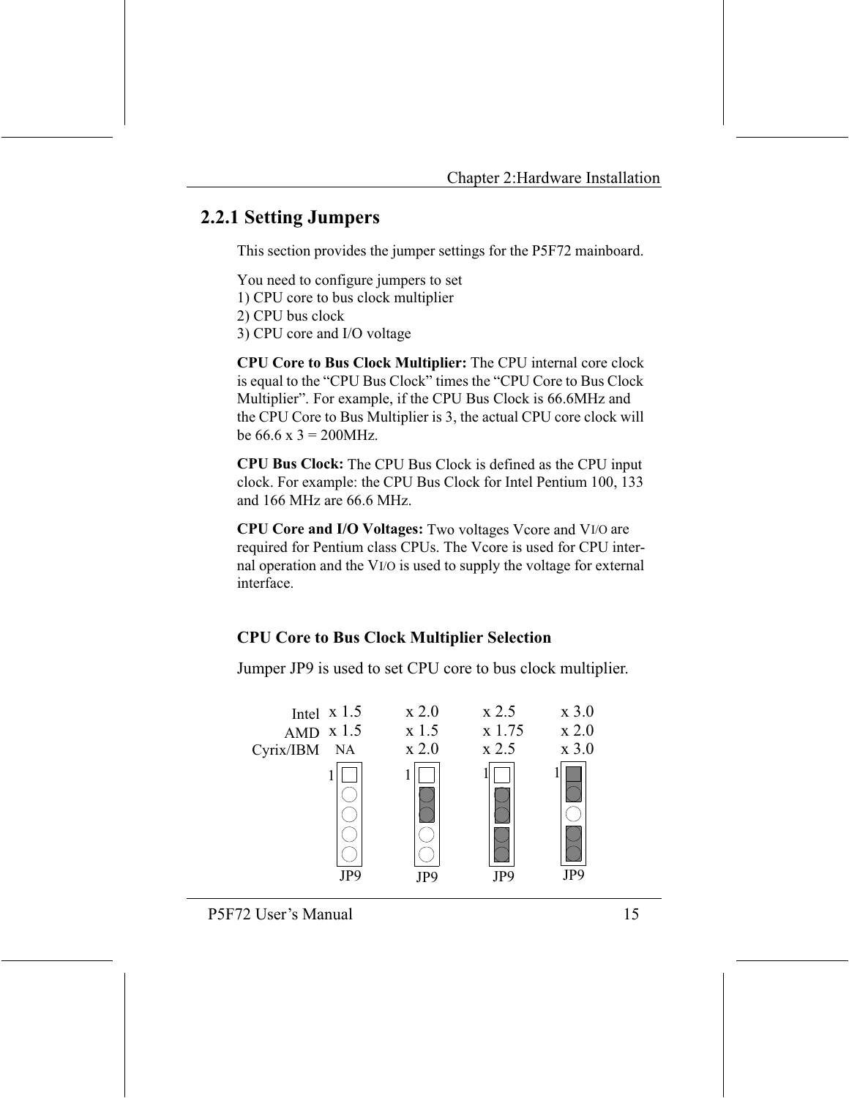## **2.2.1 Setting Jumpers**

This section provides the jumper settings for the P5F72 mainboard.

You need to configure jumpers to set

- 1) CPU core to bus clock multiplier
- 2) CPU bus clock
- 3) CPU core and I/O voltage

CPU Core to Bus Clock Multiplier: The CPU internal core clock is equal to the "CPU Bus Clock" times the "CPU Core to Bus Clock Multiplier". For example, if the CPU Bus Clock is 66.6MHz and the CPU Core to Bus Multiplier is 3, the actual CPU core clock will be  $66.6 \times 3 = 200$  MHz.

**CPU Bus Clock:** The CPU Bus Clock is defined as the CPU input clock. For example: the CPU Bus Clock for Intel Pentium 100, 133 and 166 MHz are 66.6 MHz.

CPU Core and I/O Voltages: Two voltages Vcore and VI/O are required for Pentium class CPUs. The Vcore is used for CPU internal operation and the VI/O is used to supply the voltage for external interface.

## **CPU Core to Bus Clock Multiplier Selection**

Jumper JP9 is used to set CPU core to bus clock multiplier.

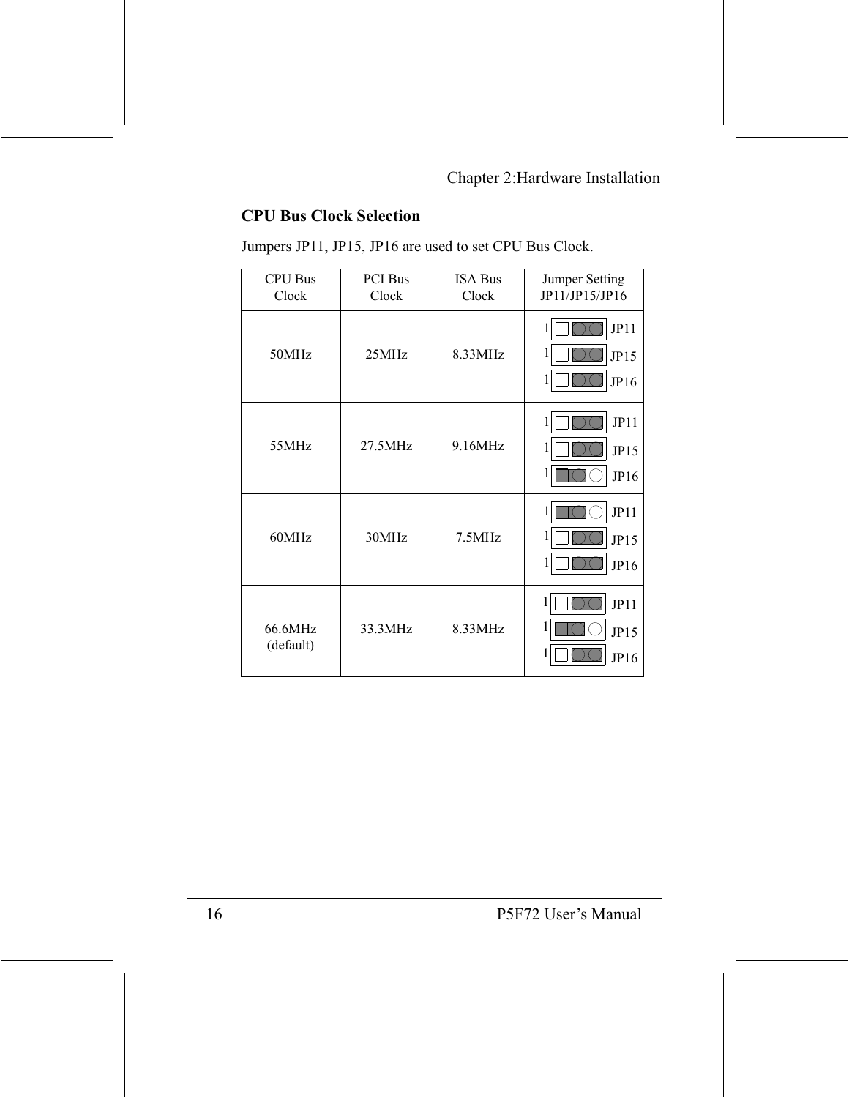#### **CPU Bus Clock Selection**

Jumpers JP11, JP15, JP16 are used to set CPU Bus Clock.

| <b>CPU Bus</b><br>Clock | PCI Bus<br>Clock | <b>ISA Bus</b><br>Clock | Jumper Setting<br>JP11/JP15/JP16    |
|-------------------------|------------------|-------------------------|-------------------------------------|
| 50MHz                   | 25MHz            | 8.33MHz                 | JP11<br>1<br>1<br>JP15<br>1<br>JP16 |
| 55MHz                   | 27.5MHz          | 9.16MHz                 | JPI1<br>1<br>1<br>JPI5<br>1<br>JP16 |
| 60MHz                   | 30MHz            | 7.5MHz                  | JPI1<br>1<br>1<br>JPI5<br>1<br>JP16 |
| 66.6MHz<br>(default)    | 33.3MHz          | 8.33MHz                 | JP11<br>1<br>JPI5<br>JP16           |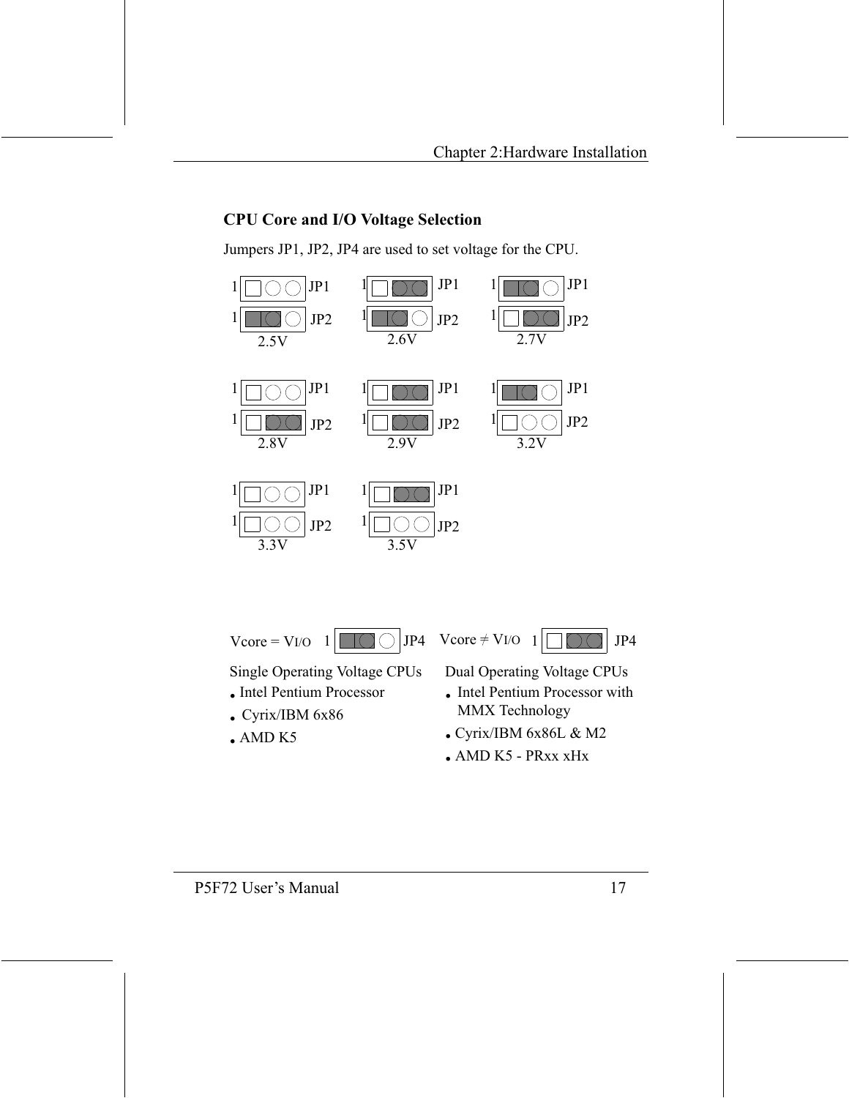#### **CPU Core and I/O Voltage Selection**

Jumpers JP1, JP2, JP4 are used to set voltage for the CPU.



 $Vcore = VI/O$ 

 $JP4$ 

 $Vcore \neq VI/O$ 



**Single Operating Voltage CPUs** 

1

- Intel Pentium Processor
- Cyrix/IBM 6x86
- $-MD K5$

**Dual Operating Voltage CPUs** 

- Intel Pentium Processor with MMX Technology
- $\bullet$  Cyrix/IBM 6x86L & M2
- $\bullet$  AMD K5 PRxx xHx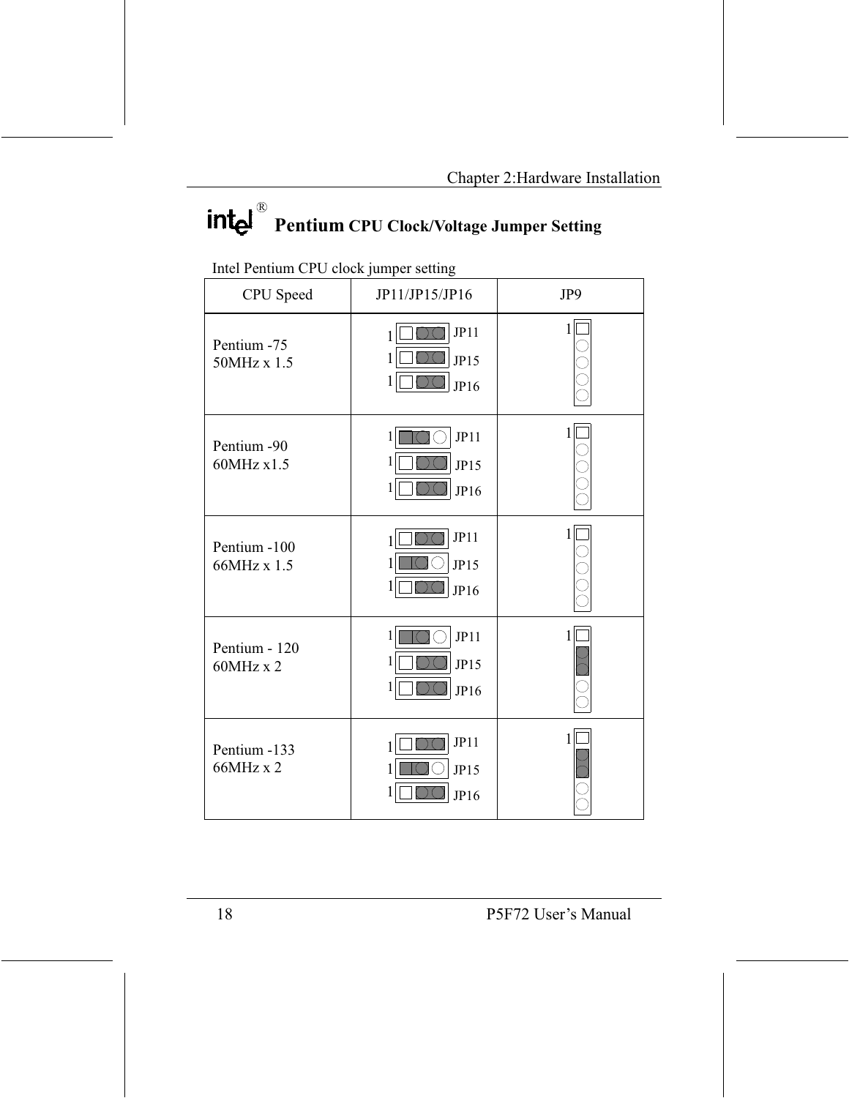# intel **Pentium CPU Clock/Voltage Jumper Setting**

| CPU Speed                   | JP11/JP15/JP16                      | JP9          |
|-----------------------------|-------------------------------------|--------------|
| Pentium -75<br>50MHz x 1.5  | JP11<br>JP15<br>I<br>JP16           | 1            |
| Pentium -90<br>60MHz x1.5   | JP11<br>1<br>1<br>JP15<br>1<br>JP16 | 1            |
| Pentium -100<br>66MHz x 1.5 | JPI1<br>JP15<br>I<br>JP16           | 1            |
| Pentium - 120<br>60MHz x 2  | JP11<br>1<br>1<br>JPI5<br>1<br>JP16 | $\mathbf{1}$ |
| Pentium -133<br>66MHz x 2   | JPI1<br>JP15<br>JP16                | $\mathbf{1}$ |

Intel Pentium CPU clock jumper setting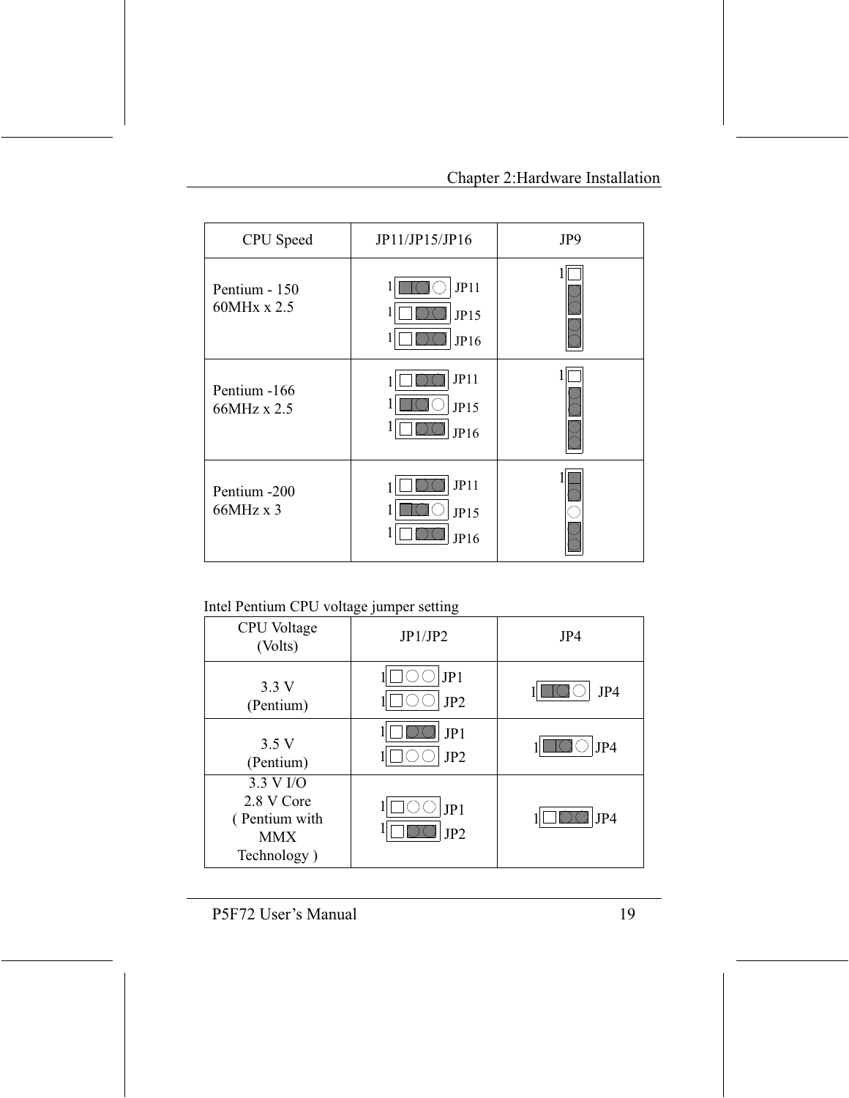| CPU Speed                        | JP11/JP15/JP16       | JP9 |
|----------------------------------|----------------------|-----|
| Pentium - 150<br>60MHx x 2.5     | JP11<br>JP15<br>JP16 |     |
| Pentium -166<br>66MHz x 2.5      | JP11<br>JP15<br>JP16 |     |
| Pentium -200<br>$66MHz \times 3$ | JPI1<br>JPI5<br>JP16 |     |

#### Intel Pentium CPU voltage jumper setting

| CPU Voltage<br>(Volts)                                                | JP1/JP2                | JP4 |
|-----------------------------------------------------------------------|------------------------|-----|
| 3.3V<br>(Pentium)                                                     | JP1<br>JP <sub>2</sub> | JP4 |
| 3.5V<br>(Pentium)                                                     | JP1<br>JP <sub>2</sub> | JP4 |
| 3.3 V I/O<br>2.8 V Core<br>(Pentium with<br><b>MMX</b><br>Technology) | JP1<br>JP <sub>2</sub> | JP4 |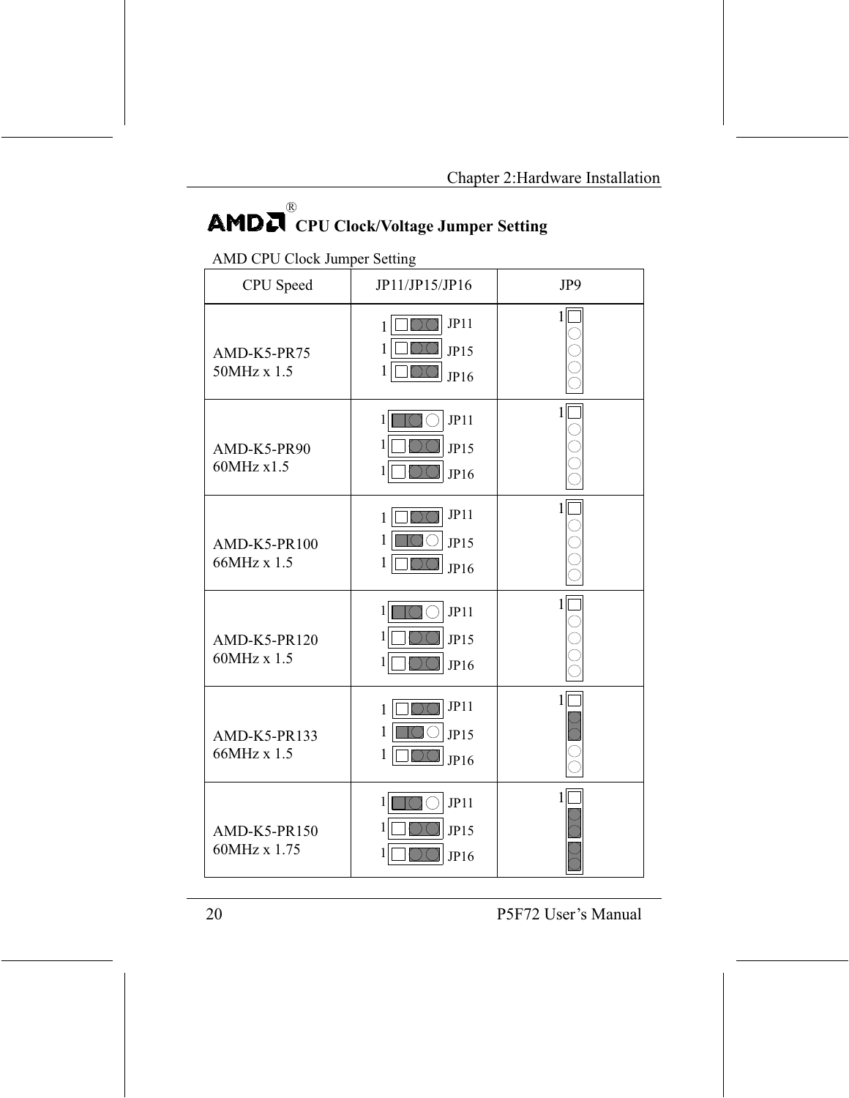## $\mathbf{R}$ **AMDN** CPU Clock/Voltage Jumper Setting

#### **AMD CPU Clock Jumper Setting**

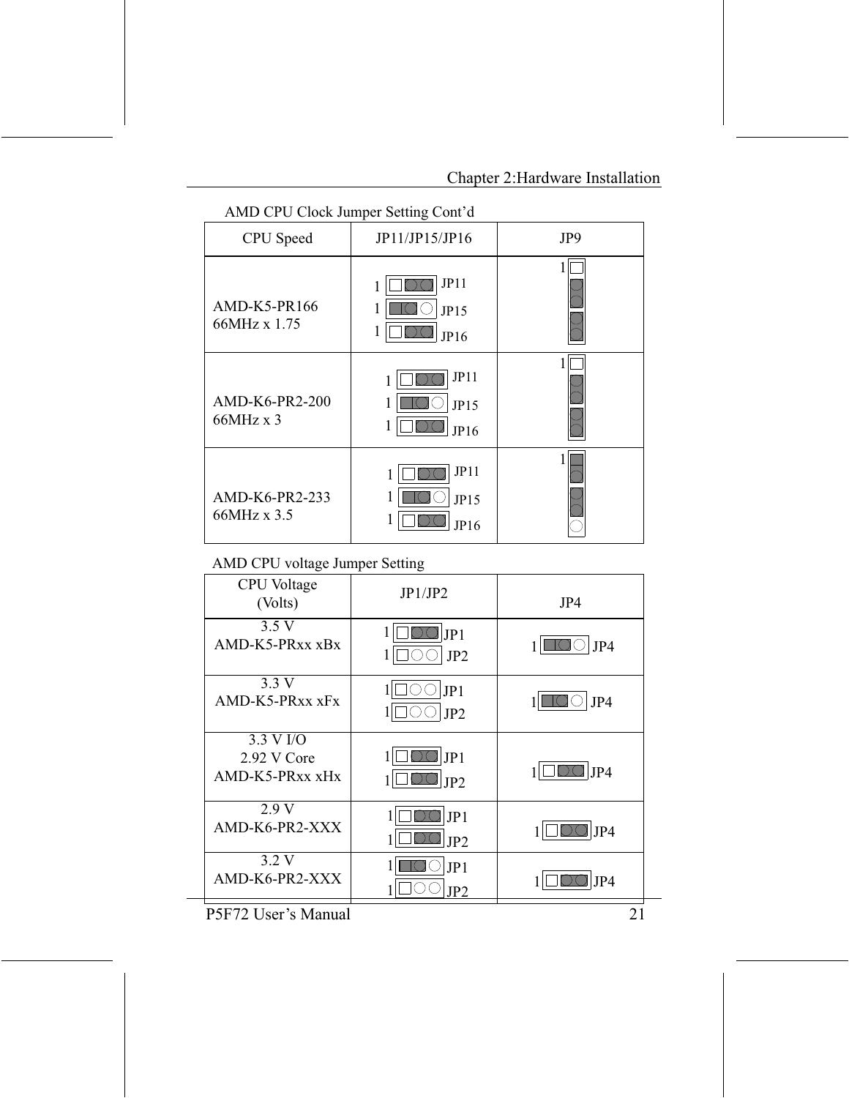| AND OF O CROCK JUMPER SCILLING COME OF |                      |     |  |
|----------------------------------------|----------------------|-----|--|
| CPU Speed                              | JP11/JP15/JP16       | JP9 |  |
| AMD-K5-PR166<br>66MHz x 1.75           | JPI1<br>JP15<br>JP16 |     |  |
| AMD-K6-PR2-200<br>66MHz x 3            | JP11<br>JP15<br>JP16 |     |  |
| AMD-K6-PR2-233<br>66MHz x 3.5          | JP11<br>JPI5<br>JP16 |     |  |

AMD CPU Clock Jumper Setting Cont'd

#### AMD CPU voltage Jumper Setting

| ັ                                           | д,<br>ັ                |     |
|---------------------------------------------|------------------------|-----|
| CPU Voltage<br>(Volts)                      | JP1/JP2                | JP4 |
| 3.5V<br>AMD-K5-PRxx xBx                     | JP1<br>JP <sub>2</sub> | JP4 |
| 3.3V<br>AMD-K5-PRxx xFx                     | JP1<br>JP <sub>2</sub> | JP4 |
| 3.3 V I/O<br>2.92 V Core<br>AMD-K5-PRxx xHx | JP1<br>JP2             | JP4 |
| 2.9V<br>AMD-K6-PR2-XXX                      | JP1<br>JP2             | JP4 |
| 3.2 V<br>AMD-K6-PR2-XXX                     | JP1<br>IP2             | JP4 |
|                                             |                        |     |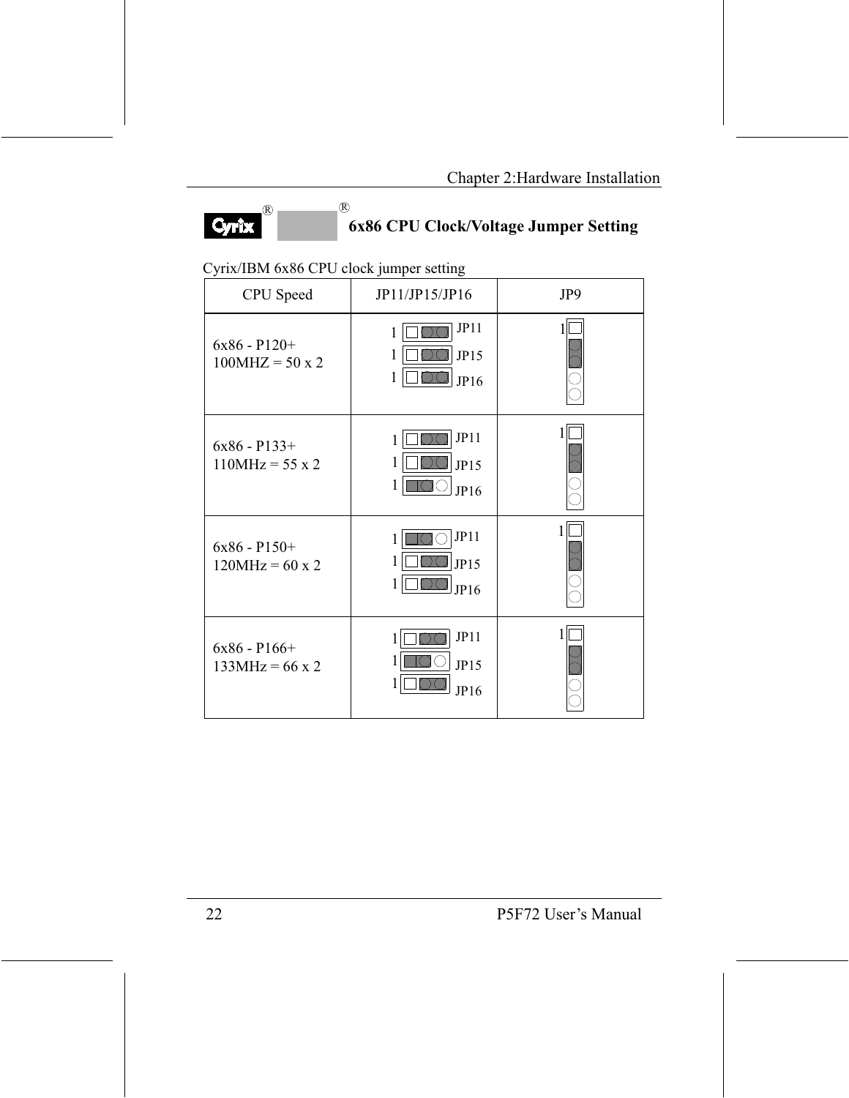

# 6x86 CPU Clock/Voltage Jumper Setting

#### Cyrix/IBM 6x86 CPU clock jumper setting

 $\overline{R}$ 

| CPU Speed                                 | JP11/JP15/JP16                      | JP9 |
|-------------------------------------------|-------------------------------------|-----|
| $6x86 - P120 +$<br>$100MHz = 50 \times 2$ | JP11<br>1<br>1<br>JP15<br>1<br>JP16 |     |
| $6x86 - P133 +$<br>$110MHz = 55 \times 2$ | JP11<br>1<br>1<br>JPI5<br>1<br>JP16 |     |
| $6x86 - P150 +$<br>$120MHz = 60 \times 2$ | JP11<br>1<br>1<br>JP15<br>1<br>JP16 |     |
| $6x86 - P166 +$<br>$133MHz = 66 \times 2$ | JP11<br>1<br>1<br>JPI5<br>1<br>JP16 |     |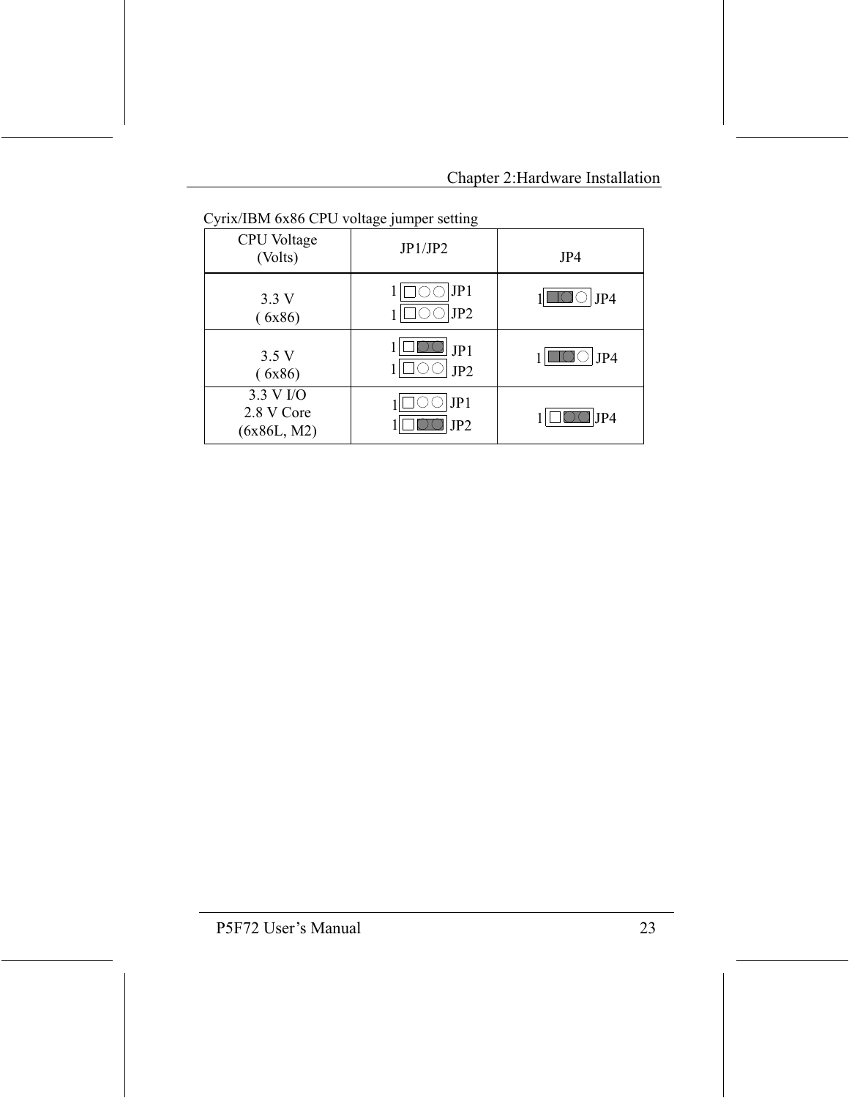| $\epsilon$ of $\epsilon$ and $\epsilon$ of $\epsilon$ and $\epsilon$ and $\epsilon$ and $\epsilon$ and $\epsilon$ |                        |     |  |
|-------------------------------------------------------------------------------------------------------------------|------------------------|-----|--|
| <b>CPU</b> Voltage<br>(Volts)                                                                                     | JP1/JP2                | JP4 |  |
| 3.3 V<br>(6x86)                                                                                                   | JP1<br>JP <sub>2</sub> | JP4 |  |
| 3.5V<br>(6x86)                                                                                                    | JP1<br>JP <sub>2</sub> | JP4 |  |
| 3.3 V I/O<br>2.8 V Core<br>(6x86L, M2)                                                                            | JP1<br>JP <sub>2</sub> | JP4 |  |

Cyrix/IBM 6x86 CPU voltage jumper setting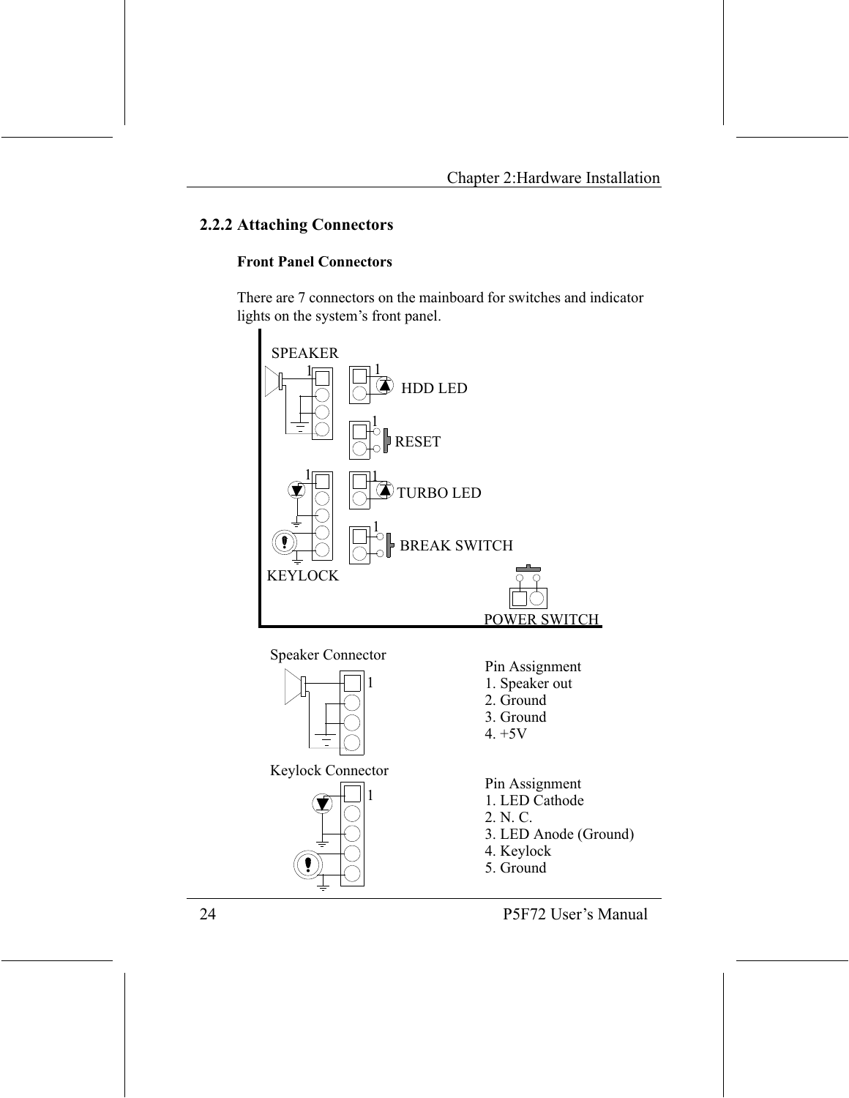#### 2.2.2 Attaching Connectors

#### **Front Panel Connectors**

There are 7 connectors on the mainboard for switches and indicator lights on the system's front panel.



**Speaker Connector** 



Keylock Connector



- Pin Assignment
- 1. Speaker out
- 2. Ground
- 3. Ground
- $4. +5V$

Pin Assignment

- 1. LED Cathode
- 2. N. C.
- 3. LED Anode (Ground)
- 4. Keylock
- 5. Ground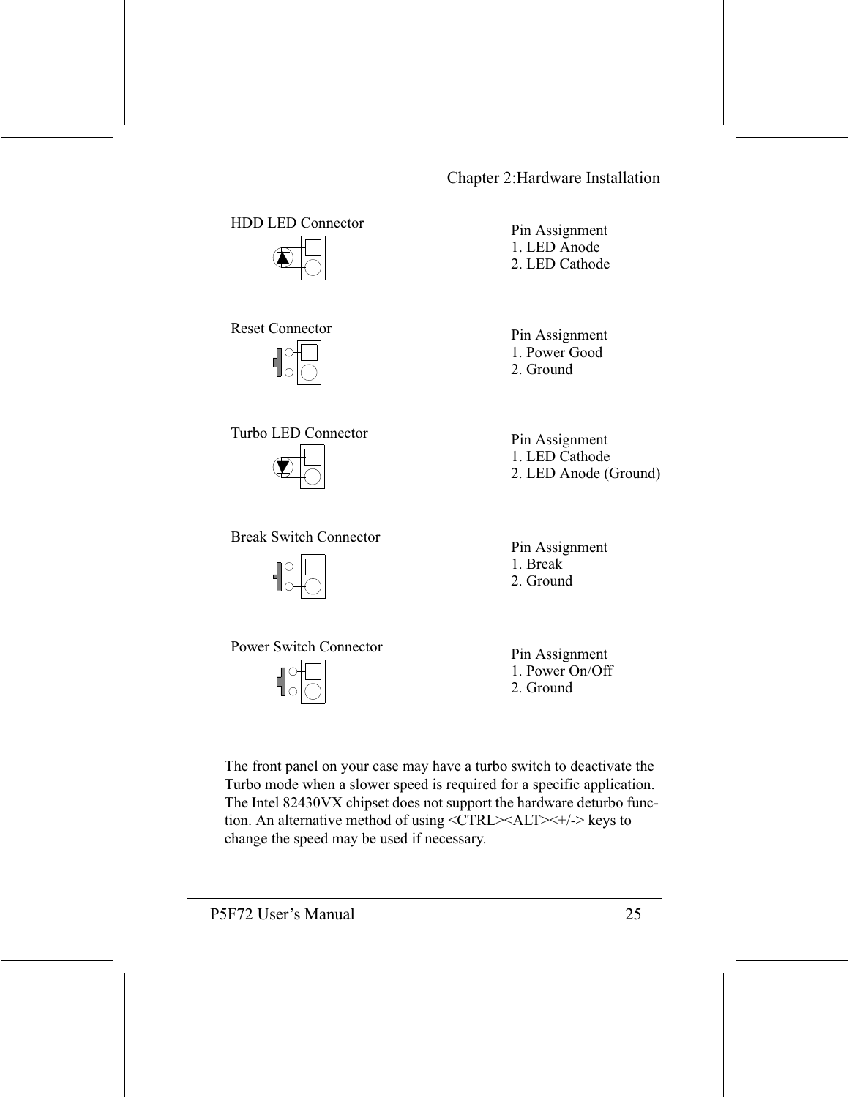**HDD LED Connector** 



#### **Reset Connector**







**Break Switch Connector** 

Pin Assignment 1. LED Anode 2 LED Cathode

Pin Assignment 1. Power Good 2. Ground

Pin Assignment 1. LED Cathode 2. LED Anode (Ground)

Pin Assignment 1. Break 2. Ground

Power Switch Connector



Pin Assignment 1 Power On/Off 2. Ground

The front panel on your case may have a turbo switch to deactivate the Turbo mode when a slower speed is required for a specific application. The Intel 82430VX chipset does not support the hardware deturbo function. An alternative method of using <CTRL><ALT><+/-> keys to change the speed may be used if necessary.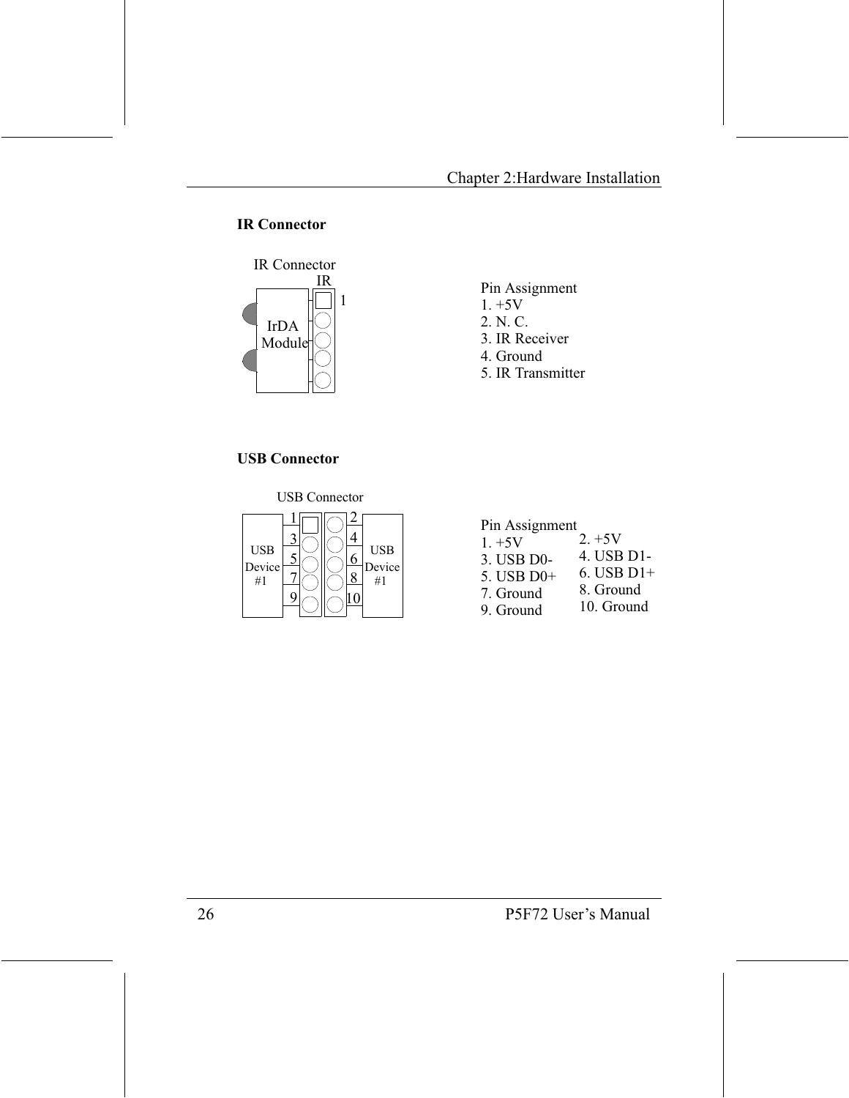#### **IR Connector**



#### Pin Assignment

- $1. +5V$
- 2. N. C.
- 3. IR Receiver
- 4. Ground
- 5. IR Transmitter

#### **USB Connector**

**USB Connector** 



#### Pin Assignment

 $2. +5V$  $1. +5V$ 4. USB D1-3. USB D0- $6.$  USB D1+ 5. USB D0+ 8. Ground 7. Ground 10. Ground 9 Ground

P5F72 User's Manual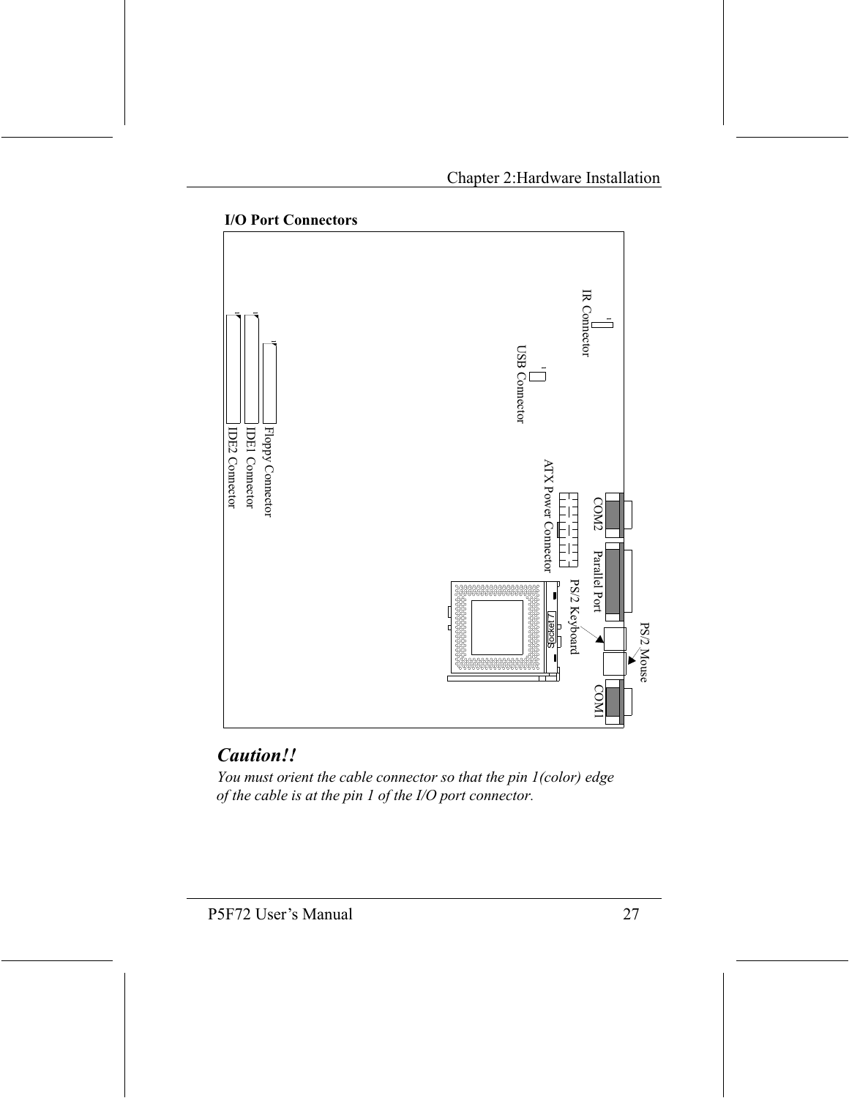

#### **I/O Port Connectors**

## Caution!!

You must orient the cable connector so that the pin 1(color) edge of the cable is at the pin 1 of the I/O port connector.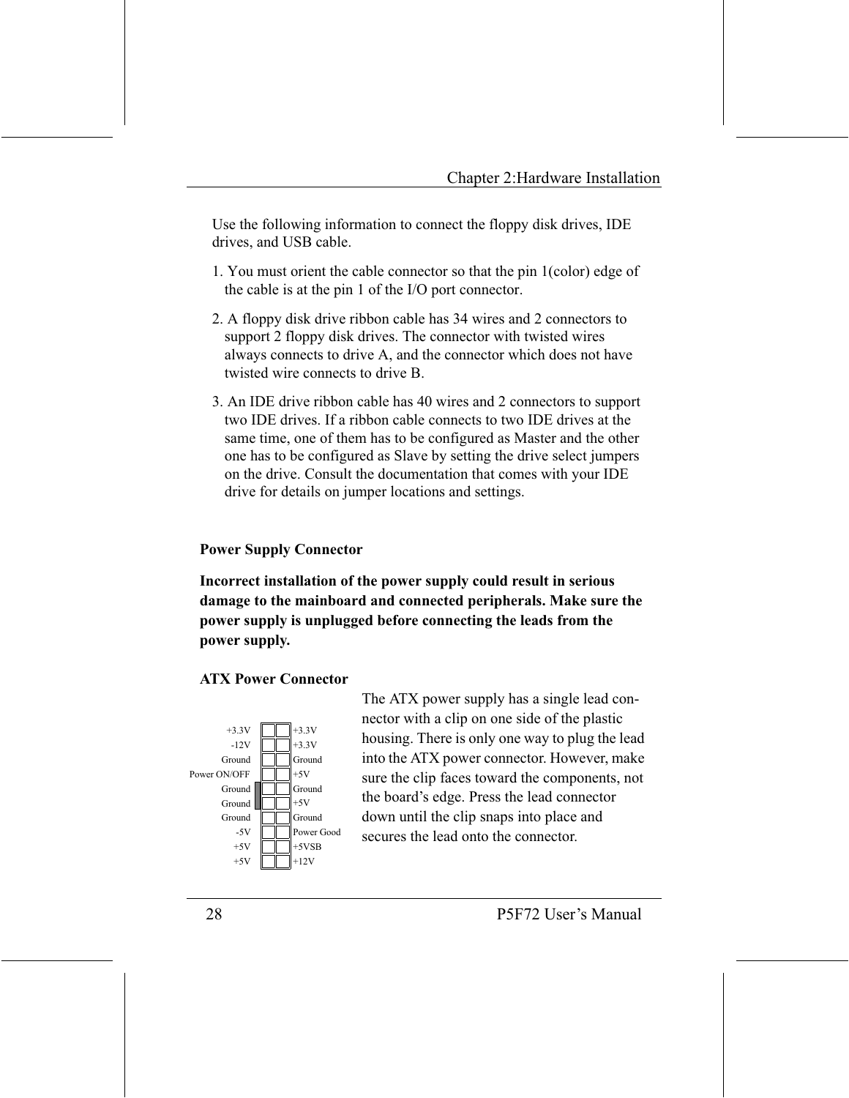Use the following information to connect the floppy disk drives, IDE drives, and USB cable.

- 1. You must orient the cable connector so that the pin 1(color) edge of the cable is at the pin 1 of the I/O port connector.
- 2. A floppy disk drive ribbon cable has 34 wires and 2 connectors to support 2 floppy disk drives. The connector with twisted wires always connects to drive A, and the connector which does not have twisted wire connects to drive B
- 3. An IDE drive ribbon cable has 40 wires and 2 connectors to support two IDE drives. If a ribbon cable connects to two IDE drives at the same time, one of them has to be configured as Master and the other one has to be configured as Slave by setting the drive select jumpers on the drive. Consult the documentation that comes with your IDE drive for details on jumper locations and settings.

#### **Power Supply Connector**

Incorrect installation of the power supply could result in serious damage to the mainboard and connected peripherals. Make sure the power supply is unplugged before connecting the leads from the power supply.

#### **ATX Power Connector**



The ATX power supply has a single lead connector with a clip on one side of the plastic housing. There is only one way to plug the lead into the ATX power connector. However, make sure the clip faces toward the components, not the board's edge. Press the lead connector down until the clip snaps into place and secures the lead onto the connector.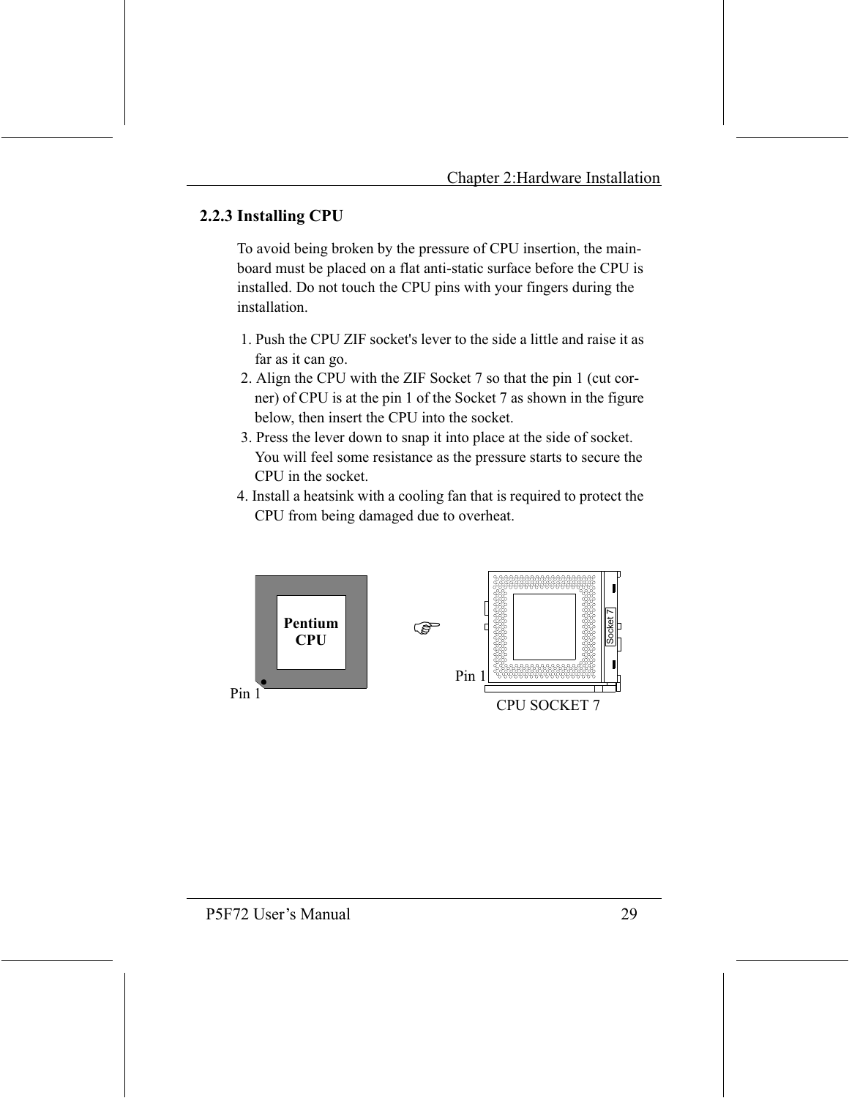### 2.2.3 Installing CPU

To avoid being broken by the pressure of CPU insertion, the mainboard must be placed on a flat anti-static surface before the CPU is installed. Do not touch the CPU pins with your fingers during the installation

- 1. Push the CPU ZIF socket's lever to the side a little and raise it as far as it can go.
- 2. Align the CPU with the ZIF Socket 7 so that the pin 1 (cut corner) of CPU is at the pin 1 of the Socket 7 as shown in the figure below, then insert the CPU into the socket.
- 3. Press the lever down to snap it into place at the side of socket. You will feel some resistance as the pressure starts to secure the CPU in the socket.
- 4. Install a heatsink with a cooling fan that is required to protect the CPU from being damaged due to overheat.

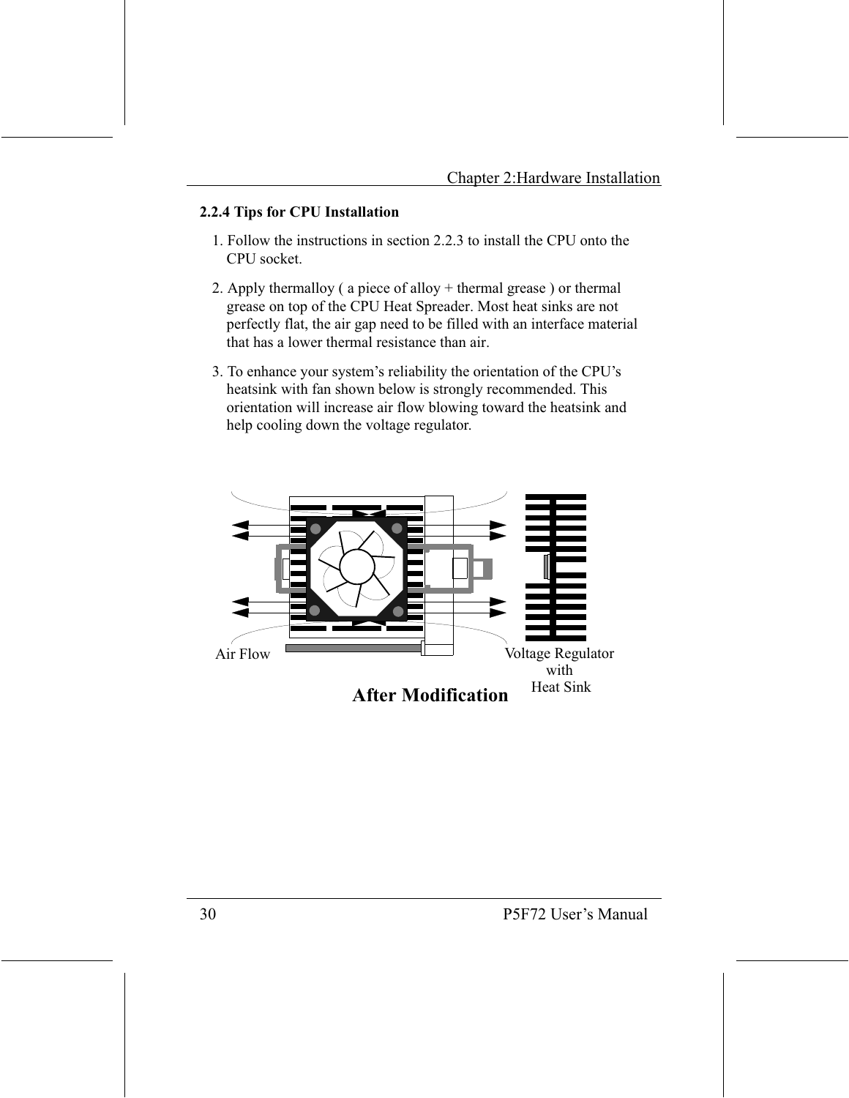#### 2.2.4 Tips for CPU Installation

- 1. Follow the instructions in section 2.2.3 to install the CPU onto the CPU socket.
- 2. Apply thermalloy ( $a$  piece of alloy  $+$  thermal grease) or thermal grease on top of the CPU Heat Spreader. Most heat sinks are not perfectly flat, the air gap need to be filled with an interface material that has a lower thermal resistance than air.
- 3. To enhance your system's reliability the orientation of the CPU's heatsink with fan shown below is strongly recommended. This orientation will increase air flow blowing toward the heatsink and help cooling down the voltage regulator.

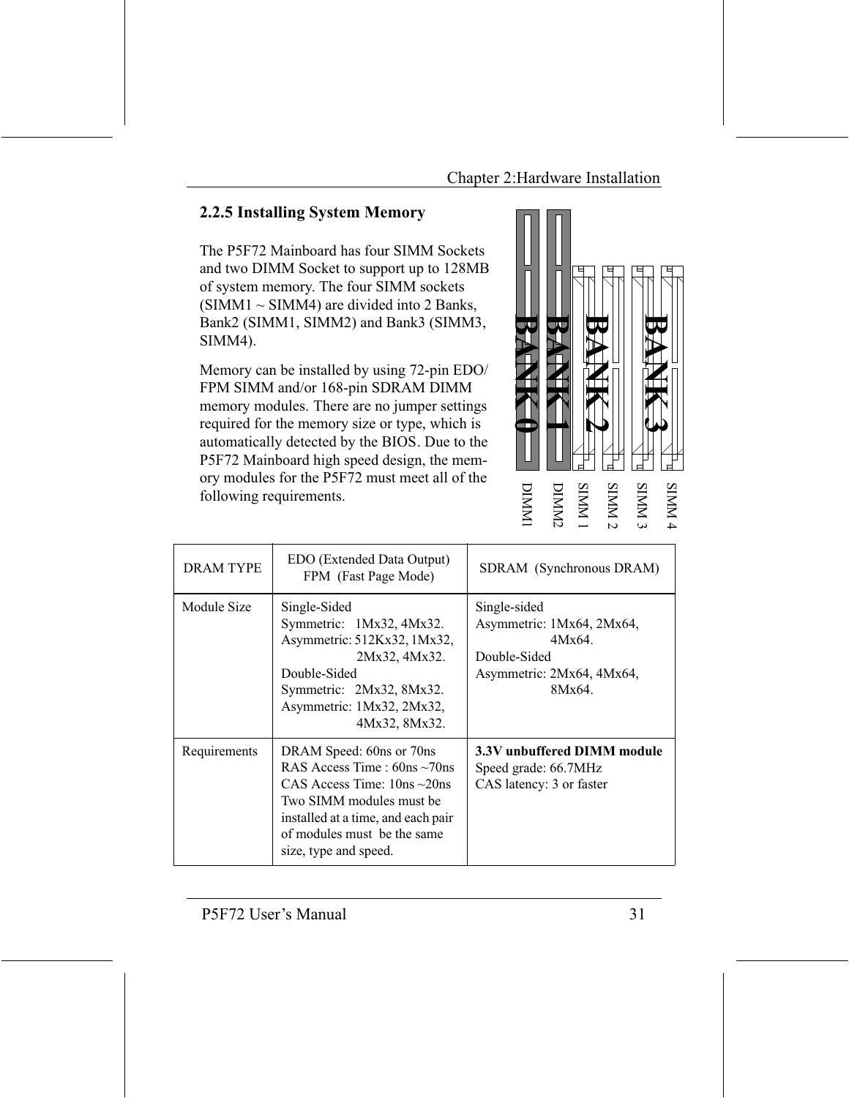## 2.2.5 Installing System Memory

The P5F72 Mainboard has four SIMM Sockets and two DIMM Socket to support up to 128MB of system memory. The four SIMM sockets  $(SIMM1 \sim SIMM4)$  are divided into 2 Banks, Bank2 (SIMM1, SIMM2) and Bank3 (SIMM3, SIMM4).

Memory can be installed by using 72-pin EDO/ FPM SIMM and/or 168-pin SDRAM DIMM memory modules. There are no jumper settings required for the memory size or type, which is automatically detected by the BIOS. Due to the P5F72 Mainboard high speed design, the memory modules for the P5F72 must meet all of the following requirements.



| <b>DRAM TYPE</b> | EDO (Extended Data Output)<br>FPM (Fast Page Mode)                                                                                                                                                                             | SDRAM (Synchronous DRAM)                                                                                   |
|------------------|--------------------------------------------------------------------------------------------------------------------------------------------------------------------------------------------------------------------------------|------------------------------------------------------------------------------------------------------------|
| Module Size      | Single-Sided<br>Symmetric: 1Mx32, 4Mx32.<br>Asymmetric: 512Kx32, 1Mx32,<br>2Mx32, 4Mx32.<br>Double-Sided<br>Symmetric: 2Mx32, 8Mx32.<br>Asymmetric: 1Mx32, 2Mx32,<br>4Mx32, 8Mx32.                                             | Single-sided<br>Asymmetric: 1Mx64, 2Mx64,<br>4Mx64.<br>Double-Sided<br>Asymmetric: 2Mx64, 4Mx64,<br>8Mx64. |
| Requirements     | DRAM Speed: 60ns or 70ns<br>RAS Access Time : $60ns \sim 70$ ns<br>CAS Access Time: $10ns \sim 20ns$<br>Two SIMM modules must be<br>installed at a time, and each pair<br>of modules must be the same<br>size, type and speed. | 3.3V unbuffered DIMM module<br>Speed grade: 66.7MHz<br>CAS latency: 3 or faster                            |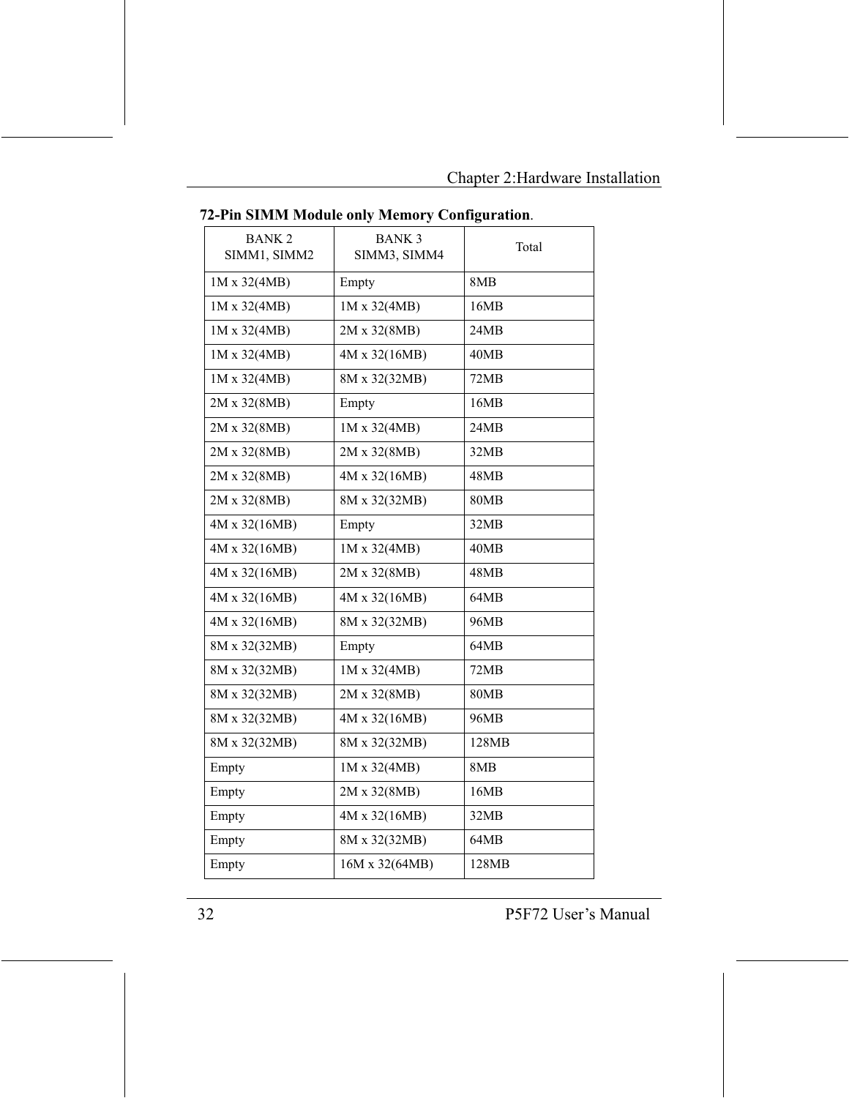|                              |                                       | 0           |
|------------------------------|---------------------------------------|-------------|
| <b>BANK2</b><br>SIMM1, SIMM2 | <b>BANK3</b><br>Total<br>SIMM3, SIMM4 |             |
| 1M x 32(4MB)                 | Empty                                 | 8MB         |
| 1M x 32(4MB)                 | 1M x 32(4MB)                          | 16MB        |
| 1M x 32(4MB)                 | 2M x 32(8MB)                          | 24MB        |
| 1M x 32(4MB)                 | 4M x 32(16MB)                         | 40MB        |
| 1M x 32(4MB)                 | 8M x 32(32MB)                         | 72MB        |
| 2M x 32(8MB)                 | Empty                                 | 16MB        |
| 2M x 32(8MB)                 | 1M x 32(4MB)                          | 24MB        |
| 2M x 32(8MB)                 | 2M x 32(8MB)                          | 32MB        |
| 2M x 32(8MB)                 | 4M x 32(16MB)                         | 48MB        |
| 2M x 32(8MB)                 | 8M x 32(32MB)                         | <b>80MB</b> |
| 4M x 32(16MB)                | Empty                                 | 32MB        |
| 4M x 32(16MB)                | 1M x 32(4MB)                          | 40MB        |
| 4M x 32(16MB)                | 2M x 32(8MB)                          | 48MB        |
| 4M x 32(16MB)                | 4M x 32(16MB)                         | 64MB        |
| 4M x 32(16MB)                | 8M x 32(32MB)                         | 96MB        |
| 8M x 32(32MB)                | Empty                                 | 64MB        |
| 8M x 32(32MB)                | 1M x 32(4MB)                          | 72MB        |
| 8M x 32(32MB)                | 2M x 32(8MB)                          | <b>80MB</b> |
| 8M x 32(32MB)                | 4M x 32(16MB)                         | 96MB        |
| 8M x 32(32MB)                | 8M x 32(32MB)                         | 128MB       |
| Empty                        | 1M x 32(4MB)                          | 8MB         |
| Empty                        | 2M x 32(8MB)                          | 16MB        |
| Empty                        | 4M x 32(16MB)                         | 32MB        |
| Empty                        | 8M x 32(32MB)                         | 64MB        |
| Empty                        | 16M x 32(64MB)                        | 128MB       |

72-Pin SIMM Module only Memory Configuration.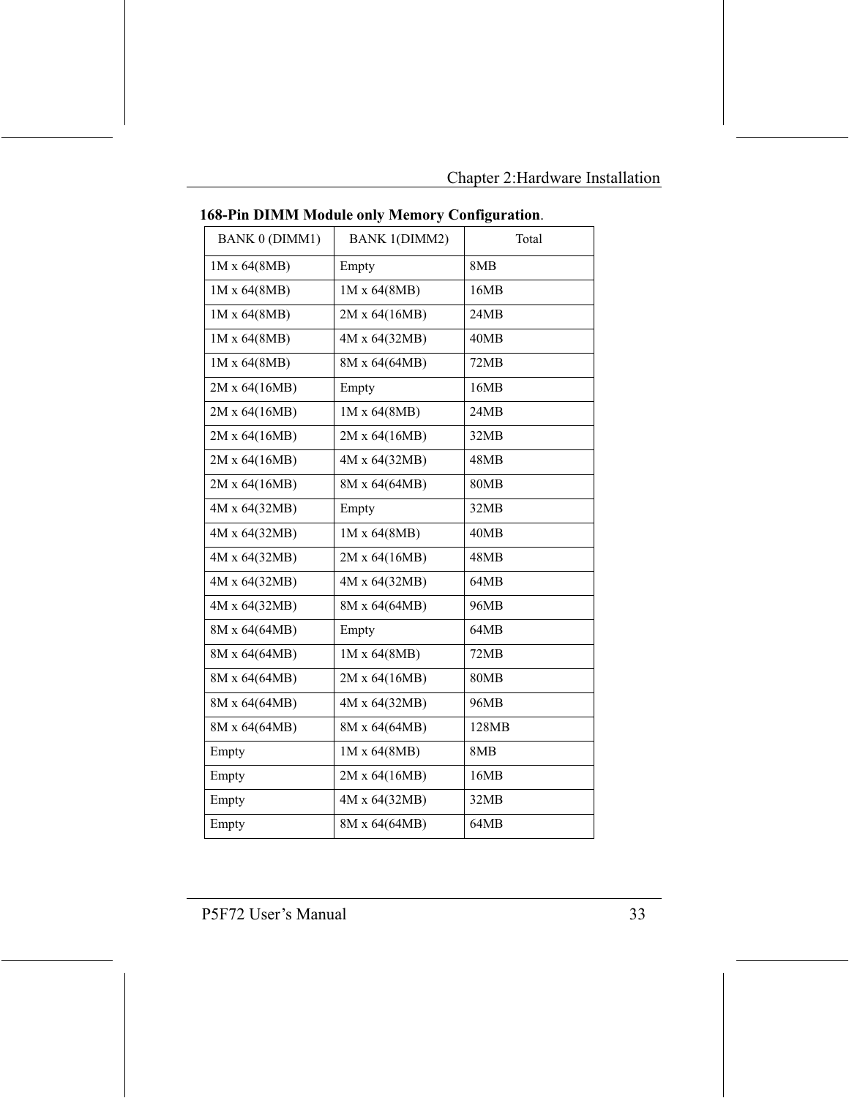| <b>BANK 0 (DIMM1)</b> | <b>BANK 1(DIMM2)</b> | Total       |
|-----------------------|----------------------|-------------|
| 1M x 64(8MB)          | Empty                | 8MB         |
| 1M x 64(8MB)          | 1M x 64(8MB)         | 16MB        |
| 1M x 64(8MB)          | 2M x 64(16MB)        | 24MB        |
| 1M x 64(8MB)          | 4M x 64(32MB)        | 40MB        |
| 1M x 64(8MB)          | 8M x 64(64MB)        | 72MB        |
| 2M x 64(16MB)         | Empty                | 16MB        |
| 2M x 64(16MB)         | 1M x 64(8MB)         | 24MB        |
| 2M x 64(16MB)         | 2M x 64(16MB)        | 32MB        |
| 2M x 64(16MB)         | 4M x 64(32MB)        | 48MB        |
| 2M x 64(16MB)         | 8M x 64(64MB)        | <b>80MB</b> |
| 4M x 64(32MB)         | Empty                | 32MB        |
| 4M x 64(32MB)         | 1M x 64(8MB)         | 40MB        |
| 4M x 64(32MB)         | 2M x 64(16MB)        | 48MB        |
| 4M x 64(32MB)         | 4M x 64(32MB)        | 64MB        |
| 4M x 64(32MB)         | 8M x 64(64MB)        | 96MB        |
| 8M x 64(64MB)         | Empty                | 64MB        |
| 8M x 64(64MB)         | 1M x 64(8MB)         | 72MB        |
| 8M x 64(64MB)         | 2M x 64(16MB)        | <b>80MB</b> |
| 8M x 64(64MB)         | 4M x 64(32MB)        | 96MB        |
| 8M x 64(64MB)         | 8M x 64(64MB)        | 128MB       |
| Empty                 | 1M x 64(8MB)         | 8MB         |
| Empty                 | 2M x 64(16MB)        | 16MB        |
| Empty                 | 4M x 64(32MB)        | 32MB        |
| Empty                 | 8M x 64(64MB)        | 64MB        |
|                       |                      |             |

168-Pin DIMM Module only Memory Configuration.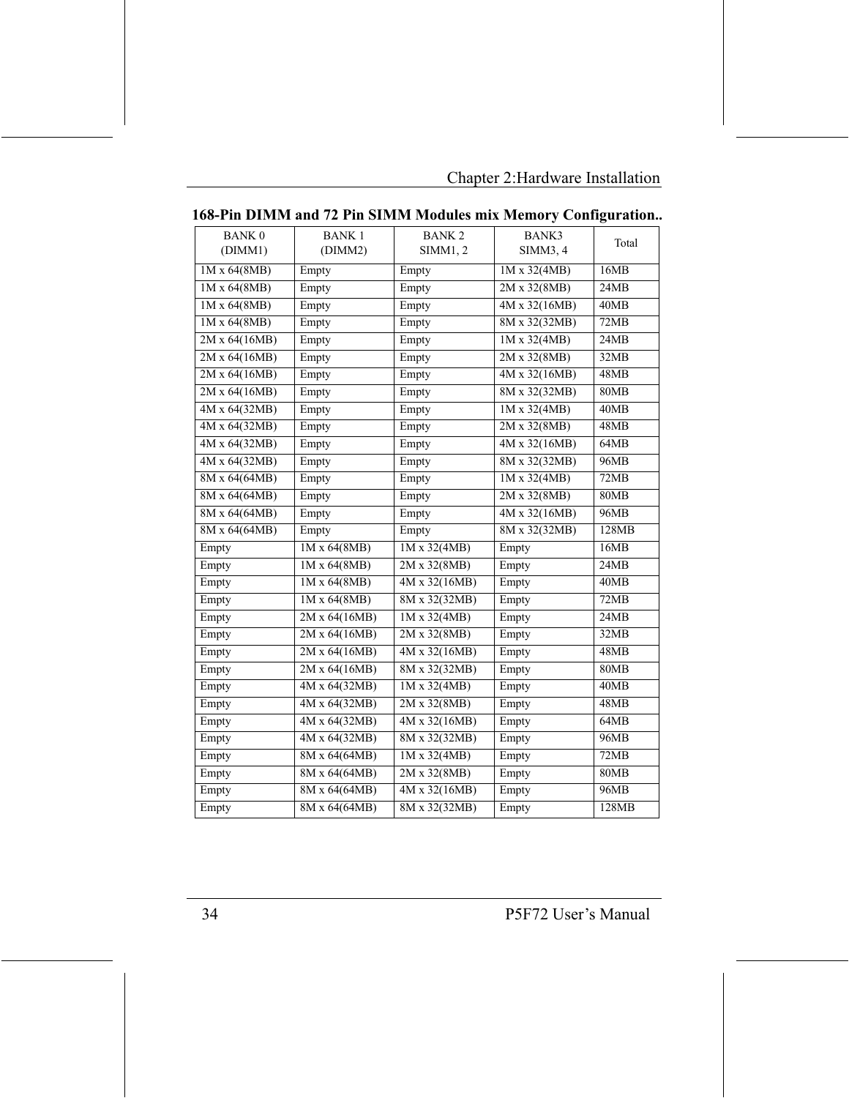|                     |                     | попупут гломится них гленногу |                     | $\sum$      |
|---------------------|---------------------|-------------------------------|---------------------|-------------|
| <b>BANK0</b>        | <b>BANK1</b>        | <b>BANK2</b>                  | BANK3               | Total       |
| (DIMM1)             | (DIMM2)             | SIMM1, 2                      | SIMM3, 4            |             |
| 1M x 64(8MB)        | Empty               | Empty                         | $1M \times 32(4MB)$ | 16MB        |
| 1M x 64(8MB)        | Empty               | Empty                         | 2M x 32(8MB)        | 24MB        |
| 1M x 64(8MB)        | Empty               | Empty                         | 4M x 32(16MB)       | 40MB        |
| $1M \times 64(8MB)$ | Empty               | Empty                         | 8M x 32(32MB)       | 72MB        |
| 2M x 64(16MB)       | Empty               | Empty                         | 1M x 32(4MB)        | 24MB        |
| 2M x 64(16MB)       | Empty               | Empty                         | 2M x 32(8MB)        | 32MB        |
| 2M x 64(16MB)       | Empty               | Empty                         | 4M x 32(16MB)       | 48MB        |
| 2M x 64(16MB)       | Empty               | Empty                         | 8M x 32(32MB)       | 80MB        |
| 4M x 64(32MB)       | Empty               | Empty                         | 1M x 32(4MB)        | 40MB        |
| 4M x 64(32MB)       | Empty               | Empty                         | 2M x 32(8MB)        | 48MB        |
| 4M x 64(32MB)       | Empty               | Empty                         | 4M x 32(16MB)       | 64MB        |
| 4M x 64(32MB)       | Empty               | Empty                         | 8M x 32(32MB)       | 96MB        |
| 8M x 64(64MB)       | Empty               | Empty                         | $1M \times 32(4MB)$ | 72MB        |
| 8M x 64(64MB)       | Empty               | Empty                         | 2M x 32(8MB)        | <b>80MB</b> |
| 8M x 64(64MB)       | Empty               | Empty                         | 4M x 32(16MB)       | 96MB        |
| 8M x 64(64MB)       | Empty               | Empty                         | 8M x 32(32MB)       | 128MB       |
| Empty               | $1M \times 64(8MB)$ | 1M x 32(4MB)                  | Empty               | 16MB        |
| Empty               | 1M x 64(8MB)        | 2M x 32(8MB)                  | Empty               | 24MB        |
| Empty               | 1M x 64(8MB)        | 4M x 32(16MB)                 | Empty               | 40MB        |
| Empty               | 1M x 64(8MB)        | 8M x 32(32MB)                 | Empty               | 72MB        |
| Empty               | 2M x 64(16MB)       | 1M x 32(4MB)                  | Empty               | 24MB        |
| Empty               | 2M x 64(16MB)       | 2M x 32(8MB)                  | Empty               | 32MB        |
| Empty               | 2M x 64(16MB)       | 4M x 32(16MB)                 | Empty               | 48MB        |
| Empty               | 2M x 64(16MB)       | 8M x 32(32MB)                 | Empty               | <b>80MB</b> |
| Empty               | 4M x 64(32MB)       | $1M \times 32(4MB)$           | Empty               | 40MB        |
| Empty               | 4M x 64(32MB)       | 2M x 32(8MB)                  | Empty               | 48MB        |
| Empty               | 4M x 64(32MB)       | 4M x 32(16MB)                 | Empty               | 64MB        |
| Empty               | 4M x 64(32MB)       | 8M x 32(32MB)                 | Empty               | 96MB        |
| Empty               | 8M x 64(64MB)       | $1M \times 32(4MB)$           | Empty               | 72MB        |
| Empty               | 8M x 64(64MB)       | 2M x 32(8MB)                  | Empty               | <b>80MB</b> |
| Empty               | 8M x 64(64MB)       | 4M x 32(16MB)                 | Empty               | 96MB        |
| Empty               | 8M x 64(64MB)       | 8M x 32(32MB)                 | Empty               | 128MB       |

168-Pin DIMM and 72 Pin SIMM Modules mix Memory Configuration..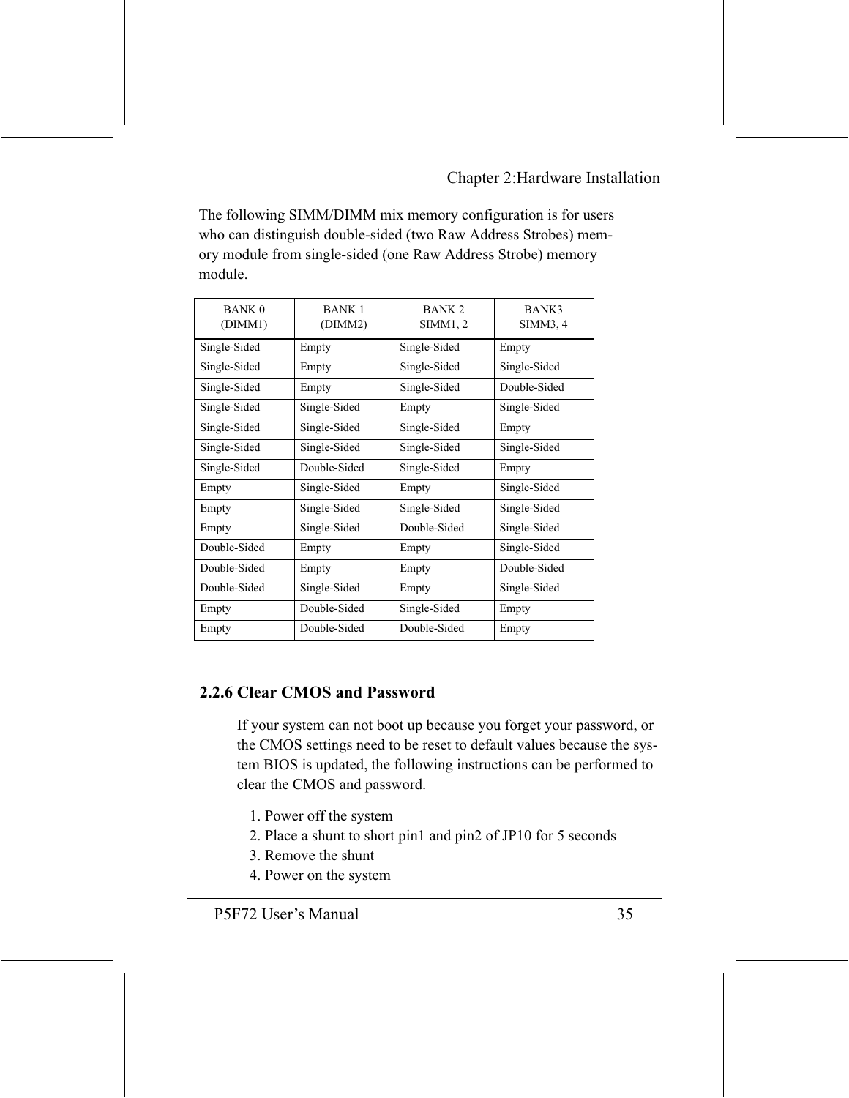The following SIMM/DIMM mix memory configuration is for users who can distinguish double-sided (two Raw Address Strobes) memory module from single-sided (one Raw Address Strobe) memory module

| <b>BANK 0</b><br>(DIMM1) | <b>BANK 1</b><br>(DIMM2) | BANK <sub>2</sub><br>SIMM1, 2 | BANK3<br>SIMM3, 4 |
|--------------------------|--------------------------|-------------------------------|-------------------|
| Single-Sided             | Empty                    | Single-Sided                  | Empty             |
| Single-Sided             | Empty                    | Single-Sided                  | Single-Sided      |
| Single-Sided             | Empty                    | Single-Sided                  | Double-Sided      |
| Single-Sided             | Single-Sided             | Empty                         | Single-Sided      |
| Single-Sided             | Single-Sided             | Single-Sided                  | Empty             |
| Single-Sided             | Single-Sided             | Single-Sided                  | Single-Sided      |
| Single-Sided             | Double-Sided             | Single-Sided                  | Empty             |
| Empty                    | Single-Sided             | Empty                         | Single-Sided      |
| Empty                    | Single-Sided             | Single-Sided                  | Single-Sided      |
| Empty                    | Single-Sided             | Double-Sided                  | Single-Sided      |
| Double-Sided             | Empty                    | Empty                         | Single-Sided      |
| Double-Sided             | Empty                    | Empty                         | Double-Sided      |
| Double-Sided             | Single-Sided             | Empty                         | Single-Sided      |
| Empty                    | Double-Sided             | Single-Sided                  | Empty             |
| Empty                    | Double-Sided             | Double-Sided                  | Empty             |

#### 2.2.6 Clear CMOS and Password

If your system can not boot up because you forget your password, or the CMOS settings need to be reset to default values because the system BIOS is updated, the following instructions can be performed to clear the CMOS and password.

- 1. Power off the system
- 2. Place a shunt to short pin1 and pin2 of JP10 for 5 seconds
- 3. Remove the shunt
- 4. Power on the system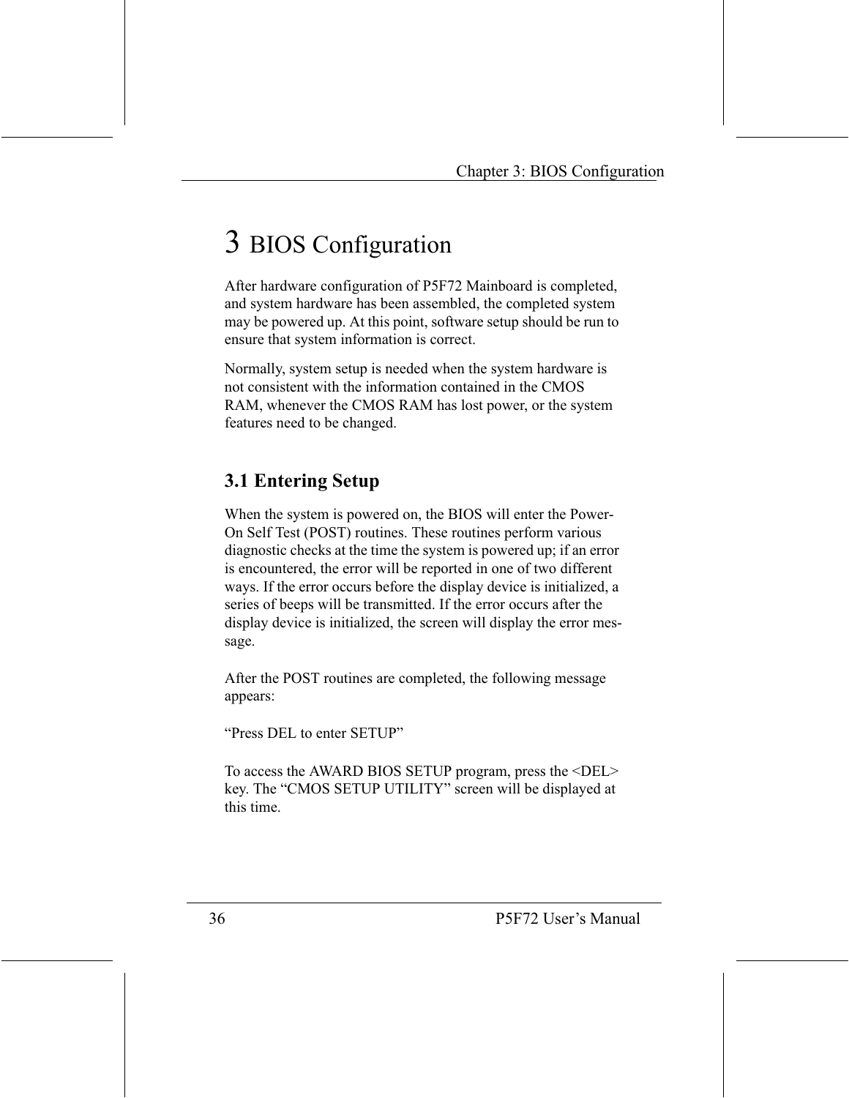# 3 BIOS Configuration

After hardware configuration of P5F72 Mainboard is completed, and system hardware has been assembled, the completed system may be powered up. At this point, software setup should be run to ensure that system information is correct.

Normally, system setup is needed when the system hardware is not consistent with the information contained in the CMOS RAM, whenever the CMOS RAM has lost power, or the system features need to be changed.

## **3.1 Entering Setup**

When the system is powered on, the BIOS will enter the Power-On Self Test (POST) routines. These routines perform various diagnostic checks at the time the system is powered up; if an error is encountered, the error will be reported in one of two different ways. If the error occurs before the display device is initialized, a series of beeps will be transmitted. If the error occurs after the display device is initialized, the screen will display the error message.

After the POST routines are completed, the following message appears:

"Press DEL to enter SETUP"

To access the AWARD BIOS SETUP program, press the <DEL> key. The "CMOS SETUP UTILITY" screen will be displayed at this time.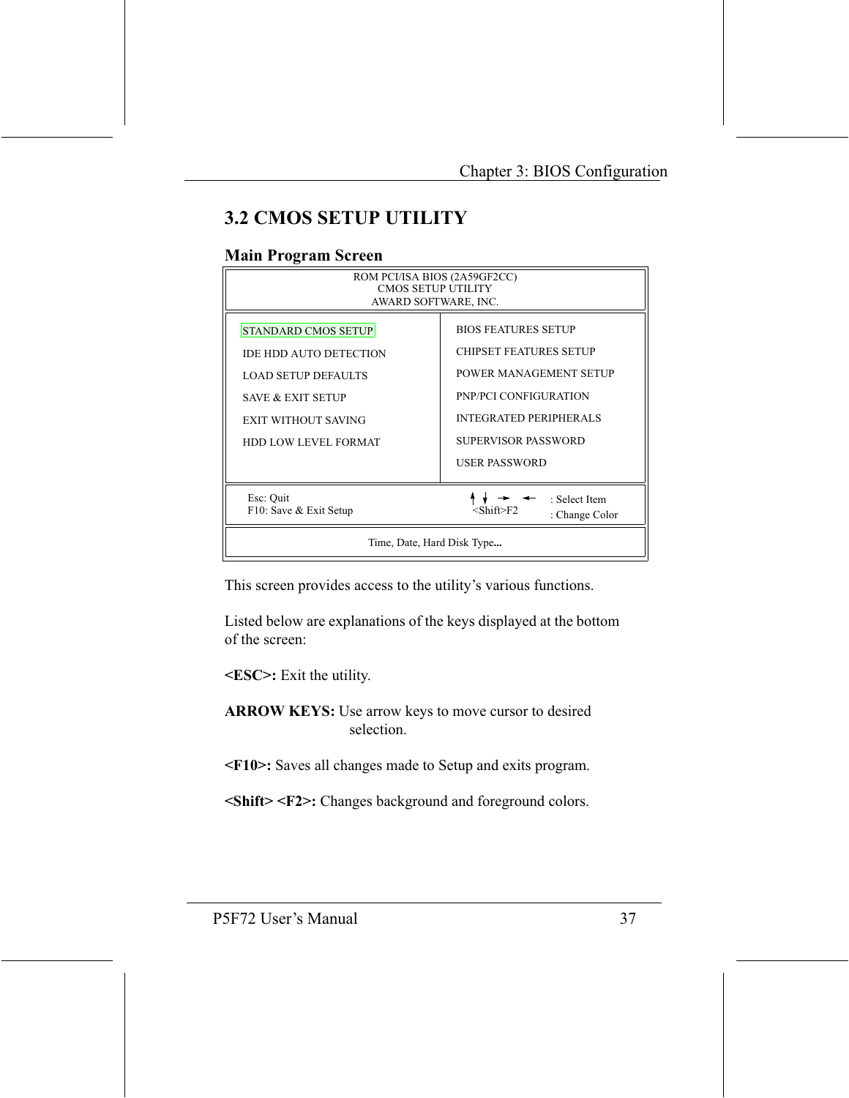## **3.2 CMOS SETUP UTILITY**

#### **Main Program Screen**

| ROM PCI/ISA BIOS (2A59GF2CC)<br><b>CMOS SETUP UTILITY</b><br>AWARD SOFTWARE, INC.                                                                                               |                                                                                                                                                                                                |  |
|---------------------------------------------------------------------------------------------------------------------------------------------------------------------------------|------------------------------------------------------------------------------------------------------------------------------------------------------------------------------------------------|--|
| <b>STANDARD CMOS SETUP</b><br><b>IDE HDD AUTO DETECTION</b><br><b>LOAD SETUP DEFAULTS</b><br><b>SAVE &amp; EXIT SETUP</b><br>EXIT WITHOUT SAVING<br><b>HDD LOW LEVEL FORMAT</b> | <b>BIOS FEATURES SETUP</b><br>CHIPSET FEATURES SETUP<br>POWER MANAGEMENT SETUP<br><b>PNP/PCI CONFIGURATION</b><br><b>INTEGRATED PERIPHERALS</b><br>SUPERVISOR PASSWORD<br><b>USER PASSWORD</b> |  |
| Esc: Quit<br>: Select Item<br>F10: Save & Exit Setup<br><shift>F2<br/>: Change Color</shift>                                                                                    |                                                                                                                                                                                                |  |
| Time, Date, Hard Disk Type                                                                                                                                                      |                                                                                                                                                                                                |  |

This screen provides access to the utility's various functions.

Listed below are explanations of the keys displayed at the bottom of the screen:

<ESC>: Exit the utility.

ARROW KEYS: Use arrow keys to move cursor to desired selection

<F10>: Saves all changes made to Setup and exits program.

<Shift> <F2>: Changes background and foreground colors.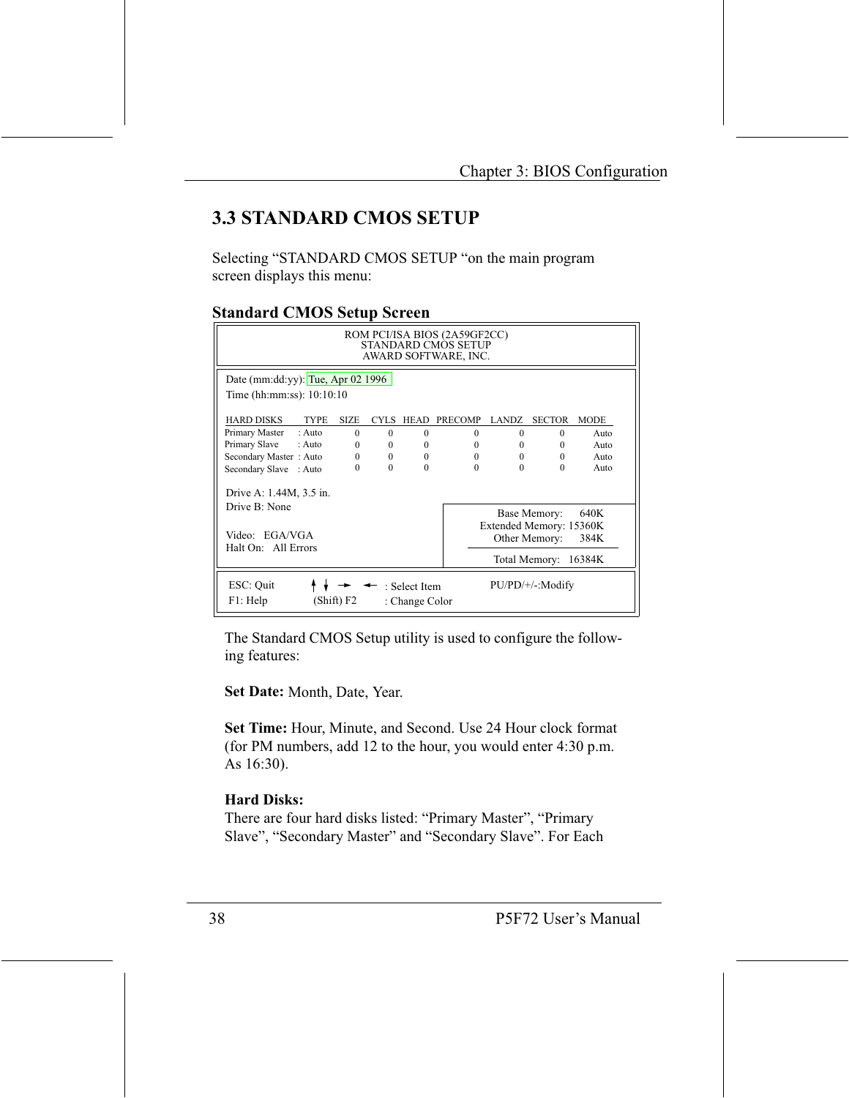## **3.3 STANDARD CMOS SETUP**

Selecting "STANDARD CMOS SETUP "on the main program screen displays this menu:

#### **Standard CMOS Setup Screen**

| ROM PCI/ISA BIOS (2A59GF2CC)<br>STANDARD CMOS SETUP<br>AWARD SOFTWARE, INC.                                                                                           |             |          |                                 |          |          |                     |             |
|-----------------------------------------------------------------------------------------------------------------------------------------------------------------------|-------------|----------|---------------------------------|----------|----------|---------------------|-------------|
| Date (mm:dd:yy): Tue, Apr 02 1996<br>Time (hh:mm:ss): 10:10:10                                                                                                        |             |          |                                 |          |          |                     |             |
| <b>HARD DISKS</b><br><b>TYPE</b>                                                                                                                                      | <b>SIZE</b> |          | CYLS HEAD                       | PRECOMP  | LANDZ.   | <b>SECTOR</b>       | <b>MODE</b> |
| Primary Master<br>$:$ Auto                                                                                                                                            | $\Omega$    | $\Omega$ | $\theta$                        | $\Omega$ | $\Omega$ | $\Omega$            | Auto        |
| Primary Slave<br>$:$ Auto                                                                                                                                             | $\Omega$    | $\Omega$ | $\theta$                        | $\Omega$ | $\Omega$ | $\Omega$            | Auto        |
| Secondary Master: Auto                                                                                                                                                | $\Omega$    | $\Omega$ | $\theta$                        | $\Omega$ | $\Omega$ | $\Omega$            | Auto        |
| Secondary Slave : Auto                                                                                                                                                | 0           | $\Omega$ | $\Omega$                        | $\Omega$ | $\theta$ | $\Omega$            | Auto        |
| Drive A: 1.44M, 3.5 in.<br>Drive B: None<br>Base Memory:<br>Extended Memory: 15360K<br>Video: EGA/VGA<br>Other Memory:<br>Halt On: All Errors<br>Total Memory: 16384K |             |          |                                 |          |          | 640K<br>384K        |             |
| ESC: Quit<br>F1: Help                                                                                                                                                 | (Shift) F2  |          | : Select Item<br>: Change Color |          |          | $PU/PD/+/-: Modify$ |             |

The Standard CMOS Setup utility is used to configure the following features:

Set Date: Month, Date, Year.

Set Time: Hour, Minute, and Second. Use 24 Hour clock format (for PM numbers, add 12 to the hour, you would enter 4:30 p.m.) As 16:30).

#### **Hard Disks:**

There are four hard disks listed: "Primary Master", "Primary Slave", "Secondary Master" and "Secondary Slave". For Each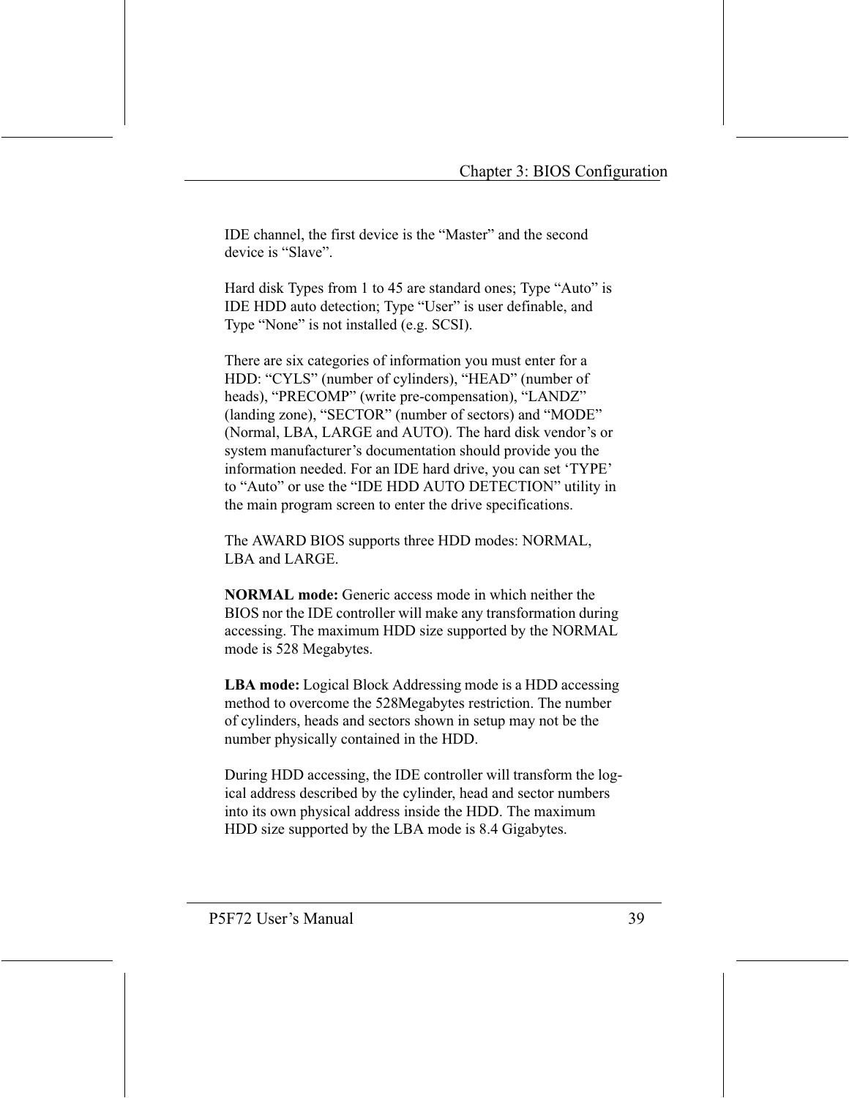IDE channel, the first device is the "Master" and the second device is "Slave".

Hard disk Types from 1 to 45 are standard ones; Type "Auto" is IDE HDD auto detection; Type "User" is user definable, and Type "None" is not installed (e.g. SCSI).

There are six categories of information you must enter for a HDD: "CYLS" (number of cylinders), "HEAD" (number of heads), "PRECOMP" (write pre-compensation), "LANDZ" (landing zone), "SECTOR" (number of sectors) and "MODE" (Normal, LBA, LARGE and AUTO). The hard disk vendor's or system manufacturer's documentation should provide you the information needed. For an IDE hard drive, you can set 'TYPE' to "Auto" or use the "IDE HDD AUTO DETECTION" utility in the main program screen to enter the drive specifications.

The AWARD BIOS supports three HDD modes: NORMAL, LBA and LARGE

**NORMAL** mode: Generic access mode in which neither the BIOS nor the IDE controller will make any transformation during accessing. The maximum HDD size supported by the NORMAL mode is 528 Megabytes.

**LBA mode:** Logical Block Addressing mode is a HDD accessing method to overcome the 528Megabytes restriction. The number of cylinders, heads and sectors shown in setup may not be the number physically contained in the HDD.

During HDD accessing, the IDE controller will transform the logical address described by the cylinder, head and sector numbers into its own physical address inside the HDD. The maximum HDD size supported by the LBA mode is 8.4 Gigabytes.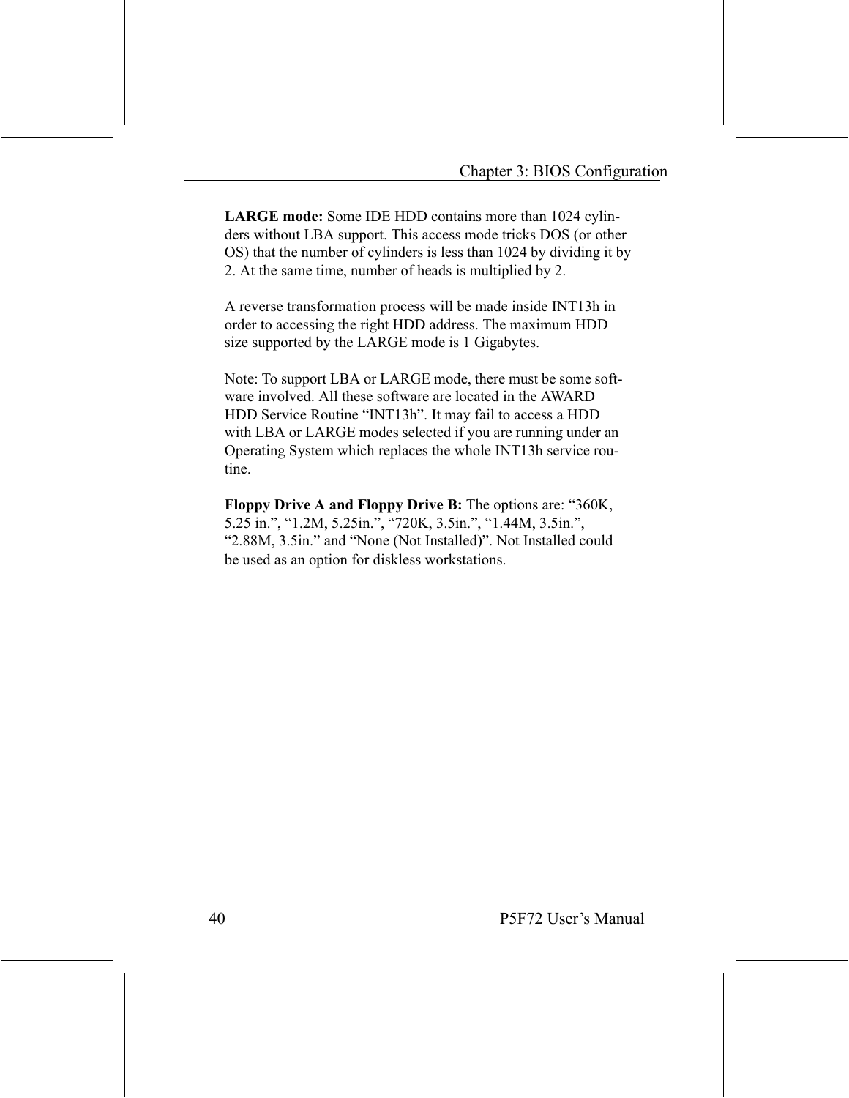LARGE mode: Some IDE HDD contains more than 1024 cylinders without LBA support. This access mode tricks DOS (or other OS) that the number of cylinders is less than 1024 by dividing it by 2. At the same time, number of heads is multiplied by 2.

A reverse transformation process will be made inside INT13h in order to accessing the right HDD address. The maximum HDD size supported by the LARGE mode is 1 Gigabytes.

Note: To support LBA or LARGE mode, there must be some software involved. All these software are located in the AWARD HDD Service Routine "INT13h". It may fail to access a HDD with LBA or LARGE modes selected if you are running under an Operating System which replaces the whole INT13h service routine.

Floppy Drive A and Floppy Drive B: The options are: "360K, 5.25 in.", "1.2M, 5.25in.", "720K, 3.5in.", "1.44M, 3.5in.", "2.88M, 3.5in." and "None (Not Installed)". Not Installed could be used as an option for diskless workstations.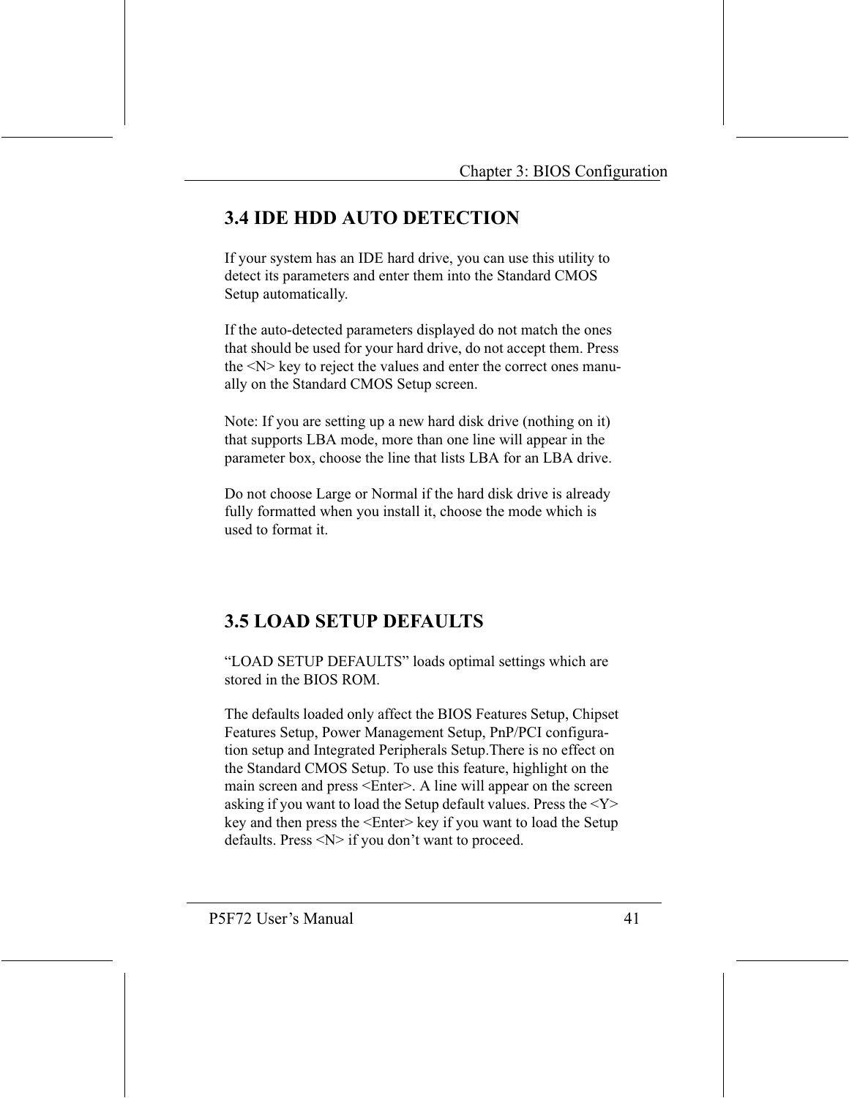## **3.4 IDE HDD AUTO DETECTION**

If your system has an IDE hard drive, you can use this utility to detect its parameters and enter them into the Standard CMOS Setup automatically.

If the auto-detected parameters displayed do not match the ones that should be used for your hard drive, do not accept them. Press the <N> key to reject the values and enter the correct ones manually on the Standard CMOS Setup screen.

Note: If you are setting up a new hard disk drive (nothing on it) that supports LBA mode, more than one line will appear in the parameter box, choose the line that lists LBA for an LBA drive.

Do not choose Large or Normal if the hard disk drive is already fully formatted when you install it, choose the mode which is used to format it

## **3.5 LOAD SETUP DEFAULTS**

"LOAD SETUP DEFAULTS" loads optimal settings which are stored in the BIOS ROM

The defaults loaded only affect the BIOS Features Setup, Chipset Features Setup, Power Management Setup, PnP/PCI configuration setup and Integrated Peripherals Setup. There is no effect on the Standard CMOS Setup. To use this feature, highlight on the main screen and press <Enter>. A line will appear on the screen asking if you want to load the Setup default values. Press the  $<$ Y $>$ key and then press the <Enter> key if you want to load the Setup defaults. Press  $\langle N \rangle$  if you don't want to proceed.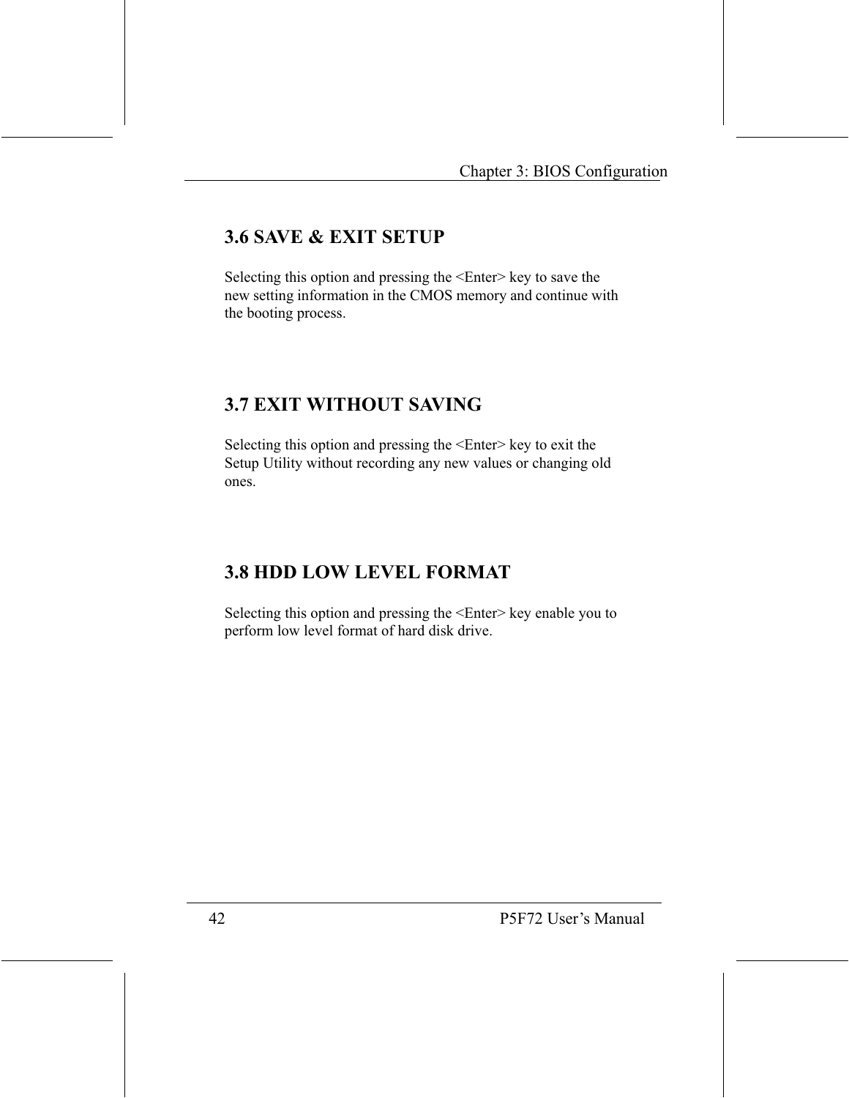## **3.6 SAVE & EXIT SETUP**

Selecting this option and pressing the <Enter> key to save the new setting information in the CMOS memory and continue with the booting process.

## **3.7 EXIT WITHOUT SAVING**

Selecting this option and pressing the <Enter> key to exit the Setup Utility without recording any new values or changing old ones.

## **3.8 HDD LOW LEVEL FORMAT**

Selecting this option and pressing the <Enter> key enable you to perform low level format of hard disk drive.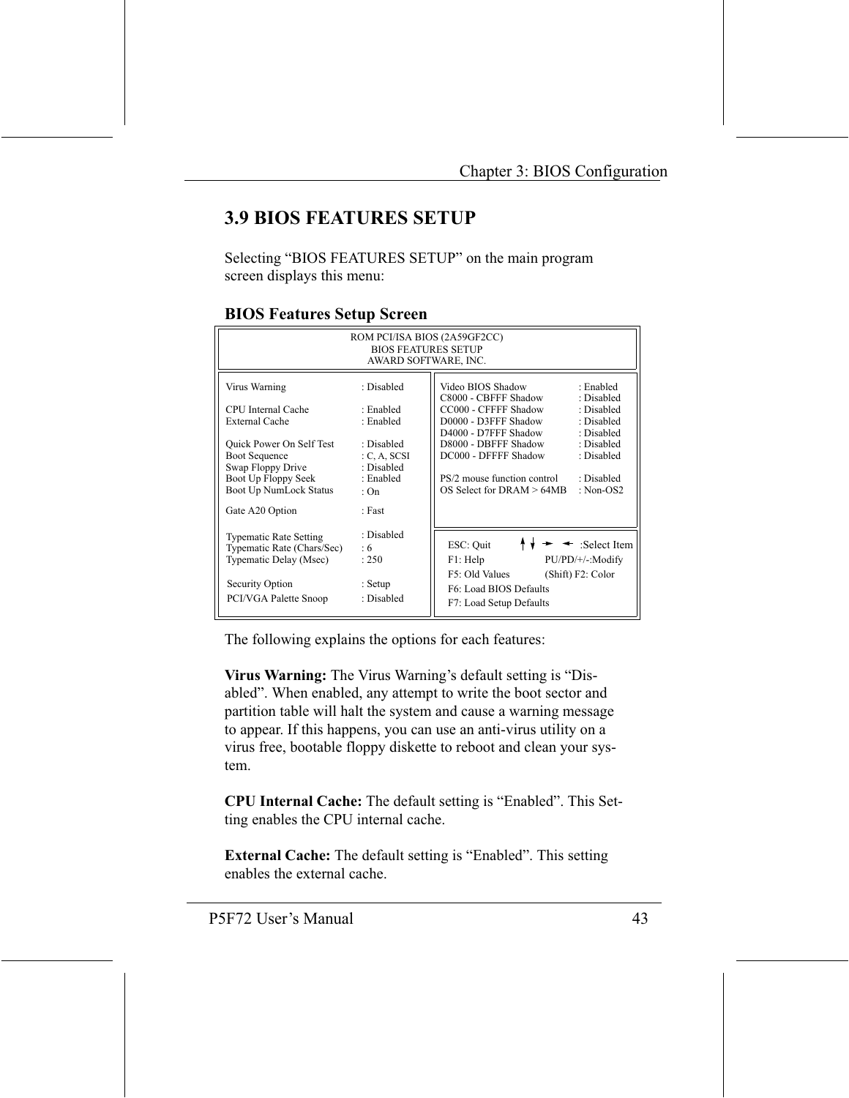## **3.9 BIOS FEATURES SETUP**

Selecting "BIOS FEATURES SETUP" on the main program screen displays this menu:

| ROM PCI/ISA BIOS (2A59GF2CC)<br><b>BIOS FEATURES SETUP</b><br>AWARD SOFTWARE, INC.    |                                        |                                                                                                                |  |  |
|---------------------------------------------------------------------------------------|----------------------------------------|----------------------------------------------------------------------------------------------------------------|--|--|
| Virus Warning                                                                         | : Disabled                             | Video BIOS Shadow<br>: Enabled<br>C8000 - CBFFF Shadow<br>: Disabled                                           |  |  |
| CPU Internal Cache<br><b>External Cache</b>                                           | : Enabled<br>: Enabled                 | CC000 - CFFFF Shadow<br>: Disabled<br>D0000 - D3FFF Shadow<br>: Disabled<br>D4000 - D7FFF Shadow<br>: Disabled |  |  |
| Quick Power On Self Test<br><b>Boot Sequence</b><br>Swap Floppy Drive                 | : Disabled<br>C, A, SCSI<br>: Disabled | D8000 - DBFFF Shadow<br>: Disabled<br>DC000 - DFFFF Shadow<br>: Disabled                                       |  |  |
| Boot Up Floppy Seek<br>Boot Up NumLock Status                                         | : Enabled<br>: $On$                    | PS/2 mouse function control<br>: Disabled<br>$OS$ Select for DRAM $> 64MB$<br>: $Non-OS2$                      |  |  |
| Gate A20 Option                                                                       | : Fast                                 |                                                                                                                |  |  |
| <b>Typematic Rate Setting</b><br>Typematic Rate (Chars/Sec)<br>Typematic Delay (Msec) | : Disabled<br>: 6<br>: 250             | $\leftarrow$ :Select Item<br>ESC: Ouit<br>F1: Help<br>PU/PD/+/-:Modify                                         |  |  |
| Security Option<br>PCI/VGA Palette Snoop                                              | : Setup<br>: Disabled                  | F5: Old Values<br>(Shift) F2: Color<br>F6: Load BIOS Defaults<br>F7: Load Setup Defaults                       |  |  |

#### **BIOS Features Setup Screen**

The following explains the options for each features:

Virus Warning: The Virus Warning's default setting is "Disabled". When enabled, any attempt to write the boot sector and partition table will halt the system and cause a warning message to appear. If this happens, you can use an anti-virus utility on a virus free, bootable floppy diskette to reboot and clean your system.

CPU Internal Cache: The default setting is "Enabled". This Setting enables the CPU internal cache.

External Cache: The default setting is "Enabled". This setting enables the external cache.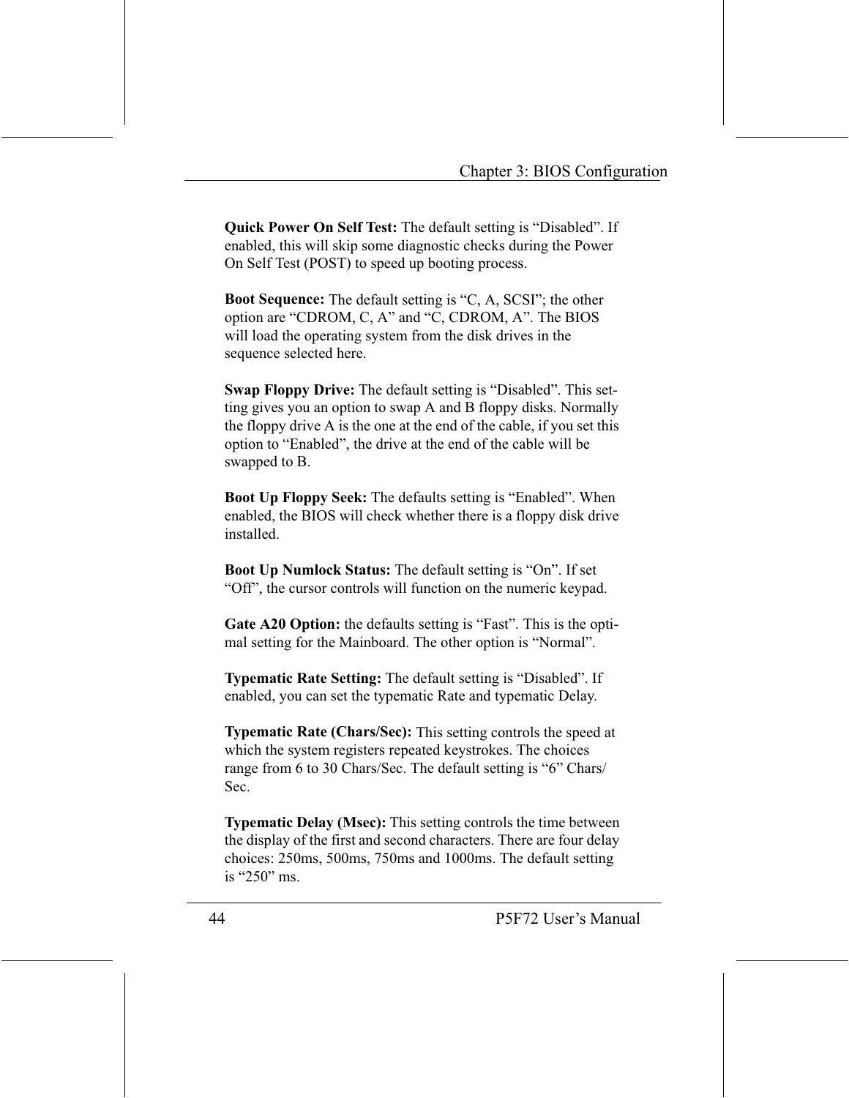**Quick Power On Self Test:** The default setting is "Disabled". If enabled, this will skip some diagnostic checks during the Power On Self Test (POST) to speed up booting process.

**Boot Sequence:** The default setting is "C, A, SCSI"; the other option are "CDROM, C, A" and "C, CDROM, A". The BIOS will load the operating system from the disk drives in the sequence selected here.

**Swap Floppy Drive:** The default setting is "Disabled". This setting gives you an option to swap A and B floppy disks. Normally the floppy drive A is the one at the end of the cable, if you set this option to "Enabled", the drive at the end of the cable will be swapped to B.

Boot Up Floppy Seek: The defaults setting is "Enabled". When enabled, the BIOS will check whether there is a floppy disk drive installed

**Boot Up Numlock Status:** The default setting is "On". If set "Off", the cursor controls will function on the numeric keypad.

Gate A20 Option: the defaults setting is "Fast". This is the optimal setting for the Mainboard. The other option is "Normal".

**Typematic Rate Setting:** The default setting is "Disabled". If enabled, you can set the typematic Rate and typematic Delay.

Typematic Rate (Chars/Sec): This setting controls the speed at which the system registers repeated keystrokes. The choices range from 6 to 30 Chars/Sec. The default setting is "6" Chars/ Sec.

**Typematic Delay (Msec):** This setting controls the time between the display of the first and second characters. There are four delay choices: 250ms, 500ms, 750ms and 1000ms. The default setting is "250" ms.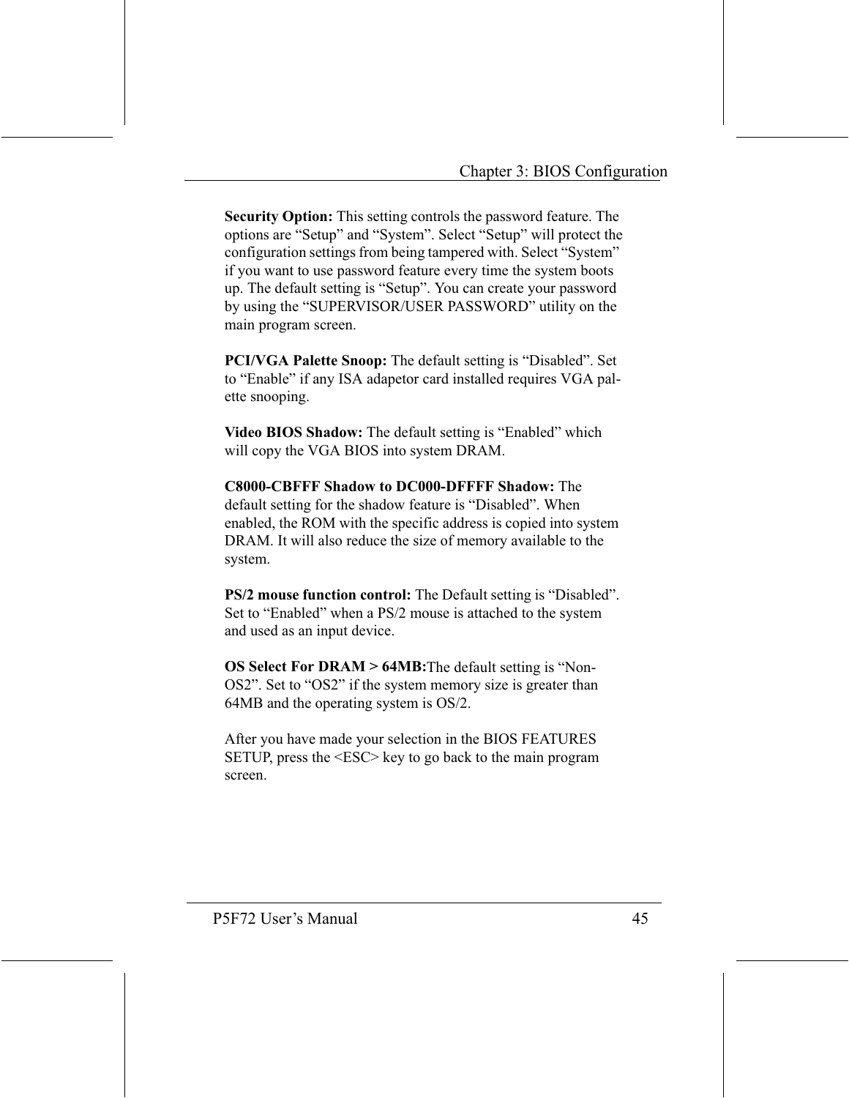Security Option: This setting controls the password feature. The options are "Setup" and "System". Select "Setup" will protect the configuration settings from being tampered with. Select "System" if you want to use password feature every time the system boots up. The default setting is "Setup". You can create your password by using the "SUPERVISOR/USER PASSWORD" utility on the main program screen.

**PCI/VGA Palette Snoop:** The default setting is "Disabled". Set to "Enable" if any ISA adapetor card installed requires VGA palette snooping.

Video BIOS Shadow: The default setting is "Enabled" which will copy the VGA BIOS into system DRAM.

**C8000-CBFFF Shadow to DC000-DFFFF Shadow: The** default setting for the shadow feature is "Disabled". When enabled, the ROM with the specific address is copied into system DRAM. It will also reduce the size of memory available to the system.

**PS/2 mouse function control:** The Default setting is "Disabled". Set to "Enabled" when a PS/2 mouse is attached to the system and used as an input device.

**OS Select For DRAM > 64MB:** The default setting is "Non-OS2". Set to "OS2" if the system memory size is greater than 64MB and the operating system is OS/2.

After you have made your selection in the BIOS FEATURES SETUP, press the <ESC> key to go back to the main program screen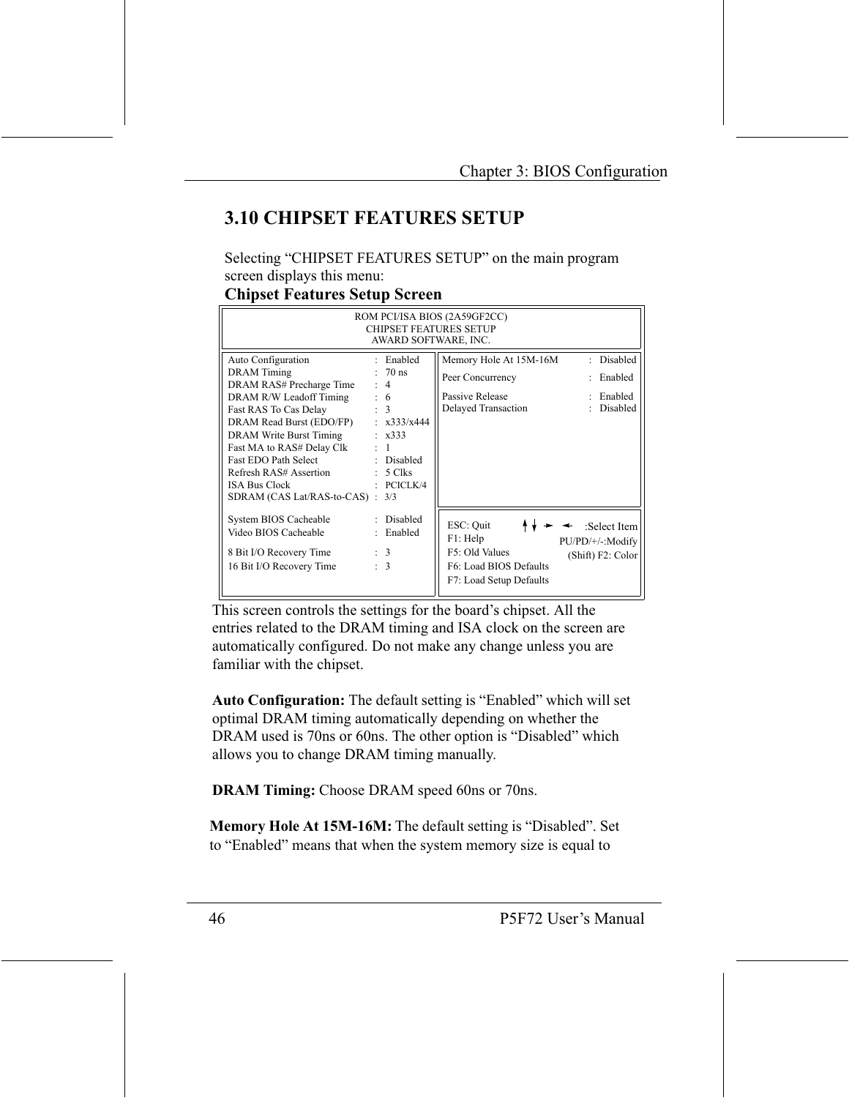## **3.10 CHIPSET FEATURES SETUP**

Selecting "CHIPSET FEATURES SETUP" on the main program screen displays this menu:

#### **Chipset Features Setup Screen**

| ROM PCI/ISA BIOS (2A59GF2CC)<br><b>CHIPSET FEATURES SETUP</b><br>AWARD SOFTWARE, INC. |  |                              |                                                   |   |                     |
|---------------------------------------------------------------------------------------|--|------------------------------|---------------------------------------------------|---|---------------------|
| Auto Configuration<br><b>DRAM</b> Timing                                              |  | : Enabled<br>$: 70$ ns       | Memory Hole At 15M-16M                            |   | : Disabled          |
| DRAM RAS# Precharge Time                                                              |  | : 4                          | Peer Concurrency                                  | ٠ | Enabled             |
| DRAM R/W Leadoff Timing<br>Fast RAS To Cas Delay                                      |  | : 6<br>$\therefore$ 3        | Passive Release<br>Delayed Transaction            | ٠ | Enabled<br>Disabled |
| DRAM Read Burst (EDO/FP)                                                              |  | $\pm$ x333/x444              |                                                   |   |                     |
| DRAM Write Burst Timing<br>Fast MA to RAS# Delay Clk :                                |  | $\pm x333$<br>$\overline{1}$ |                                                   |   |                     |
| Fast EDO Path Select : Disabled                                                       |  |                              |                                                   |   |                     |
| Refresh RAS# Assertion<br><b>ISA Bus Clock</b>                                        |  | $: 5$ Clks<br>PCICLK/4       |                                                   |   |                     |
| SDRAM (CAS Lat/RAS-to-CAS):                                                           |  | 3/3                          |                                                   |   |                     |
| System BIOS Cacheable                                                                 |  | Disabled                     | ESC: Quit                                         |   | :Select Item        |
| Video BIOS Cacheable                                                                  |  | Enabled                      | F1: Help                                          |   | PU/PD/+/-:Modify    |
| 8 Bit I/O Recovery Time                                                               |  | $\therefore$ 3               | F5: Old Values                                    |   | (Shift) F2: Color   |
| 16 Bit I/O Recovery Time                                                              |  | $\therefore$ 3               | F6: Load BIOS Defaults<br>F7: Load Setup Defaults |   |                     |

This screen controls the settings for the board's chipset. All the entries related to the DRAM timing and ISA clock on the screen are automatically configured. Do not make any change unless you are familiar with the chipset.

Auto Configuration: The default setting is "Enabled" which will set optimal DRAM timing automatically depending on whether the DRAM used is 70ns or 60ns. The other option is "Disabled" which allows you to change DRAM timing manually.

**DRAM Timing:** Choose DRAM speed 60ns or 70ns.

Memory Hole At 15M-16M: The default setting is "Disabled". Set to "Enabled" means that when the system memory size is equal to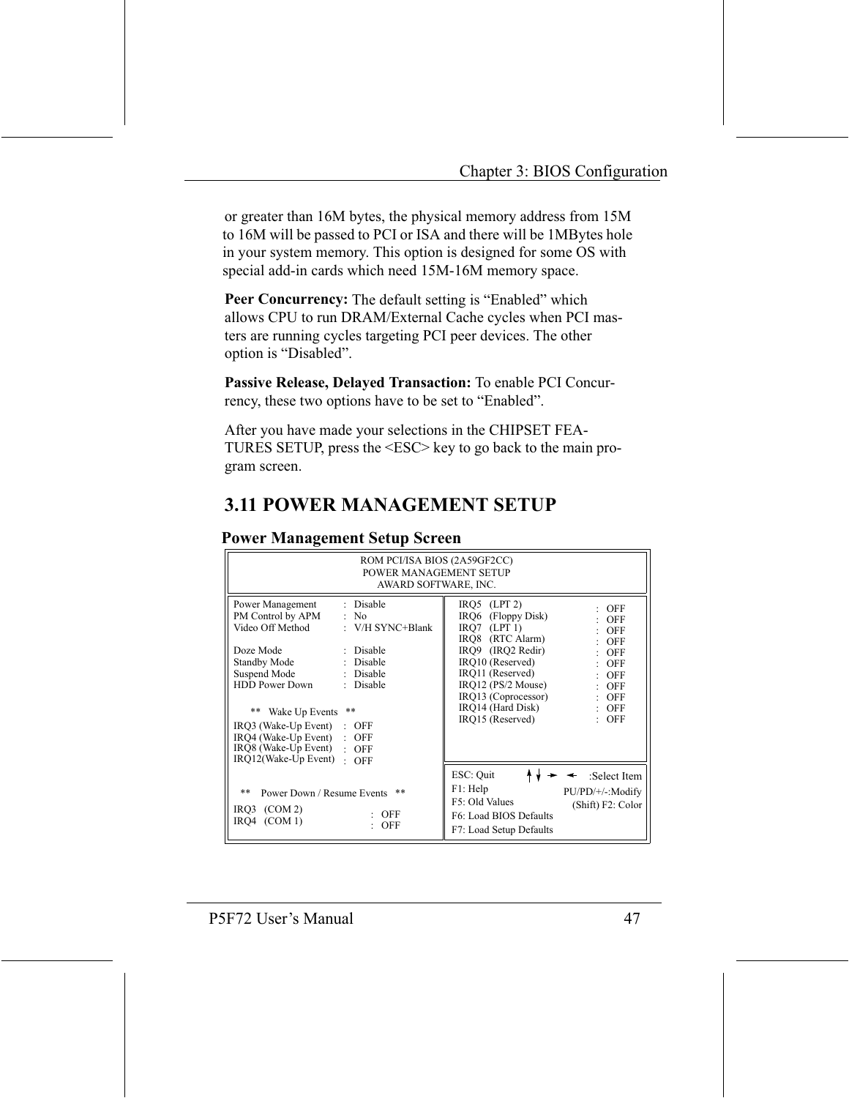or greater than 16M bytes, the physical memory address from 15M to 16M will be passed to PCI or ISA and there will be 1MBytes hole in your system memory. This option is designed for some OS with special add-in cards which need 15M-16M memory space.

Peer Concurrency: The default setting is "Enabled" which allows CPU to run DRAM/External Cache cycles when PCI masters are running cycles targeting PCI peer devices. The other option is "Disabled".

Passive Release, Delayed Transaction: To enable PCI Concurrency, these two options have to be set to "Enabled".

After you have made your selections in the CHIPSET FEA-TURES SETUP, press the <ESC> key to go back to the main program screen.

## **3.11 POWER MANAGEMENT SETUP**

| ROM PCI/ISA BIOS (2A59GF2CC)<br>POWER MANAGEMENT SETUP<br>AWARD SOFTWARE, INC.           |                                                                   |                                                                                                                                             |                                                       |  |
|------------------------------------------------------------------------------------------|-------------------------------------------------------------------|---------------------------------------------------------------------------------------------------------------------------------------------|-------------------------------------------------------|--|
| Power Management<br>PM Control by APM<br>Video Off Method<br>Doze Mode<br>Standby Mode   | : Disable<br>: No<br>: $V/H$ SYNC+Blank<br>: Disable<br>: Disable | $IRO5$ (LPT 2)<br>IRQ6 (Floppy Disk)<br>$IRO7$ (LPT 1)<br>IRO8 (RTC Alarm)<br>IRO <sub>9</sub> (IRO <sub>2</sub> Redir)<br>IRQ10 (Reserved) | OFF<br><b>OFF</b><br>OFF<br>OFF<br><b>OFF</b><br>OFF  |  |
| Suspend Mode<br><b>HDD Power Down</b><br>$* *$<br>Wake Up Events<br>IRO3 (Wake-Up Event) | : Disable<br>Disable<br>÷.<br>**<br>OFF                           | IRQ11 (Reserved)<br>$IRO12$ (PS/2 Mouse)<br>IRQ13 (Coprocessor)<br>IRO14 (Hard Disk)<br>IRO15 (Reserved)                                    | <b>OFF</b><br>OFF<br>$:$ OFF<br>$:$ OFF<br>$:$ OFF    |  |
| IRQ4 (Wake-Up Event)<br>IRQ8 (Wake-Up Event)<br>IRO12(Wake-Up Event)                     | <b>OFF</b><br>÷.<br>$:$ OFF<br>OFF<br>$\bullet$                   |                                                                                                                                             |                                                       |  |
| **<br>Power Down / Resume Events<br>$IRO3$ (COM 2)<br>(COM 1)<br>IRO4                    | **<br>OFF<br><b>OFF</b>                                           | ESC: Quit<br>F1: Help<br>F5: Old Values<br>F6: Load BIOS Defaults<br>F7: Load Setup Defaults                                                | :Select Item<br>PU/PD/+/-:Modify<br>(Shift) F2: Color |  |

#### **Power Management Setup Screen**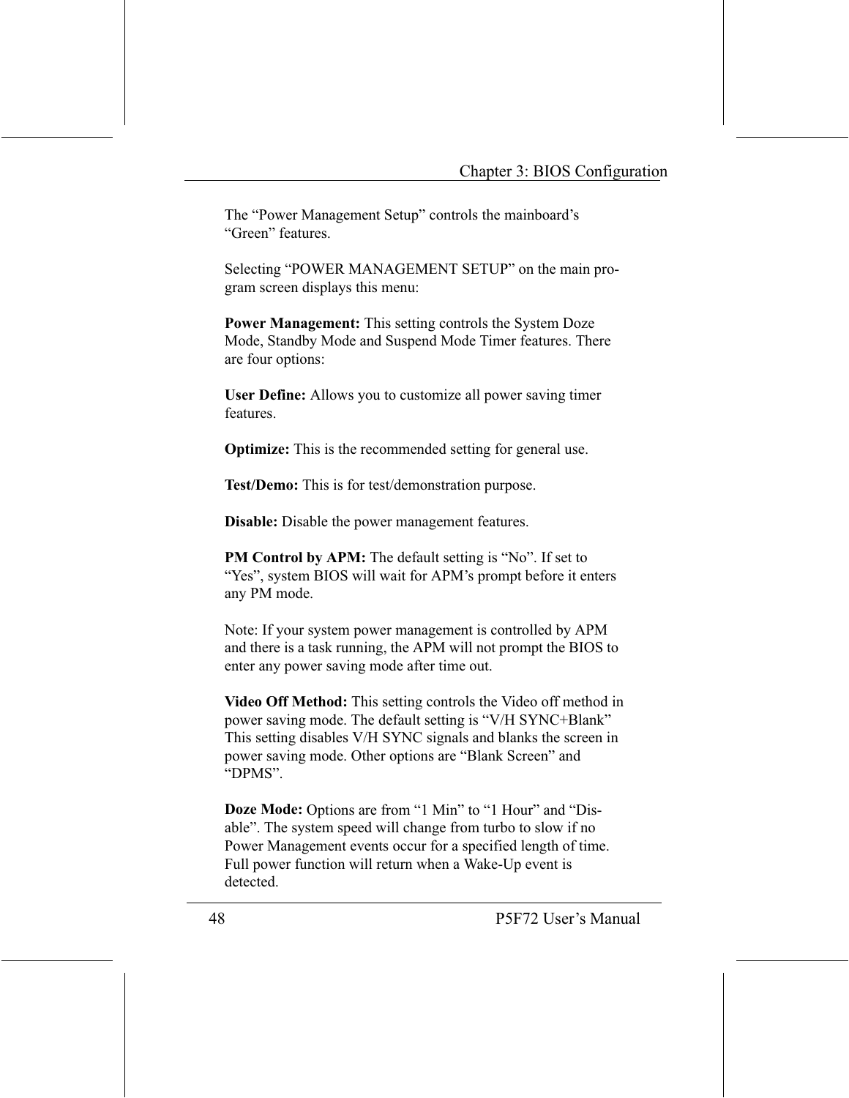The "Power Management Setup" controls the mainboard's "Green" features.

Selecting "POWER MANAGEMENT SETUP" on the main program screen displays this menu:

**Power Management:** This setting controls the System Doze Mode, Standby Mode and Suspend Mode Timer features. There are four options:

**User Define:** Allows you to customize all power saving timer features

**Optimize:** This is the recommended setting for general use.

Test/Demo: This is for test/demonstration purpose.

Disable: Disable the power management features.

**PM Control by APM:** The default setting is "No". If set to "Yes", system BIOS will wait for APM's prompt before it enters any PM mode.

Note: If your system power management is controlled by APM and there is a task running, the APM will not prompt the BIOS to enter any power saving mode after time out.

Video Off Method: This setting controls the Video off method in power saving mode. The default setting is "V/H SYNC+Blank" This setting disables V/H SYNC signals and blanks the screen in power saving mode. Other options are "Blank Screen" and "DPMS".

**Doze Mode:** Options are from "1 Min" to "1 Hour" and "Disable". The system speed will change from turbo to slow if no Power Management events occur for a specified length of time. Full power function will return when a Wake-Up event is detected.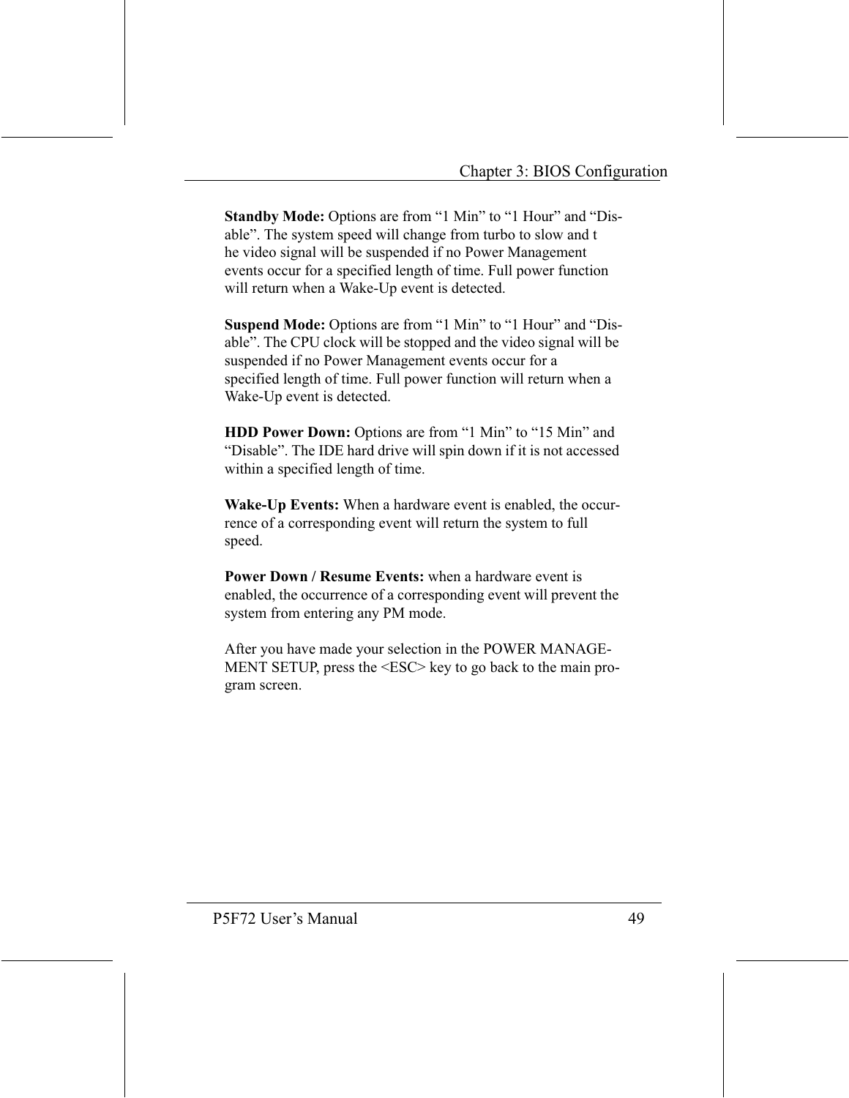Standby Mode: Options are from "1 Min" to "1 Hour" and "Disable". The system speed will change from turbo to slow and t he video signal will be suspended if no Power Management events occur for a specified length of time. Full power function will return when a Wake-Up event is detected.

Suspend Mode: Options are from "1 Min" to "1 Hour" and "Disable". The CPU clock will be stopped and the video signal will be suspended if no Power Management events occur for a specified length of time. Full power function will return when a Wake-Up event is detected.

HDD Power Down: Options are from "1 Min" to "15 Min" and "Disable". The IDE hard drive will spin down if it is not accessed within a specified length of time.

**Wake-Up Events:** When a hardware event is enabled, the occurrence of a corresponding event will return the system to full speed.

**Power Down / Resume Events:** when a hardware event is enabled, the occurrence of a corresponding event will prevent the system from entering any PM mode.

After you have made your selection in the POWER MANAGE-MENT SETUP, press the <ESC> key to go back to the main program screen.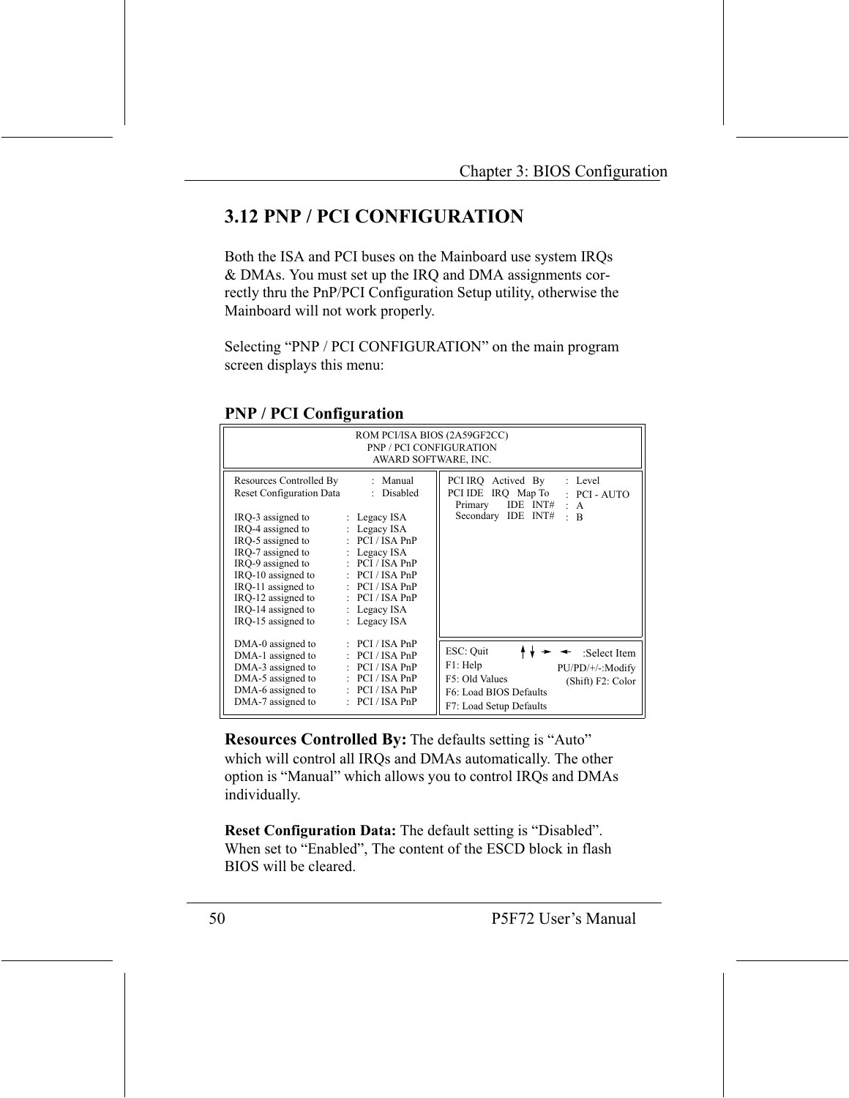## **3.12 PNP / PCI CONFIGURATION**

Both the ISA and PCI buses on the Mainboard use system IRQs & DMAs. You must set up the IRQ and DMA assignments correctly thru the PnP/PCI Configuration Setup utility, otherwise the Mainboard will not work properly.

Selecting "PNP / PCI CONFIGURATION" on the main program screen displays this menu:

| ROM PCI/ISA BIOS (2A59GF2CC)<br><b>PNP / PCI CONFIGURATION</b><br>AWARD SOFTWARE, INC. |                            |                                                                                                        |  |  |  |
|----------------------------------------------------------------------------------------|----------------------------|--------------------------------------------------------------------------------------------------------|--|--|--|
| Resources Controlled By<br><b>Reset Configuration Data</b>                             | : Manual<br>: Disabled     | PCI IRQ Actived By<br>: Level<br>PCI IDE IRQ Map To<br>$: PCI - AUTO$<br>IDE INT# $\cdot$ A<br>Primary |  |  |  |
| IRQ-3 assigned to                                                                      | $\therefore$ Legacy ISA    | Secondary IDE INT#<br>$\cdot$<br>B                                                                     |  |  |  |
| IRO-4 assigned to                                                                      | $:$ Legacy ISA             |                                                                                                        |  |  |  |
| IRO-5 assigned to                                                                      | $\therefore$ PCI / ISA PnP |                                                                                                        |  |  |  |
| IRQ-7 assigned to                                                                      | $\therefore$ Legacy ISA    |                                                                                                        |  |  |  |
| IRO-9 assigned to                                                                      | : PCI/ISA PnP              |                                                                                                        |  |  |  |
| IRO-10 assigned to                                                                     | : PCI/ISA PnP              |                                                                                                        |  |  |  |
| IRO-11 assigned to                                                                     | $:$ PCI / ISA PnP          |                                                                                                        |  |  |  |
| IRO-12 assigned to                                                                     | : PCI/ISA PnP              |                                                                                                        |  |  |  |
| IRO-14 assigned to                                                                     | : Legacy $ISA$             |                                                                                                        |  |  |  |
| IRO-15 assigned to                                                                     | : Legacy $ISA$             |                                                                                                        |  |  |  |
|                                                                                        |                            |                                                                                                        |  |  |  |
| DMA-0 assigned to                                                                      | $:$ PCI/ISA PnP            | ESC: Quit<br>:Select Item                                                                              |  |  |  |
| DMA-1 assigned to                                                                      | PCI / ISA PnP<br>÷         |                                                                                                        |  |  |  |
| DMA-3 assigned to                                                                      | PCI / ISA PnP              | F1: Help<br>PU/PD/+/-:Modify                                                                           |  |  |  |
| DMA-5 assigned to                                                                      | PCI / ISA PnP              | F5: Old Values<br>(Shift) F2: Color                                                                    |  |  |  |
| DMA-6 assigned to                                                                      | $:$ PCI/ISA PnP            | F6: Load BIOS Defaults                                                                                 |  |  |  |
| DMA-7 assigned to                                                                      | $:$ PCI/ISA PnP            | F7: Load Setup Defaults                                                                                |  |  |  |

#### **PNP / PCI Configuration**

**Resources Controlled By:** The defaults setting is "Auto" which will control all IRQs and DMAs automatically. The other option is "Manual" which allows you to control IRQs and DMAs individually.

Reset Configuration Data: The default setting is "Disabled". When set to "Enabled", The content of the ESCD block in flash BIOS will be cleared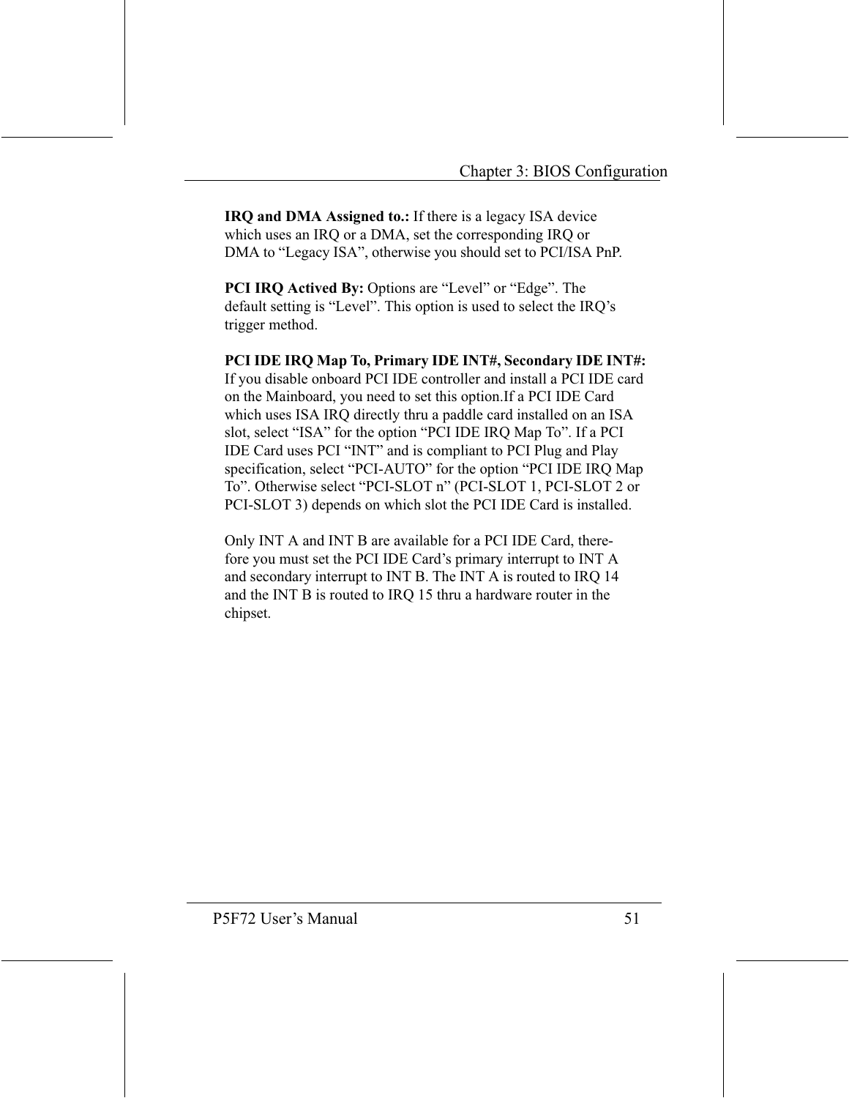IRQ and DMA Assigned to.: If there is a legacy ISA device which uses an IRQ or a DMA, set the corresponding IRQ or DMA to "Legacy ISA", otherwise you should set to PCI/ISA PnP.

**PCI IRQ Actived By: Options are "Level" or "Edge". The** default setting is "Level". This option is used to select the IRQ's trigger method.

PCI IDE IRQ Map To, Primary IDE INT#, Secondary IDE INT#: If you disable onboard PCI IDE controller and install a PCI IDE card on the Mainboard, you need to set this option. If a PCI IDE Card which uses ISA IRQ directly thru a paddle card installed on an ISA slot, select "ISA" for the option "PCI IDE IRQ Map To". If a PCI IDE Card uses PCI "INT" and is compliant to PCI Plug and Play specification, select "PCI-AUTO" for the option "PCI IDE IRQ Map To". Otherwise select "PCI-SLOT n" (PCI-SLOT 1, PCI-SLOT 2 or PCI-SLOT 3) depends on which slot the PCI IDE Card is installed.

Only INT A and INT B are available for a PCI IDE Card, therefore you must set the PCI IDE Card's primary interrupt to INT A and secondary interrupt to INT B. The INT A is routed to IRQ 14 and the INT B is routed to IRQ 15 thru a hardware router in the chipset.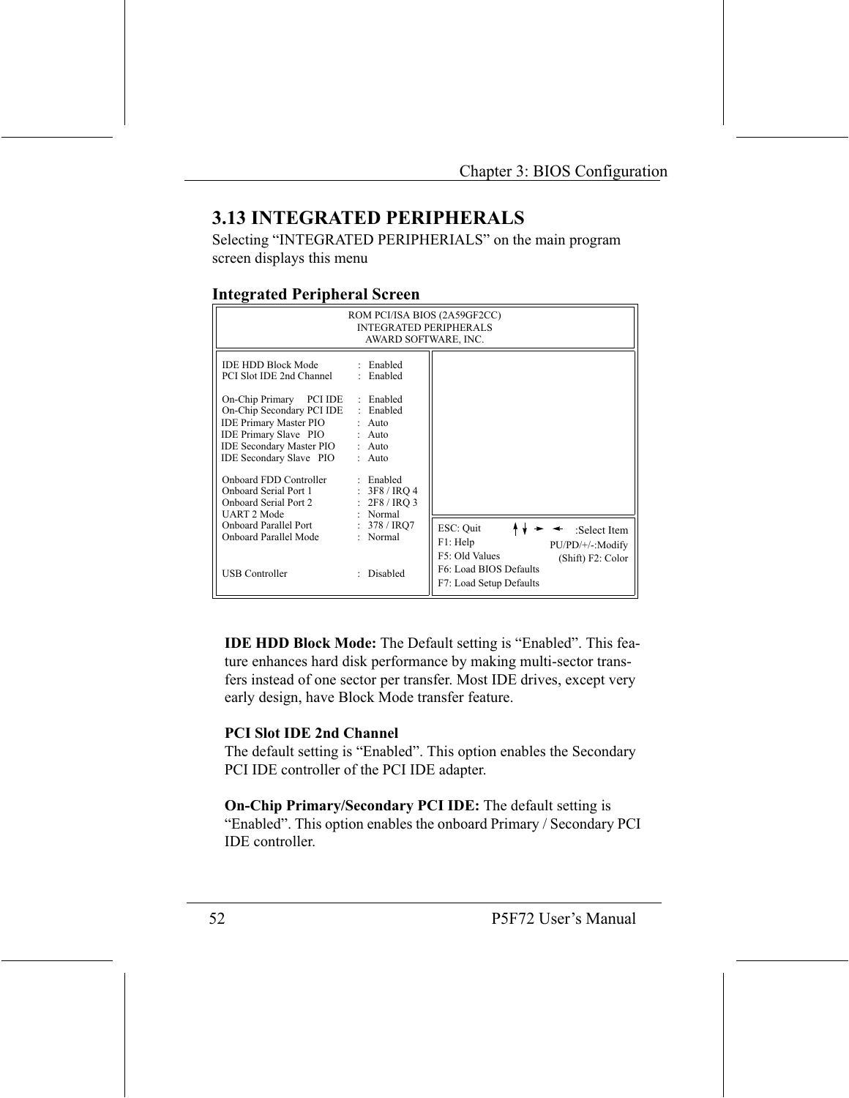## **3.13 INTEGRATED PERIPHERALS**

Selecting "INTEGRATED PERIPHERIALS" on the main program screen displays this menu

#### **Integrated Peripheral Screen**

| ROM PCI/ISA BIOS (2A59GF2CC)<br><b>INTEGRATED PERIPHERALS</b><br>AWARD SOFTWARE, INC.                                                                                                                                                                                                                                                             |                                                                                                                                                          |                                                                                                                                                       |  |  |
|---------------------------------------------------------------------------------------------------------------------------------------------------------------------------------------------------------------------------------------------------------------------------------------------------------------------------------------------------|----------------------------------------------------------------------------------------------------------------------------------------------------------|-------------------------------------------------------------------------------------------------------------------------------------------------------|--|--|
| <b>IDE HDD Block Mode</b><br>PCI Slot IDE 2nd Channel<br>On-Chip Primary<br>PCI IDE<br>On-Chip Secondary PCI IDE<br><b>IDE Primary Master PIO</b><br><b>IDE Primary Slave PIO</b><br><b>IDE Secondary Master PIO</b><br>IDE Secondary Slave PIO<br>Onboard FDD Controller<br><b>Onboard Serial Port 1</b><br>Onboard Serial Port 2<br>UART 2 Mode | : Enabled<br>: Enabled<br>: Enabled<br>Enabled<br>$:$ Auto<br>$:$ Auto<br>$:$ Auto<br>$:$ Auto<br>: Enabled<br>: 3F8 / IRO 4<br>: 2F8 / IRO3<br>: Normal |                                                                                                                                                       |  |  |
| Onboard Parallel Port<br>Onboard Parallel Mode<br><b>USB Controller</b>                                                                                                                                                                                                                                                                           | : $378 / IRO7$<br>: Normal<br>Disabled                                                                                                                   | ESC: Quit<br>:Select Item<br>F1: Help<br>PU/PD/+/-:Modify<br>F5: Old Values<br>(Shift) F2: Color<br>F6: Load BIOS Defaults<br>F7: Load Setup Defaults |  |  |

**IDE HDD Block Mode:** The Default setting is "Enabled". This feature enhances hard disk performance by making multi-sector transfers instead of one sector per transfer. Most IDE drives, except very early design, have Block Mode transfer feature.

#### **PCI Slot IDE 2nd Channel**

The default setting is "Enabled". This option enables the Secondary PCI IDE controller of the PCI IDE adapter.

On-Chip Primary/Secondary PCI IDE: The default setting is "Enabled". This option enables the onboard Primary / Secondary PCI **IDE** controller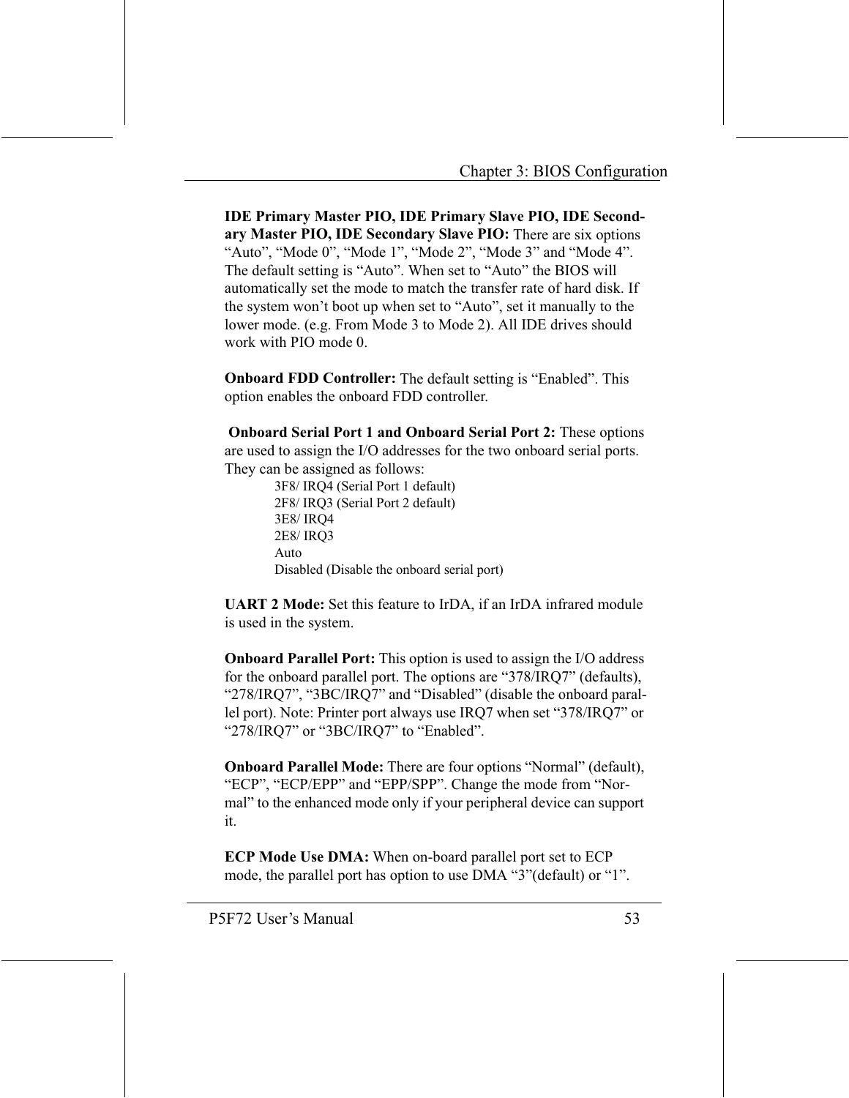**IDE Primary Master PIO, IDE Primary Slave PIO, IDE Second**ary Master PIO, IDE Secondary Slave PIO: There are six options "Auto", "Mode 0", "Mode 1", "Mode 2", "Mode 3" and "Mode 4". The default setting is "Auto". When set to "Auto" the BIOS will automatically set the mode to match the transfer rate of hard disk. If the system won't boot up when set to "Auto", set it manually to the lower mode. (e.g. From Mode 3 to Mode 2). All IDE drives should work with PIO mode 0.

**Onboard FDD Controller:** The default setting is "Enabled". This option enables the onboard FDD controller.

**Onboard Serial Port 1 and Onboard Serial Port 2:** These options are used to assign the I/O addresses for the two onboard serial ports. They can be assigned as follows:

3F8/IRQ4 (Serial Port 1 default) 2F8/IRQ3 (Serial Port 2 default) 3E8/IRO4 2E8/IRO3 Auto Disabled (Disable the onboard serial port)

**UART 2 Mode:** Set this feature to IrDA, if an IrDA infrared module is used in the system.

**Onboard Parallel Port:** This option is used to assign the I/O address for the onboard parallel port. The options are "378/IRQ7" (defaults), "278/IRQ7", "3BC/IRQ7" and "Disabled" (disable the onboard parallel port). Note: Printer port always use IRO7 when set "378/IRO7" or "278/IRQ7" or "3BC/IRQ7" to "Enabled".

**Onboard Parallel Mode:** There are four options "Normal" (default), "ECP", "ECP/EPP" and "EPP/SPP". Change the mode from "Normal" to the enhanced mode only if your peripheral device can support it.

**ECP Mode Use DMA:** When on-board parallel port set to ECP mode, the parallel port has option to use DMA "3" (default) or "1".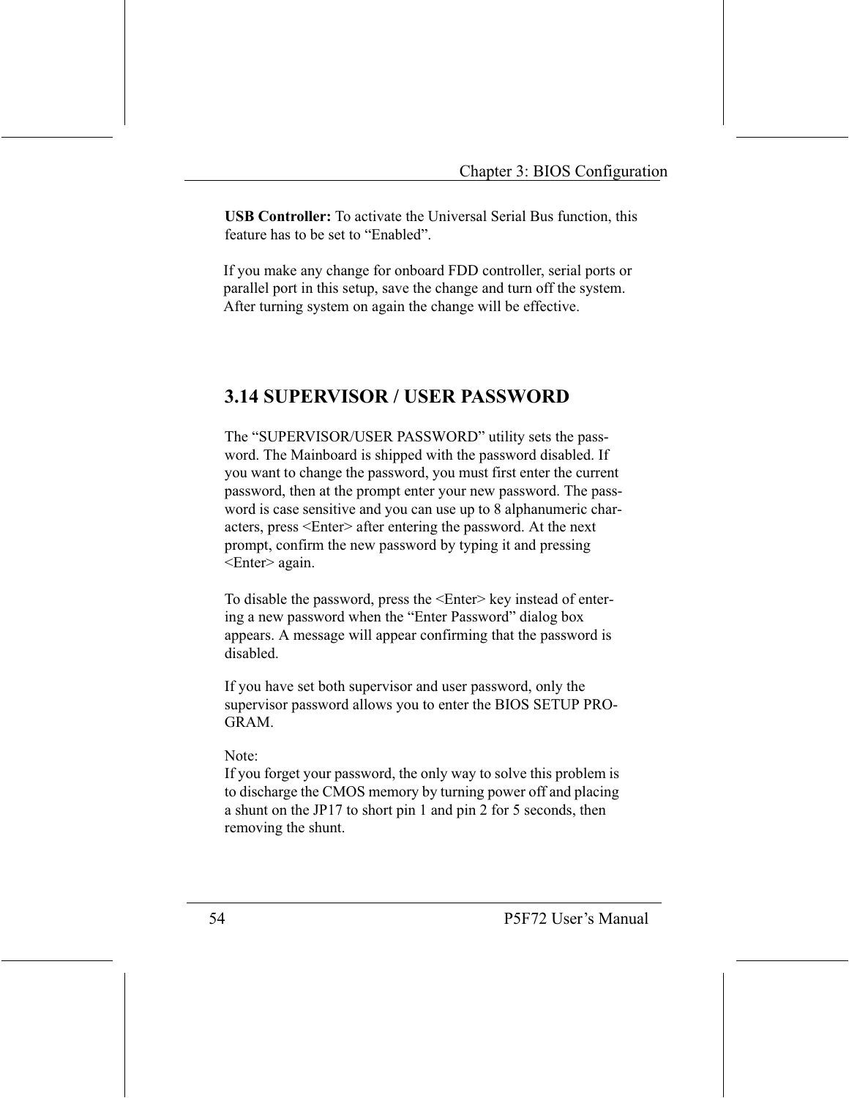**USB Controller:** To activate the Universal Serial Bus function, this feature has to be set to "Enabled".

If you make any change for onboard FDD controller, serial ports or parallel port in this setup, save the change and turn off the system. After turning system on again the change will be effective.

## **3.14 SUPERVISOR / USER PASSWORD**

The "SUPERVISOR/USER PASSWORD" utility sets the password. The Mainboard is shipped with the password disabled. If you want to change the password, you must first enter the current password, then at the prompt enter your new password. The password is case sensitive and you can use up to 8 alphanumeric characters, press <Enter> after entering the password. At the next prompt, confirm the new password by typing it and pressing <Enter> again.

To disable the password, press the <Enter> key instead of entering a new password when the "Enter Password" dialog box appears. A message will appear confirming that the password is disabled.

If you have set both supervisor and user password, only the supervisor password allows you to enter the BIOS SETUP PRO- $GRAM$ 

Note:

If you forget your password, the only way to solve this problem is to discharge the CMOS memory by turning power off and placing a shunt on the JP17 to short pin 1 and pin 2 for 5 seconds, then removing the shunt.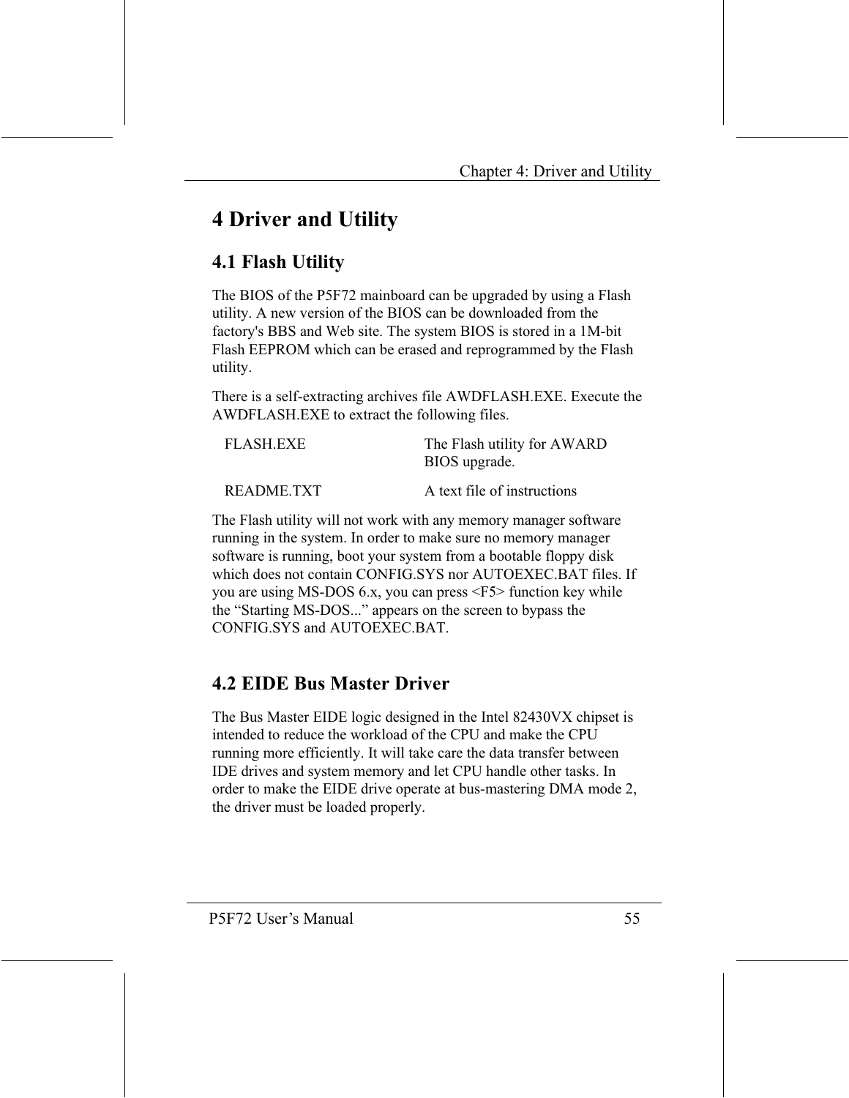# **4 Driver and Utility**

## **4.1 Flash Utility**

The BIOS of the P5F72 mainboard can be upgraded by using a Flash utility. A new version of the BIOS can be downloaded from the factory's BBS and Web site. The system BIOS is stored in a 1M-bit Flash EEPROM which can be erased and reprogrammed by the Flash utility.

There is a self-extracting archives file AWDFLASH, EXE, Execute the AWDFLASH.EXE to extract the following files.

| FLASH.EXE  | The Flash utility for AWARD<br>BIOS upgrade. |
|------------|----------------------------------------------|
| README.TXT | A text file of instructions                  |

The Flash utility will not work with any memory manager software running in the system. In order to make sure no memory manager software is running, boot your system from a bootable floppy disk which does not contain CONFIG SYS nor AUTOEXEC BAT files. If you are using MS-DOS 6.x, you can press <F5> function key while the "Starting MS-DOS..." appears on the screen to bypass the CONFIG.SYS and AUTOEXEC.BAT

## **4.2 EIDE Bus Master Driver**

The Bus Master EIDE logic designed in the Intel 82430VX chipset is intended to reduce the workload of the CPU and make the CPU running more efficiently. It will take care the data transfer between IDE drives and system memory and let CPU handle other tasks. In order to make the EIDE drive operate at bus-mastering DMA mode 2, the driver must be loaded properly.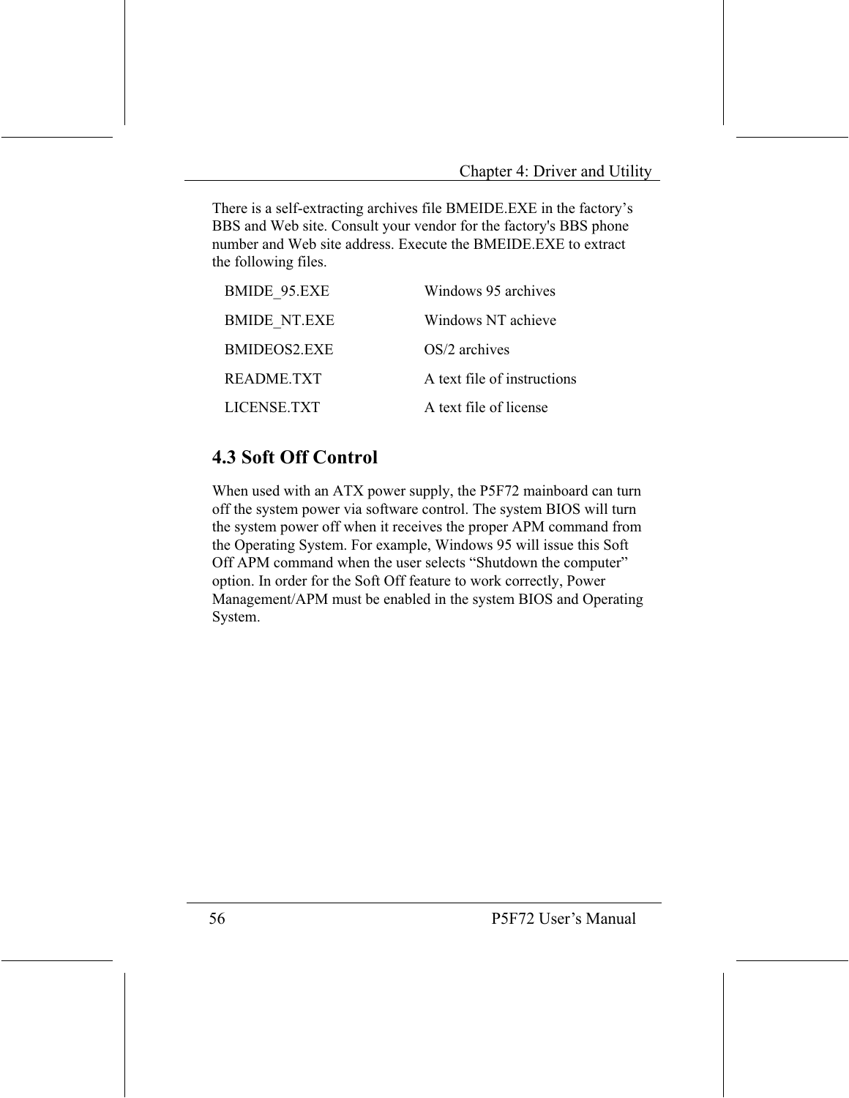There is a self-extracting archives file BMEIDE.EXE in the factory's BBS and Web site. Consult your vendor for the factory's BBS phone number and Web site address. Execute the BMEIDE, EXE to extract the following files.

| <b>BMIDE 95.EXE</b> | Windows 95 archives         |
|---------------------|-----------------------------|
| <b>BMIDE NT.EXE</b> | Windows NT achieve          |
| BMIDEOS2.EXE        | $OS/2$ archives             |
| <b>README.TXT</b>   | A text file of instructions |
| LICENSE.TXT         | A text file of license      |

## **4.3 Soft Off Control**

When used with an ATX power supply, the P5F72 mainboard can turn off the system power via software control. The system BIOS will turn the system power off when it receives the proper APM command from the Operating System. For example, Windows 95 will issue this Soft Off APM command when the user selects "Shutdown the computer" option. In order for the Soft Off feature to work correctly, Power Management/APM must be enabled in the system BIOS and Operating System.